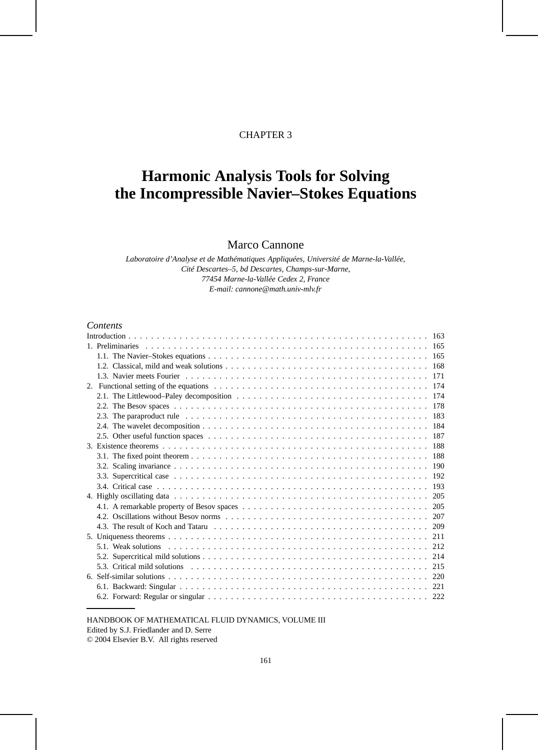# CHAPTER 3

# **Harmonic Analysis Tools for Solving the Incompressible Navier–Stokes Equations**

Marco Cannone

*Laboratoire d'Analyse et de Mathématiques Appliquées, Université de Marne-la-Vallée, Cité Descartes–5, bd Descartes, Champs-sur-Marne, 77454 Marne-la-Vallée Cedex 2, France E-mail: cannone@math.univ-mlv.fr*

# *Contents*

| 5.3. Critical mild solutions enterprise in the contract of the contract of the contract of the contract of the contract of the contract of the contract of the contract of the contract of the contract of the contract of the |
|--------------------------------------------------------------------------------------------------------------------------------------------------------------------------------------------------------------------------------|
|                                                                                                                                                                                                                                |
|                                                                                                                                                                                                                                |
|                                                                                                                                                                                                                                |

HANDBOOK OF MATHEMATICAL FLUID DYNAMICS, VOLUME III Edited by S.J. Friedlander and D. Serre © 2004 Elsevier B.V. All rights reserved

161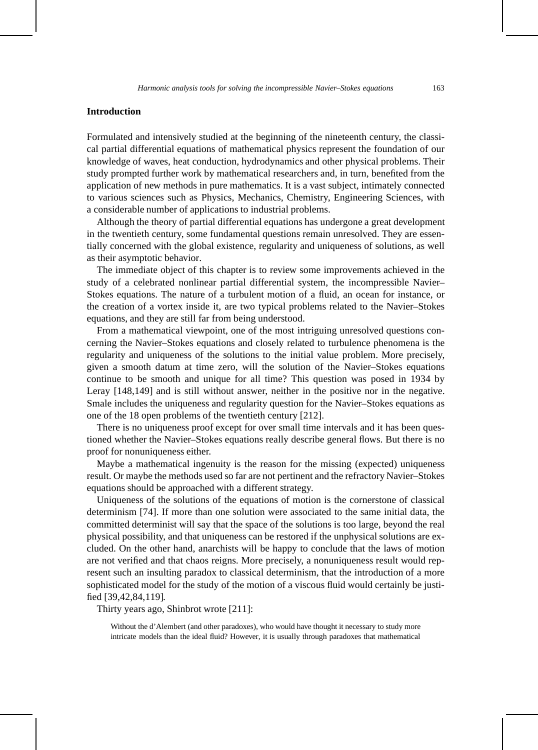# **Introduction**

Formulated and intensively studied at the beginning of the nineteenth century, the classical partial differential equations of mathematical physics represent the foundation of our knowledge of waves, heat conduction, hydrodynamics and other physical problems. Their study prompted further work by mathematical researchers and, in turn, benefited from the application of new methods in pure mathematics. It is a vast subject, intimately connected to various sciences such as Physics, Mechanics, Chemistry, Engineering Sciences, with a considerable number of applications to industrial problems.

Although the theory of partial differential equations has undergone a great development in the twentieth century, some fundamental questions remain unresolved. They are essentially concerned with the global existence, regularity and uniqueness of solutions, as well as their asymptotic behavior.

The immediate object of this chapter is to review some improvements achieved in the study of a celebrated nonlinear partial differential system, the incompressible Navier– Stokes equations. The nature of a turbulent motion of a fluid, an ocean for instance, or the creation of a vortex inside it, are two typical problems related to the Navier–Stokes equations, and they are still far from being understood.

From a mathematical viewpoint, one of the most intriguing unresolved questions concerning the Navier–Stokes equations and closely related to turbulence phenomena is the regularity and uniqueness of the solutions to the initial value problem. More precisely, given a smooth datum at time zero, will the solution of the Navier–Stokes equations continue to be smooth and unique for all time? This question was posed in 1934 by Leray [148,149] and is still without answer, neither in the positive nor in the negative. Smale includes the uniqueness and regularity question for the Navier–Stokes equations as one of the 18 open problems of the twentieth century [212].

There is no uniqueness proof except for over small time intervals and it has been questioned whether the Navier–Stokes equations really describe general flows. But there is no proof for nonuniqueness either.

Maybe a mathematical ingenuity is the reason for the missing (expected) uniqueness result. Or maybe the methods used so far are not pertinent and the refractory Navier–Stokes equations should be approached with a different strategy.

Uniqueness of the solutions of the equations of motion is the cornerstone of classical determinism [74]. If more than one solution were associated to the same initial data, the committed determinist will say that the space of the solutions is too large, beyond the real physical possibility, and that uniqueness can be restored if the unphysical solutions are excluded. On the other hand, anarchists will be happy to conclude that the laws of motion are not verified and that chaos reigns. More precisely, a nonuniqueness result would represent such an insulting paradox to classical determinism, that the introduction of a more sophisticated model for the study of the motion of a viscous fluid would certainly be justified [39,42,84,119].

Thirty years ago, Shinbrot wrote [211]:

Without the d'Alembert (and other paradoxes), who would have thought it necessary to study more intricate models than the ideal fluid? However, it is usually through paradoxes that mathematical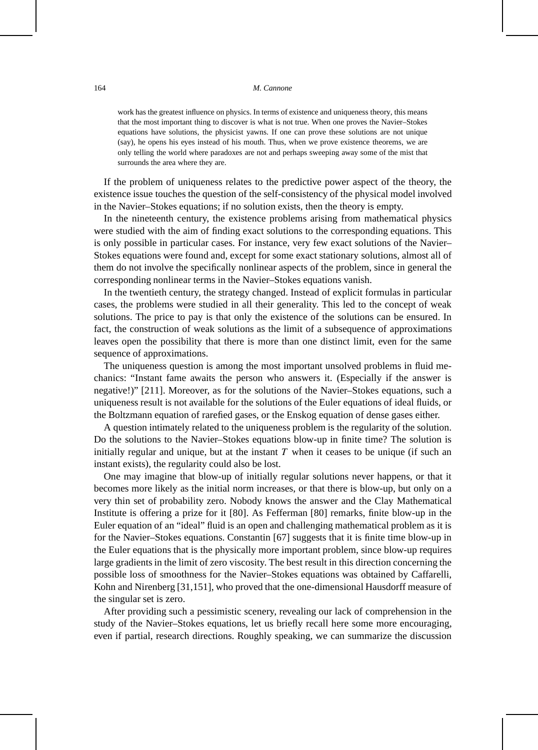work has the greatest influence on physics. In terms of existence and uniqueness theory, this means that the most important thing to discover is what is not true. When one proves the Navier–Stokes equations have solutions, the physicist yawns. If one can prove these solutions are not unique (say), he opens his eyes instead of his mouth. Thus, when we prove existence theorems, we are only telling the world where paradoxes are not and perhaps sweeping away some of the mist that surrounds the area where they are.

If the problem of uniqueness relates to the predictive power aspect of the theory, the existence issue touches the question of the self-consistency of the physical model involved in the Navier–Stokes equations; if no solution exists, then the theory is empty.

In the nineteenth century, the existence problems arising from mathematical physics were studied with the aim of finding exact solutions to the corresponding equations. This is only possible in particular cases. For instance, very few exact solutions of the Navier– Stokes equations were found and, except for some exact stationary solutions, almost all of them do not involve the specifically nonlinear aspects of the problem, since in general the corresponding nonlinear terms in the Navier–Stokes equations vanish.

In the twentieth century, the strategy changed. Instead of explicit formulas in particular cases, the problems were studied in all their generality. This led to the concept of weak solutions. The price to pay is that only the existence of the solutions can be ensured. In fact, the construction of weak solutions as the limit of a subsequence of approximations leaves open the possibility that there is more than one distinct limit, even for the same sequence of approximations.

The uniqueness question is among the most important unsolved problems in fluid mechanics: "Instant fame awaits the person who answers it. (Especially if the answer is negative!)" [211]. Moreover, as for the solutions of the Navier–Stokes equations, such a uniqueness result is not available for the solutions of the Euler equations of ideal fluids, or the Boltzmann equation of rarefied gases, or the Enskog equation of dense gases either.

A question intimately related to the uniqueness problem is the regularity of the solution. Do the solutions to the Navier–Stokes equations blow-up in finite time? The solution is initially regular and unique, but at the instant *T* when it ceases to be unique (if such an instant exists), the regularity could also be lost.

One may imagine that blow-up of initially regular solutions never happens, or that it becomes more likely as the initial norm increases, or that there is blow-up, but only on a very thin set of probability zero. Nobody knows the answer and the Clay Mathematical Institute is offering a prize for it [80]. As Fefferman [80] remarks, finite blow-up in the Euler equation of an "ideal" fluid is an open and challenging mathematical problem as it is for the Navier–Stokes equations. Constantin [67] suggests that it is finite time blow-up in the Euler equations that is the physically more important problem, since blow-up requires large gradients in the limit of zero viscosity. The best result in this direction concerning the possible loss of smoothness for the Navier–Stokes equations was obtained by Caffarelli, Kohn and Nirenberg [31,151], who proved that the one-dimensional Hausdorff measure of the singular set is zero.

After providing such a pessimistic scenery, revealing our lack of comprehension in the study of the Navier–Stokes equations, let us briefly recall here some more encouraging, even if partial, research directions. Roughly speaking, we can summarize the discussion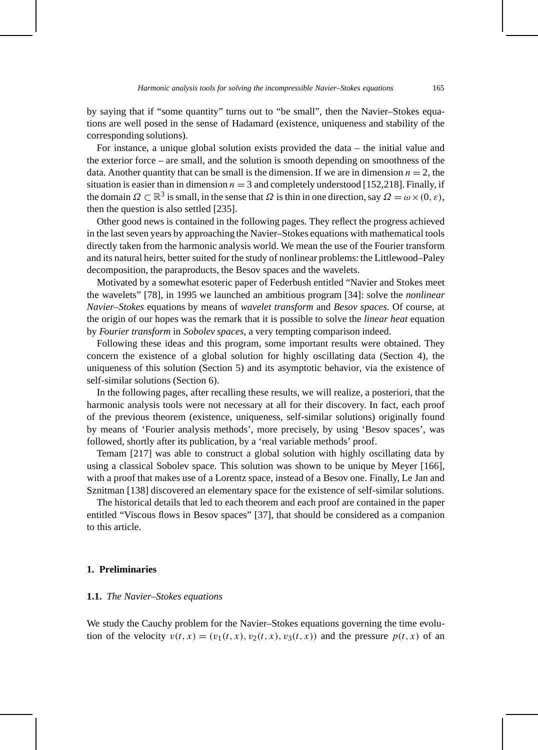by saying that if "some quantity" turns out to "be small", then the Navier–Stokes equations are well posed in the sense of Hadamard (existence, uniqueness and stability of the corresponding solutions).

For instance, a unique global solution exists provided the data – the initial value and the exterior force – are small, and the solution is smooth depending on smoothness of the data. Another quantity that can be small is the dimension. If we are in dimension  $n = 2$ , the situation is easier than in dimension  $n = 3$  and completely understood [152,218]. Finally, if the domain  $\Omega \subset \mathbb{R}^3$  is small, in the sense that  $\Omega$  is thin in one direction, say  $\Omega = \omega \times (0, \varepsilon)$ , then the question is also settled [235].

Other good news is contained in the following pages. They reflect the progress achieved in the last seven years by approaching the Navier–Stokes equations with mathematical tools directly taken from the harmonic analysis world. We mean the use of the Fourier transform and its natural heirs, better suited for the study of nonlinear problems: the Littlewood–Paley decomposition, the paraproducts, the Besov spaces and the wavelets.

Motivated by a somewhat esoteric paper of Federbush entitled "Navier and Stokes meet the wavelets" [78], in 1995 we launched an ambitious program [34]: solve the *nonlinear Navier–Stokes* equations by means of *wavelet transform* and *Besov spaces*. Of course, at the origin of our hopes was the remark that it is possible to solve the *linear heat* equation by *Fourier transform* in *Sobolev spaces*, a very tempting comparison indeed.

Following these ideas and this program, some important results were obtained. They concern the existence of a global solution for highly oscillating data (Section 4), the uniqueness of this solution (Section 5) and its asymptotic behavior, via the existence of self-similar solutions (Section 6).

In the following pages, after recalling these results, we will realize, a posteriori, that the harmonic analysis tools were not necessary at all for their discovery. In fact, each proof of the previous theorem (existence, uniqueness, self-similar solutions) originally found by means of 'Fourier analysis methods', more precisely, by using 'Besov spaces', was followed, shortly after its publication, by a 'real variable methods' proof.

Temam [217] was able to construct a global solution with highly oscillating data by using a classical Sobolev space. This solution was shown to be unique by Meyer [166], with a proof that makes use of a Lorentz space, instead of a Besov one. Finally, Le Jan and Sznitman [138] discovered an elementary space for the existence of self-similar solutions.

The historical details that led to each theorem and each proof are contained in the paper entitled "Viscous flows in Besov spaces" [37], that should be considered as a companion to this article.

#### **1. Preliminaries**

#### **1.1.** *The Navier–Stokes equations*

We study the Cauchy problem for the Navier–Stokes equations governing the time evolution of the velocity  $v(t, x) = (v_1(t, x), v_2(t, x), v_3(t, x))$  and the pressure  $p(t, x)$  of an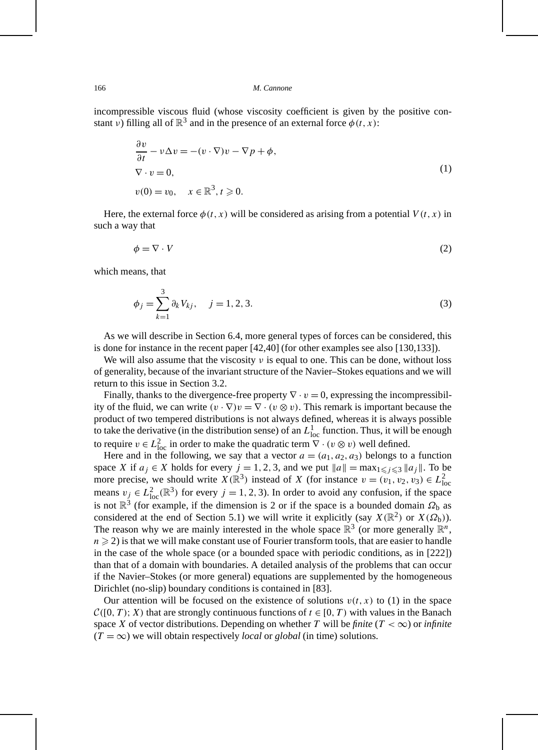incompressible viscous fluid (whose viscosity coefficient is given by the positive constant *ν*) filling all of  $\mathbb{R}^3$  and in the presence of an external force  $\phi(t, x)$ :

$$
\frac{\partial v}{\partial t} - v \Delta v = -(v \cdot \nabla)v - \nabla p + \phi,
$$
  
\n
$$
\nabla \cdot v = 0,
$$
  
\n
$$
v(0) = v_0, \quad x \in \mathbb{R}^3, t \ge 0.
$$
\n(1)

Here, the external force  $\phi(t, x)$  will be considered as arising from a potential  $V(t, x)$  in such a way that

$$
\phi = \nabla \cdot V \tag{2}
$$

which means, that

$$
\phi_j = \sum_{k=1}^3 \partial_k V_{kj}, \quad j = 1, 2, 3. \tag{3}
$$

As we will describe in Section 6.4, more general types of forces can be considered, this is done for instance in the recent paper [42,40] (for other examples see also [130,133]).

We will also assume that the viscosity  $\nu$  is equal to one. This can be done, without loss of generality, because of the invariant structure of the Navier–Stokes equations and we will return to this issue in Section 3.2.

Finally, thanks to the divergence-free property  $\nabla \cdot v = 0$ , expressing the incompressibility of the fluid, we can write  $(v \cdot \nabla)v = \nabla \cdot (v \otimes v)$ . This remark is important because the product of two tempered distributions is not always defined, whereas it is always possible to take the derivative (in the distribution sense) of an  $L_{\text{loc}}^1$  function. Thus, it will be enough to require  $v \in L^2_{loc}$  in order to make the quadratic term  $\nabla \cdot (v \otimes v)$  well defined.

Here and in the following, we say that a vector  $a = (a_1, a_2, a_3)$  belongs to a function space *X* if  $a_j \in X$  holds for every  $j = 1, 2, 3$ , and we put  $||a|| = \max_{1 \leq j \leq 3} ||a_j||$ . To be more precise, we should write  $X(\mathbb{R}^3)$  instead of X (for instance  $v = (v_1, v_2, v_3) \in L^2_{loc}$ <br>means  $v_j \in L^2_{loc}(\mathbb{R}^3)$  for every  $j = 1, 2, 3$ ). In order to avoid any confusion, if the space is not  $\mathbb{R}^3$  (for example, if the dimension is 2 or if the space is a bounded domain  $\Omega_{\rm b}$  as considered at the end of Section 5.1) we will write it explicitly (say  $X(\mathbb{R}^2)$  or  $X(\Omega_h)$ ). The reason why we are mainly interested in the whole space  $\mathbb{R}^3$  (or more generally  $\mathbb{R}^n$ ,  $n \geqslant 2$ ) is that we will make constant use of Fourier transform tools, that are easier to handle in the case of the whole space (or a bounded space with periodic conditions, as in [222]) than that of a domain with boundaries. A detailed analysis of the problems that can occur if the Navier–Stokes (or more general) equations are supplemented by the homogeneous Dirichlet (no-slip) boundary conditions is contained in [83].

Our attention will be focused on the existence of solutions  $v(t, x)$  to (1) in the space  $C([0, T); X)$  that are strongly continuous functions of  $t \in [0, T)$  with values in the Banach space *X* of vector distributions. Depending on whether *T* will be *finite* ( $T < \infty$ ) or *infinite*  $(T = \infty)$  we will obtain respectively *local* or *global* (in time) solutions.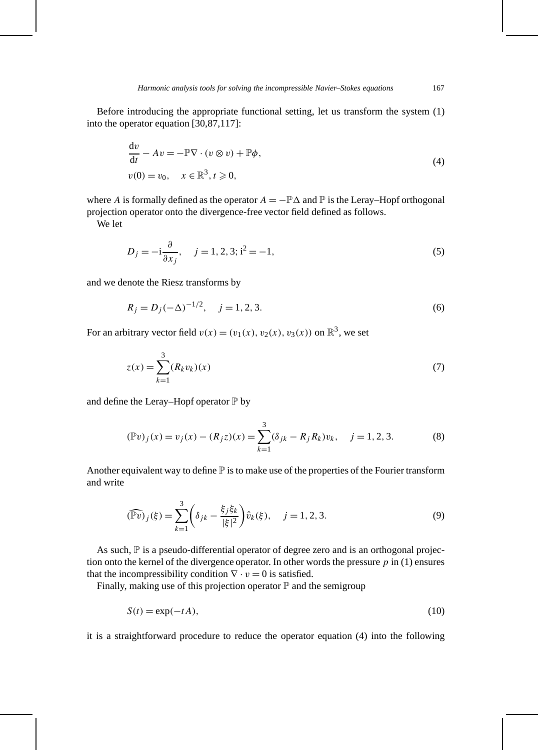Before introducing the appropriate functional setting, let us transform the system (1) into the operator equation [30,87,117]:

$$
\frac{dv}{dt} - Av = -\mathbb{P}\nabla \cdot (v \otimes v) + \mathbb{P}\phi,
$$
  
\n
$$
v(0) = v_0, \quad x \in \mathbb{R}^3, t \ge 0,
$$
\n(4)

where *A* is formally defined as the operator  $A = -\mathbb{P}\Delta$  and  $\mathbb P$  is the Leray–Hopf orthogonal projection operator onto the divergence-free vector field defined as follows.

We let

$$
D_j = -i\frac{\partial}{\partial x_j}, \quad j = 1, 2, 3; i^2 = -1,\tag{5}
$$

and we denote the Riesz transforms by

$$
R_j = D_j(-\Delta)^{-1/2}, \quad j = 1, 2, 3. \tag{6}
$$

For an arbitrary vector field  $v(x) = (v_1(x), v_2(x), v_3(x))$  on  $\mathbb{R}^3$ , we set

$$
z(x) = \sum_{k=1}^{3} (R_k v_k)(x)
$$
 (7)

and define the Leray–Hopf operator  $\mathbb P$  by

$$
(\mathbb{P}v)_j(x) = v_j(x) - (R_j z)(x) = \sum_{k=1}^3 (\delta_{jk} - R_j R_k) v_k, \quad j = 1, 2, 3.
$$
 (8)

Another equivalent way to define  $\mathbb P$  is to make use of the properties of the Fourier transform and write

$$
(\widehat{\mathbb{P}v})_j(\xi) = \sum_{k=1}^3 \left( \delta_{jk} - \frac{\xi_j \xi_k}{|\xi|^2} \right) \hat{v}_k(\xi), \quad j = 1, 2, 3.
$$
 (9)

As such,  $\mathbb P$  is a pseudo-differential operator of degree zero and is an orthogonal projection onto the kernel of the divergence operator. In other words the pressure *p* in (1) ensures that the incompressibility condition  $\nabla \cdot v = 0$  is satisfied.

Finally, making use of this projection operator  $\mathbb P$  and the semigroup

$$
S(t) = \exp(-tA),\tag{10}
$$

it is a straightforward procedure to reduce the operator equation (4) into the following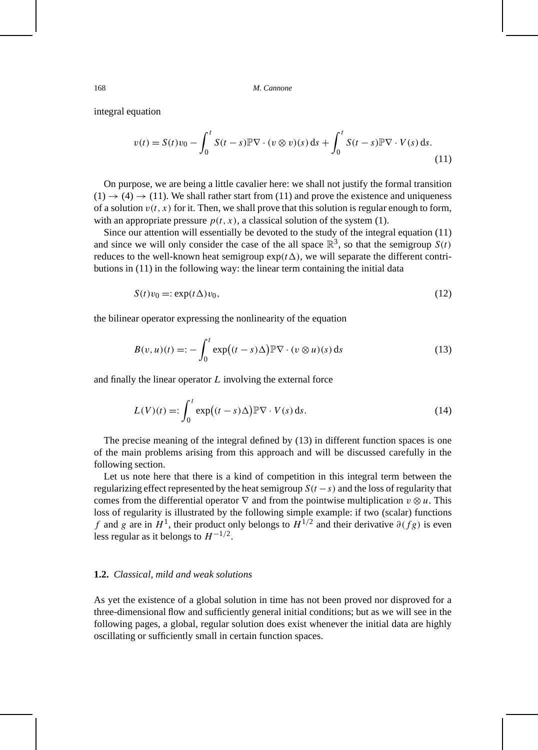integral equation

$$
v(t) = S(t)v_0 - \int_0^t S(t-s)\mathbb{P}\nabla \cdot (v\otimes v)(s) \,ds + \int_0^t S(t-s)\mathbb{P}\nabla \cdot V(s) \,ds. \tag{11}
$$

On purpose, we are being a little cavalier here: we shall not justify the formal transition  $(1) \rightarrow (4) \rightarrow (11)$ . We shall rather start from  $(11)$  and prove the existence and uniqueness of a solution  $v(t, x)$  for it. Then, we shall prove that this solution is regular enough to form, with an appropriate pressure  $p(t, x)$ , a classical solution of the system (1).

Since our attention will essentially be devoted to the study of the integral equation (11) and since we will only consider the case of the all space  $\mathbb{R}^3$ , so that the semigroup  $S(t)$ reduces to the well-known heat semigroup  $\exp(t\Delta)$ , we will separate the different contributions in (11) in the following way: the linear term containing the initial data

$$
S(t)v_0 = \exp(t\Delta)v_0,\tag{12}
$$

the bilinear operator expressing the nonlinearity of the equation

$$
B(v, u)(t) =: -\int_0^t \exp\bigl((t - s)\Delta\bigr) \mathbb{P} \nabla \cdot (v \otimes u)(s) \, \mathrm{d}s \tag{13}
$$

and finally the linear operator *L* involving the external force

$$
L(V)(t) =: \int_0^t \exp\bigl((t-s)\Delta\bigr) \mathbb{P} \nabla \cdot V(s) \, \mathrm{d}s. \tag{14}
$$

The precise meaning of the integral defined by (13) in different function spaces is one of the main problems arising from this approach and will be discussed carefully in the following section.

Let us note here that there is a kind of competition in this integral term between the regularizing effect represented by the heat semigroup *S(t* −*s)* and the loss of regularity that comes from the differential operator  $\nabla$  and from the pointwise multiplication  $v \otimes u$ . This loss of regularity is illustrated by the following simple example: if two (scalar) functions *f* and *g* are in *H*<sup>1</sup>, their product only belongs to *H*<sup>1</sup>/<sup>2</sup> and their derivative  $\partial (fg)$  is even less regular as it belongs to  $H^{-1/2}$ .

# **1.2.** *Classical, mild and weak solutions*

As yet the existence of a global solution in time has not been proved nor disproved for a three-dimensional flow and sufficiently general initial conditions; but as we will see in the following pages, a global, regular solution does exist whenever the initial data are highly oscillating or sufficiently small in certain function spaces.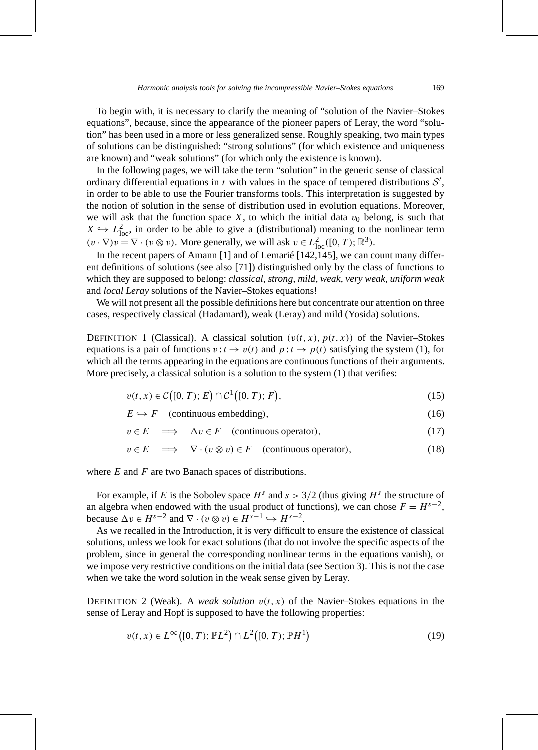To begin with, it is necessary to clarify the meaning of "solution of the Navier–Stokes equations", because, since the appearance of the pioneer papers of Leray, the word "solution" has been used in a more or less generalized sense. Roughly speaking, two main types of solutions can be distinguished: "strong solutions" (for which existence and uniqueness are known) and "weak solutions" (for which only the existence is known).

In the following pages, we will take the term "solution" in the generic sense of classical ordinary differential equations in  $t$  with values in the space of tempered distributions  $S'$ , in order to be able to use the Fourier transforms tools. This interpretation is suggested by the notion of solution in the sense of distribution used in evolution equations. Moreover, we will ask that the function space  $X$ , to which the initial data  $v_0$  belong, is such that  $X \hookrightarrow L^2_{\text{loc}}$ , in order to be able to give a (distributional) meaning to the nonlinear term  $(v \cdot \nabla)v = \nabla \cdot (v \otimes v)$ . More generally, we will ask  $v \in L^2_{loc}([0, T); \mathbb{R}^3)$ .

In the recent papers of Amann [1] and of Lemarié [142,145], we can count many different definitions of solutions (see also [71]) distinguished only by the class of functions to which they are supposed to belong: *classical*, *strong*, *mild*, *weak*, *very weak*, *uniform weak* and *local Leray* solutions of the Navier–Stokes equations!

We will not present all the possible definitions here but concentrate our attention on three cases, respectively classical (Hadamard), weak (Leray) and mild (Yosida) solutions.

DEFINITION 1 (Classical). A classical solution  $(v(t, x), p(t, x))$  of the Navier–Stokes equations is a pair of functions  $v : t \to v(t)$  and  $p : t \to p(t)$  satisfying the system (1), for which all the terms appearing in the equations are continuous functions of their arguments. More precisely, a classical solution is a solution to the system (1) that verifies:

$$
v(t,x) \in \mathcal{C}\big([0,T);E\big) \cap \mathcal{C}^1\big([0,T);F\big),\tag{15}
$$

 $E \hookrightarrow F$  (continuous embedding), (16)

$$
v \in E \quad \Longrightarrow \quad \Delta v \in F \quad \text{(continuous operator)}, \tag{17}
$$

$$
v \in E \quad \Longrightarrow \quad \nabla \cdot (v \otimes v) \in F \quad \text{(continuous operator)}, \tag{18}
$$

where *E* and *F* are two Banach spaces of distributions.

For example, if *E* is the Sobolev space  $H^s$  and  $s > 3/2$  (thus giving  $H^s$  the structure of an algebra when endowed with the usual product of functions), we can chose  $F = H^{s-2}$ , because  $\Delta v \in H^{s-2}$  and  $\nabla \cdot (v \otimes v) \in H^{s-1} \hookrightarrow H^{s-2}$ .

As we recalled in the Introduction, it is very difficult to ensure the existence of classical solutions, unless we look for exact solutions (that do not involve the specific aspects of the problem, since in general the corresponding nonlinear terms in the equations vanish), or we impose very restrictive conditions on the initial data (see Section 3). This is not the case when we take the word solution in the weak sense given by Leray.

DEFINITION 2 (Weak). A *weak solution*  $v(t, x)$  of the Navier–Stokes equations in the sense of Leray and Hopf is supposed to have the following properties:

$$
v(t, x) \in L^{\infty}([0, T); \mathbb{P}L^{2}) \cap L^{2}([0, T); \mathbb{P}H^{1})
$$
\n(19)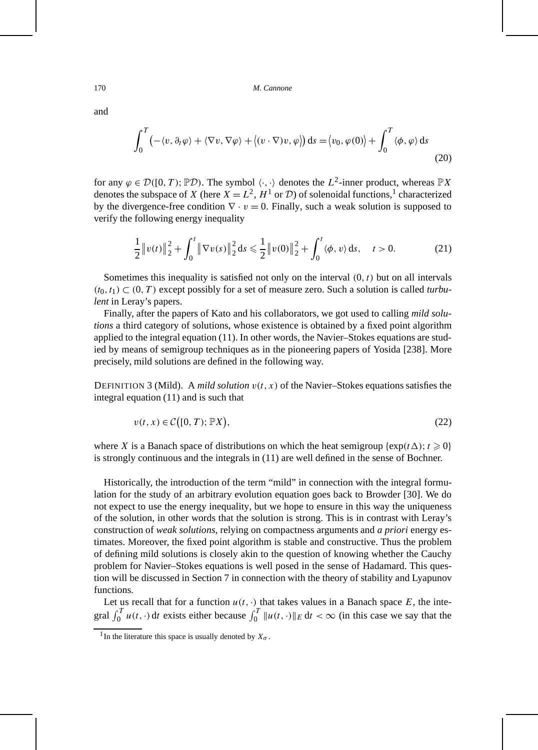and

$$
\int_0^T \left( -\langle v, \partial_t \varphi \rangle + \langle \nabla v, \nabla \varphi \rangle + \langle (v \cdot \nabla) v, \varphi \rangle \right) ds = \langle v_0, \varphi(0) \rangle + \int_0^T \langle \varphi, \varphi \rangle ds
$$
\n(20)

for any  $\varphi \in \mathcal{D}([0, T); \mathbb{P} \mathcal{D})$ . The symbol  $\langle \cdot, \cdot \rangle$  denotes the  $L^2$ -inner product, whereas  $\mathbb{P} X$ denotes the subspace of *X* (here  $X = L^2$ ,  $H^1$  or *D*) of solenoidal functions,<sup>1</sup> characterized by the divergence-free condition  $\nabla \cdot v = 0$ . Finally, such a weak solution is supposed to verify the following energy inequality

$$
\frac{1}{2} ||v(t)||_2^2 + \int_0^t ||\nabla v(s)||_2^2 ds \le \frac{1}{2} ||v(0)||_2^2 + \int_0^t \langle \phi, v \rangle ds, \quad t > 0.
$$
 (21)

Sometimes this inequality is satisfied not only on the interval *(*0*,t)* but on all intervals  $(t_0, t_1) \subset (0, T)$  except possibly for a set of measure zero. Such a solution is called *turbulent* in Leray's papers.

Finally, after the papers of Kato and his collaborators, we got used to calling *mild solutions* a third category of solutions, whose existence is obtained by a fixed point algorithm applied to the integral equation (11). In other words, the Navier–Stokes equations are studied by means of semigroup techniques as in the pioneering papers of Yosida [238]. More precisely, mild solutions are defined in the following way.

DEFINITION 3 (Mild). A *mild solution*  $v(t, x)$  of the Navier–Stokes equations satisfies the integral equation (11) and is such that

$$
v(t, x) \in \mathcal{C}([0, T); \mathbb{P}X), \tag{22}
$$

where *X* is a Banach space of distributions on which the heat semigroup  $\{\exp(t\Delta); t \geq 0\}$ is strongly continuous and the integrals in (11) are well defined in the sense of Bochner.

Historically, the introduction of the term "mild" in connection with the integral formulation for the study of an arbitrary evolution equation goes back to Browder [30]. We do not expect to use the energy inequality, but we hope to ensure in this way the uniqueness of the solution, in other words that the solution is strong. This is in contrast with Leray's construction of *weak solutions*, relying on compactness arguments and *a priori* energy estimates. Moreover, the fixed point algorithm is stable and constructive. Thus the problem of defining mild solutions is closely akin to the question of knowing whether the Cauchy problem for Navier–Stokes equations is well posed in the sense of Hadamard. This question will be discussed in Section 7 in connection with the theory of stability and Lyapunov functions.

Let us recall that for a function  $u(t, \cdot)$  that takes values in a Banach space E, the integral  $\int_0^T u(t, \cdot) dt$  exists either because  $\int_0^T \|u(t, \cdot)\|_E dt < \infty$  (in this case we say that the

<sup>&</sup>lt;sup>1</sup>In the literature this space is usually denoted by  $X_{\sigma}$ .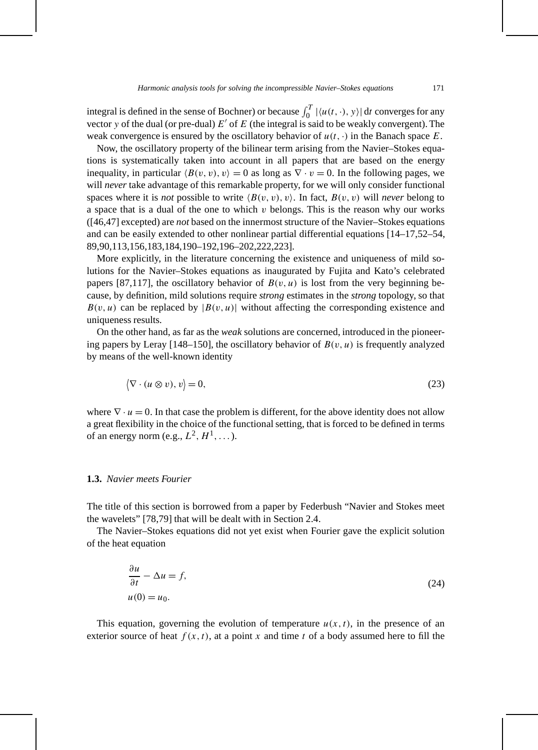integral is defined in the sense of Bochner) or because  $\int_0^T |\langle u(t, \cdot), y \rangle|$  dt converges for any vector *y* of the dual (or pre-dual)  $E'$  of  $E$  (the integral is said to be weakly convergent). The weak convergence is ensured by the oscillatory behavior of  $u(t, \cdot)$  in the Banach space *E*.

Now, the oscillatory property of the bilinear term arising from the Navier–Stokes equations is systematically taken into account in all papers that are based on the energy inequality, in particular  $\langle B(v, v), v \rangle = 0$  as long as  $\nabla \cdot v = 0$ . In the following pages, we will *never* take advantage of this remarkable property, for we will only consider functional spaces where it is *not* possible to write  $\langle B(v, v), v \rangle$ . In fact,  $B(v, v)$  will *never* belong to a space that is a dual of the one to which *v* belongs. This is the reason why our works ([46,47] excepted) are *not* based on the innermost structure of the Navier–Stokes equations and can be easily extended to other nonlinear partial differential equations [14–17,52–54, 89,90,113,156,183,184,190–192,196–202,222,223].

More explicitly, in the literature concerning the existence and uniqueness of mild solutions for the Navier–Stokes equations as inaugurated by Fujita and Kato's celebrated papers [87,117], the oscillatory behavior of  $B(v, u)$  is lost from the very beginning because, by definition, mild solutions require *strong* estimates in the *strong* topology, so that  $B(v, u)$  can be replaced by  $|B(v, u)|$  without affecting the corresponding existence and uniqueness results.

On the other hand, as far as the *weak* solutions are concerned, introduced in the pioneering papers by Leray  $[148-150]$ , the oscillatory behavior of  $B(v, u)$  is frequently analyzed by means of the well-known identity

$$
\langle \nabla \cdot (u \otimes v), v \rangle = 0,\tag{23}
$$

where  $\nabla \cdot u = 0$ . In that case the problem is different, for the above identity does not allow a great flexibility in the choice of the functional setting, that is forced to be defined in terms of an energy norm (e.g.,  $L^2$ ,  $H^1$ , ...).

#### **1.3.** *Navier meets Fourier*

The title of this section is borrowed from a paper by Federbush "Navier and Stokes meet the wavelets" [78,79] that will be dealt with in Section 2.4.

The Navier–Stokes equations did not yet exist when Fourier gave the explicit solution of the heat equation

$$
\frac{\partial u}{\partial t} - \Delta u = f,\tag{24}
$$
  

$$
u(0) = u_0.
$$

This equation, governing the evolution of temperature  $u(x, t)$ , in the presence of an exterior source of heat  $f(x, t)$ , at a point x and time t of a body assumed here to fill the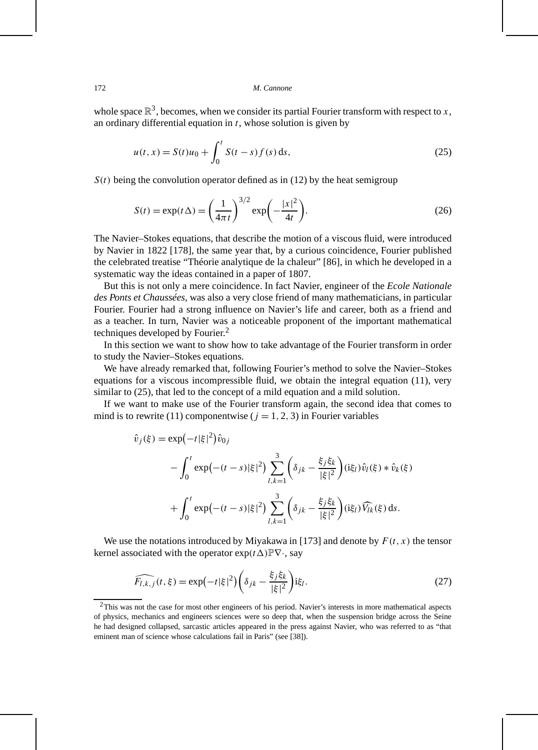whole space  $\mathbb{R}^3$ , becomes, when we consider its partial Fourier transform with respect to *x*, an ordinary differential equation in *t*, whose solution is given by

$$
u(t, x) = S(t)u_0 + \int_0^t S(t - s) f(s) ds,
$$
\n(25)

 $S(t)$  being the convolution operator defined as in (12) by the heat semigroup

$$
S(t) = \exp(t\Delta) = \left(\frac{1}{4\pi t}\right)^{3/2} \exp\left(-\frac{|x|^2}{4t}\right).
$$
\n(26)

The Navier–Stokes equations, that describe the motion of a viscous fluid, were introduced by Navier in 1822 [178], the same year that, by a curious coincidence, Fourier published the celebrated treatise "Théorie analytique de la chaleur" [86], in which he developed in a systematic way the ideas contained in a paper of 1807.

But this is not only a mere coincidence. In fact Navier, engineer of the *Ecole Nationale des Ponts et Chaussées*, was also a very close friend of many mathematicians, in particular Fourier. Fourier had a strong influence on Navier's life and career, both as a friend and as a teacher. In turn, Navier was a noticeable proponent of the important mathematical techniques developed by Fourier.<sup>2</sup>

In this section we want to show how to take advantage of the Fourier transform in order to study the Navier–Stokes equations.

We have already remarked that, following Fourier's method to solve the Navier–Stokes equations for a viscous incompressible fluid, we obtain the integral equation (11), very similar to (25), that led to the concept of a mild equation and a mild solution.

If we want to make use of the Fourier transform again, the second idea that comes to mind is to rewrite (11) componentwise ( $j = 1, 2, 3$ ) in Fourier variables

$$
\hat{v}_j(\xi) = \exp(-t|\xi|^2)\hat{v}_{0j} \n- \int_0^t \exp(-(t-s)|\xi|^2) \sum_{l,k=1}^3 \left(\delta_{jk} - \frac{\xi_j \xi_k}{|\xi|^2}\right) (i\xi_l)\hat{v}_l(\xi) * \hat{v}_k(\xi) \n+ \int_0^t \exp(-(t-s)|\xi|^2) \sum_{l,k=1}^3 \left(\delta_{jk} - \frac{\xi_j \xi_k}{|\xi|^2}\right) (i\xi_l)\widehat{V}_{lk}(\xi) ds.
$$

We use the notations introduced by Miyakawa in [173] and denote by  $F(t, x)$  the tensor kernel associated with the operator  $exp(t\Delta)\mathbb{P}\nabla\cdot$ , say

$$
\widehat{F_{l,k,j}}(t,\xi) = \exp\left(-t|\xi|^2\right) \left(\delta_{jk} - \frac{\xi_j \xi_k}{|\xi|^2}\right) \mathrm{i}\xi_l. \tag{27}
$$

<sup>&</sup>lt;sup>2</sup>This was not the case for most other engineers of his period. Navier's interests in more mathematical aspects of physics, mechanics and engineers sciences were so deep that, when the suspension bridge across the Seine he had designed collapsed, sarcastic articles appeared in the press against Navier, who was referred to as "that eminent man of science whose calculations fail in Paris" (see [38]).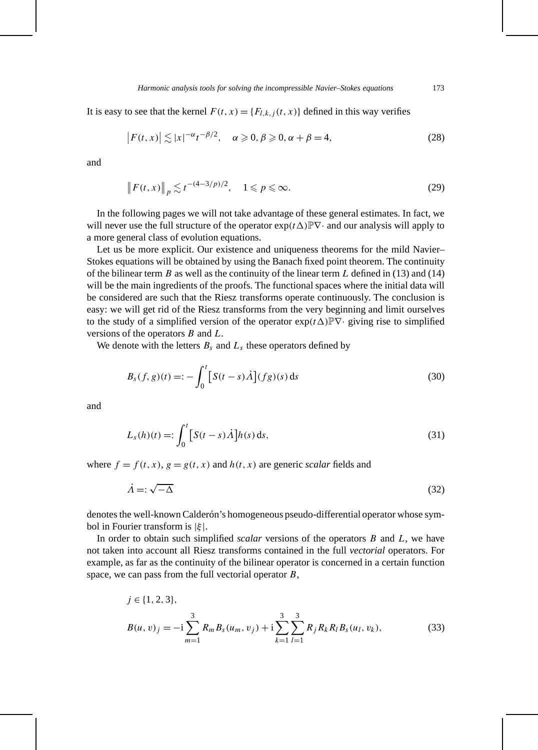It is easy to see that the kernel  $F(t, x) = {F_{l,k,j}(t, x)}$  defined in this way verifies

$$
\left| F(t,x) \right| \lesssim |x|^{-\alpha} t^{-\beta/2}, \quad \alpha \geqslant 0, \beta \geqslant 0, \alpha + \beta = 4, \tag{28}
$$

and

$$
\left\|F(t,x)\right\|_p \lesssim t^{-(4-3/p)/2}, \quad 1 \leqslant p \leqslant \infty. \tag{29}
$$

In the following pages we will not take advantage of these general estimates. In fact, we will never use the full structure of the operator exp(*t* Δ)<sup>P</sup>V· and our analysis will apply to a more general class of evolution equations.

Let us be more explicit. Our existence and uniqueness theorems for the mild Navier– Stokes equations will be obtained by using the Banach fixed point theorem. The continuity of the bilinear term *B* as well as the continuity of the linear term *L* defined in (13) and (14) will be the main ingredients of the proofs. The functional spaces where the initial data will be considered are such that the Riesz transforms operate continuously. The conclusion is easy: we will get rid of the Riesz transforms from the very beginning and limit ourselves to the study of a simplified version of the operator  $exp(t\Delta)\mathbb{P}\nabla$ · giving rise to simplified versions of the operators *B* and *L*.

We denote with the letters  $B_s$  and  $L_s$  these operators defined by

$$
B_s(f,g)(t) =: -\int_0^t \left[ S(t-s)\dot{A} \right] (fg)(s) \, \mathrm{d}s \tag{30}
$$

and

$$
L_s(h)(t) =: \int_0^t \left[ S(t-s) \dot{A} \right] h(s) \, \mathrm{d}s,\tag{31}
$$

where  $f = f(t, x)$ ,  $g = g(t, x)$  and  $h(t, x)$  are generic *scalar* fields and

$$
\dot{\Lambda} = \dot{\sqrt{-\Delta}} \tag{32}
$$

denotes the well-known Calderón's homogeneous pseudo-differential operator whose symbol in Fourier transform is |*ξ*|.

In order to obtain such simplified *scalar* versions of the operators *B* and *L*, we have not taken into account all Riesz transforms contained in the full *vectorial* operators. For example, as far as the continuity of the bilinear operator is concerned in a certain function space, we can pass from the full vectorial operator *B*,

$$
j \in \{1, 2, 3\},
$$
  
\n
$$
B(u, v)_j = -i \sum_{m=1}^3 R_m B_s(u_m, v_j) + i \sum_{k=1}^3 \sum_{l=1}^3 R_j R_k R_l B_s(u_l, v_k),
$$
\n(33)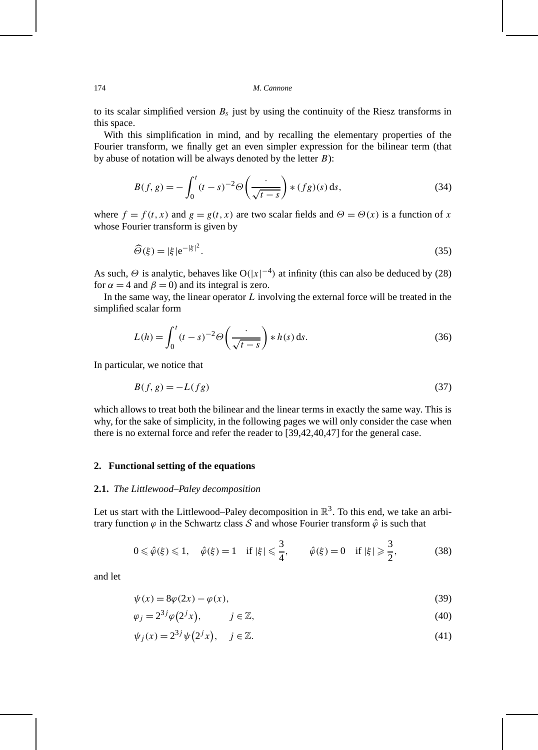to its scalar simplified version  $B_s$  just by using the continuity of the Riesz transforms in this space.

With this simplification in mind, and by recalling the elementary properties of the Fourier transform, we finally get an even simpler expression for the bilinear term (that by abuse of notation will be always denoted by the letter *B*):

$$
B(f,g) = -\int_0^t (t-s)^{-2} \Theta\left(\frac{\cdot}{\sqrt{t-s}}\right) * (fg)(s) \, ds,\tag{34}
$$

where  $f = f(t, x)$  and  $g = g(t, x)$  are two scalar fields and  $\Theta = \Theta(x)$  is a function of x whose Fourier transform is given by

$$
\widehat{\Theta}(\xi) = |\xi| e^{-|\xi|^2}.
$$
\n(35)

As such,  $\Theta$  is analytic, behaves like  $O(|x|^{-4})$  at infinity (this can also be deduced by (28) for  $\alpha = 4$  and  $\beta = 0$ ) and its integral is zero.

In the same way, the linear operator *L* involving the external force will be treated in the simplified scalar form

$$
L(h) = \int_0^t (t-s)^{-2} \Theta\left(\frac{\cdot}{\sqrt{t-s}}\right) * h(s) \, \mathrm{d}s. \tag{36}
$$

In particular, we notice that

$$
B(f,g) = -L(fg) \tag{37}
$$

which allows to treat both the bilinear and the linear terms in exactly the same way. This is why, for the sake of simplicity, in the following pages we will only consider the case when there is no external force and refer the reader to [39,42,40,47] for the general case.

# **2. Functional setting of the equations**

## **2.1.** *The Littlewood–Paley decomposition*

Let us start with the Littlewood–Paley decomposition in  $\mathbb{R}^3$ . To this end, we take an arbitrary function  $\varphi$  in the Schwartz class S and whose Fourier transform  $\hat{\varphi}$  is such that

$$
0 \le \hat{\varphi}(\xi) \le 1, \quad \hat{\varphi}(\xi) = 1 \quad \text{if } |\xi| \le \frac{3}{4}, \qquad \hat{\varphi}(\xi) = 0 \quad \text{if } |\xi| \ge \frac{3}{2}, \tag{38}
$$

and let

$$
\psi(x) = 8\varphi(2x) - \varphi(x),\tag{39}
$$

$$
\varphi_j = 2^{3j} \varphi(2^j x), \qquad j \in \mathbb{Z}, \tag{40}
$$

$$
\psi_j(x) = 2^{3j} \psi(2^j x), \quad j \in \mathbb{Z}.\tag{41}
$$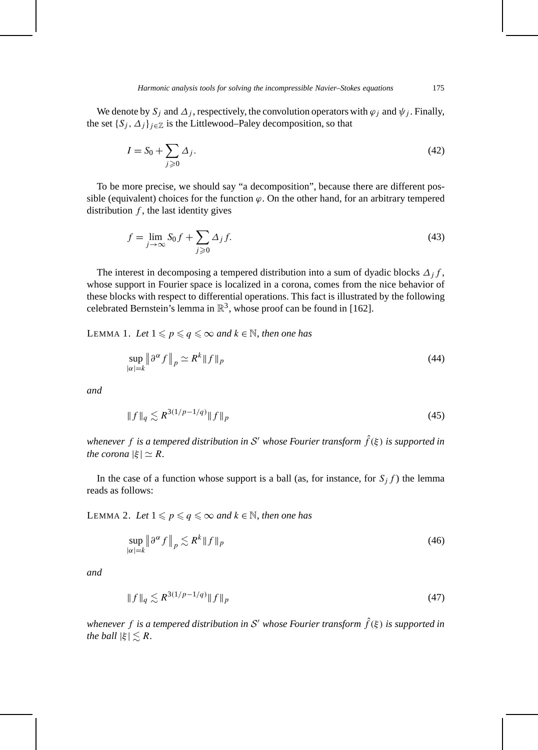We denote by  $S_i$  and  $\Delta_j$ , respectively, the convolution operators with  $\varphi_i$  and  $\psi_j$ . Finally, the set  $\{S_j, \Delta_j\}_{j \in \mathbb{Z}}$  is the Littlewood–Paley decomposition, so that

$$
I = S_0 + \sum_{j \ge 0} \Delta_j. \tag{42}
$$

To be more precise, we should say "a decomposition", because there are different possible (equivalent) choices for the function  $\varphi$ . On the other hand, for an arbitrary tempered distribution  $f$ , the last identity gives

$$
f = \lim_{j \to \infty} S_0 f + \sum_{j \ge 0} \Delta_j f. \tag{43}
$$

The interest in decomposing a tempered distribution into a sum of dyadic blocks  $\Delta_i f$ , whose support in Fourier space is localized in a corona, comes from the nice behavior of these blocks with respect to differential operations. This fact is illustrated by the following celebrated Bernstein's lemma in  $\mathbb{R}^3$ , whose proof can be found in [162].

LEMMA 1. Let  $1 \leq p \leq q \leq \infty$  and  $k \in \mathbb{N}$ , then one has

$$
\sup_{|\alpha|=k} \|\partial^{\alpha} f\|_{p} \simeq R^{k} \|f\|_{p}
$$
\n(44)

*and*

$$
||f||_q \lesssim R^{3(1/p - 1/q)} ||f||_p \tag{45}
$$

*whenever f is a tempered distribution in* S' *whose Fourier transform*  $\hat{f}(\xi)$  *is supported in the corona*  $|\xi| \simeq R$ *.* 

In the case of a function whose support is a ball (as, for instance, for  $S_i f$ ) the lemma reads as follows:

LEMMA 2. Let  $1 \leqslant p \leqslant q \leqslant \infty$  and  $k \in \mathbb{N}$ , then one has

$$
\sup_{|\alpha|=k} \|\partial^{\alpha} f\|_{p} \lesssim R^{k} \|f\|_{p}
$$
\n(46)

*and*

$$
||f||_q \lesssim R^{3(1/p - 1/q)} ||f||_p \tag{47}
$$

*whenever f is a tempered distribution in S' whose Fourier transform*  $\hat{f}(\xi)$  *is supported in the ball*  $|\xi| \leq R$ *.*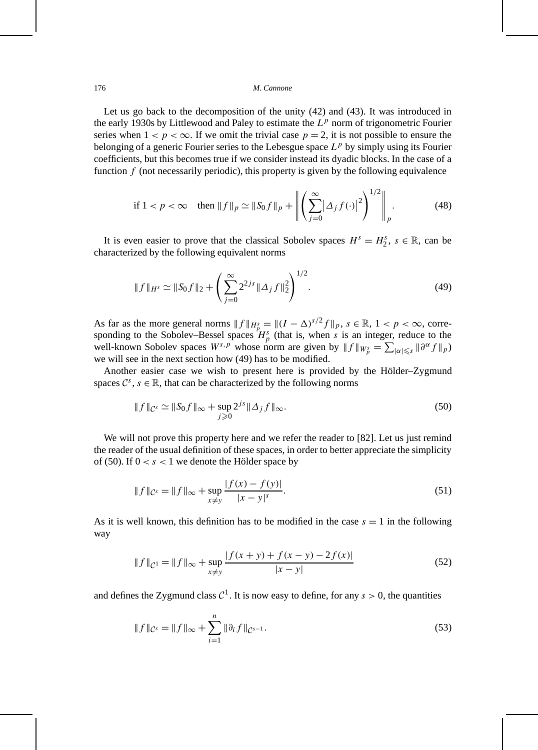Let us go back to the decomposition of the unity (42) and (43). It was introduced in the early 1930s by Littlewood and Paley to estimate the  $L^p$  norm of trigonometric Fourier series when  $1 < p < \infty$ . If we omit the trivial case  $p = 2$ , it is not possible to ensure the belonging of a generic Fourier series to the Lebesgue space  $L^p$  by simply using its Fourier coefficients, but this becomes true if we consider instead its dyadic blocks. In the case of a function  $f$  (not necessarily periodic), this property is given by the following equivalence

if 
$$
1 < p < \infty
$$
 then  $||f||_p \simeq ||S_0 f||_p + \left\| \left( \sum_{j=0}^{\infty} |\Delta_j f(\cdot)|^2 \right)^{1/2} \right\|_p$ . (48)

It is even easier to prove that the classical Sobolev spaces  $H^s = H^s_2$ ,  $s \in \mathbb{R}$ , can be characterized by the following equivalent norms

$$
\|f\|_{H^s} \simeq \|S_0 f\|_2 + \left(\sum_{j=0}^{\infty} 2^{2js} \|\Delta_j f\|_2^2\right)^{1/2}.
$$
 (49)

As far as the more general norms  $||f||_{H_p^s} = ||(I - \Delta)^{s/2} f||_p$ ,  $s \in \mathbb{R}, 1 < p < \infty$ , corresponding to the Sobolev–Bessel spaces  $H_p^s$  (that is, when *s* is an integer, reduce to the well-known Sobolev spaces  $W^{s,p}$  whose norm are given by  $||f||_{W_p^s} = \sum_{|\alpha| \leq s} ||\partial^{\alpha} f||_p$ we will see in the next section how (49) has to be modified.

Another easier case we wish to present here is provided by the Hölder–Zygmund spaces  $C^s$ ,  $s \in \mathbb{R}$ , that can be characterized by the following norms

$$
\|f\|_{\mathcal{C}^s} \simeq \|S_0 f\|_{\infty} + \sup_{j \geqslant 0} 2^{js} \|\Delta_j f\|_{\infty}.
$$
\n
$$
(50)
$$

We will not prove this property here and we refer the reader to [82]. Let us just remind the reader of the usual definition of these spaces, in order to better appreciate the simplicity of (50). If  $0 < s < 1$  we denote the Hölder space by

$$
||f||_{C^{s}} = ||f||_{\infty} + \sup_{x \neq y} \frac{|f(x) - f(y)|}{|x - y|^{s}}.
$$
\n(51)

As it is well known, this definition has to be modified in the case  $s = 1$  in the following way

$$
||f||_{\mathcal{C}^{1}} = ||f||_{\infty} + \sup_{x \neq y} \frac{|f(x+y) + f(x-y) - 2f(x)|}{|x-y|}
$$
(52)

and defines the Zygmund class  $C^1$ . It is now easy to define, for any  $s > 0$ , the quantities

$$
||f||_{\mathcal{C}^s} = ||f||_{\infty} + \sum_{i=1}^n ||\partial_i f||_{\mathcal{C}^{s-1}}.
$$
\n(53)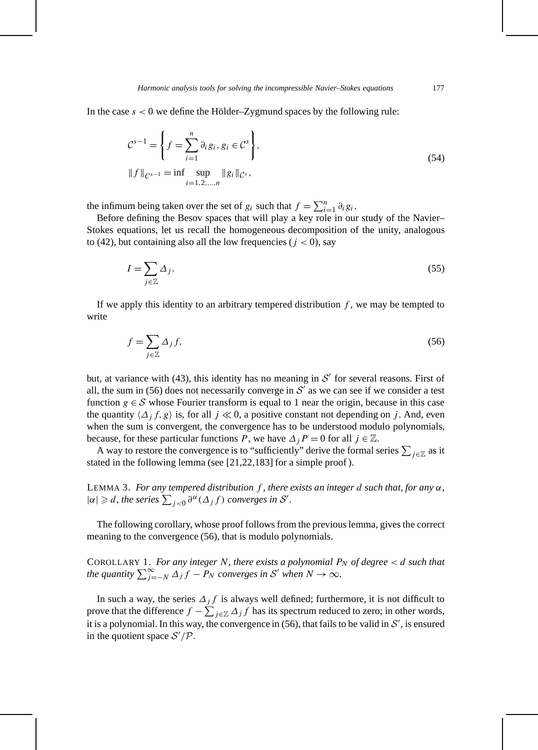In the case  $s < 0$  we define the Hölder–Zygmund spaces by the following rule:

$$
\mathcal{C}^{s-1} = \left\{ f = \sum_{i=1}^{n} \partial_i g_i, g_i \in \mathcal{C}^s \right\},\
$$
  

$$
||f||_{C^{s-1}} = \inf \sup_{i=1,2,\dots,n} ||g_i||_{\mathcal{C}^s},
$$
  
(54)

the infimum being taken over the set of  $g_i$  such that  $f = \sum_{i=1}^n \partial_i g_i$ .

Before defining the Besov spaces that will play a key role in our study of the Navier– Stokes equations, let us recall the homogeneous decomposition of the unity, analogous to (42), but containing also all the low frequencies  $(j < 0)$ , say

$$
I = \sum_{j \in \mathbb{Z}} \Delta_j.
$$
\n<sup>(55)</sup>

If we apply this identity to an arbitrary tempered distribution  $f$ , we may be tempted to write

$$
f = \sum_{j \in \mathbb{Z}} \Delta_j f,\tag{56}
$$

but, at variance with (43), this identity has no meaning in  $S'$  for several reasons. First of all, the sum in (56) does not necessarily converge in  $S'$  as we can see if we consider a test function  $g \in S$  whose Fourier transform is equal to 1 near the origin, because in this case the quantity  $\langle \Delta_i f, g \rangle$  is, for all  $j \ll 0$ , a positive constant not depending on *j*. And, even when the sum is convergent, the convergence has to be understood modulo polynomials, because, for these particular functions *P*, we have  $\Delta_j P = 0$  for all  $j \in \mathbb{Z}$ .

A way to restore the convergence is to "sufficiently" derive the formal series  $\sum_{j\in\mathbb{Z}}$  as it stated in the following lemma (see [21,22,183] for a simple proof ).

LEMMA 3. *For any tempered distribution*  $f$ , *there exists an integer d such that, for any*  $\alpha$ ,  $|\alpha| \geqslant d$ , the series  $\sum_{j<0} \partial^{\alpha}(\Delta_j f)$  converges in S'.

The following corollary, whose proof follows from the previous lemma, gives the correct meaning to the convergence (56), that is modulo polynomials.

COROLLARY 1. *For any integer N*, *there exists a polynomial*  $P_N$  *of degree*  $\lt d$  *such that the quantity*  $\sum_{j=-N}^{\infty} \Delta_j f - P_N$  *converges in* S' *when*  $N \to \infty$ *.* 

In such a way, the series  $\Delta_j f$  is always well defined; furthermore, it is not difficult to prove that the difference  $f - \sum_{j \in \mathbb{Z}} \Delta_j f$  has its spectrum reduced to zero; in other words, it is a polynomial. In this way, the convergence in (56), that fails to be valid in  $\mathcal{S}'$ , is ensured in the quotient space  $S'/P$ .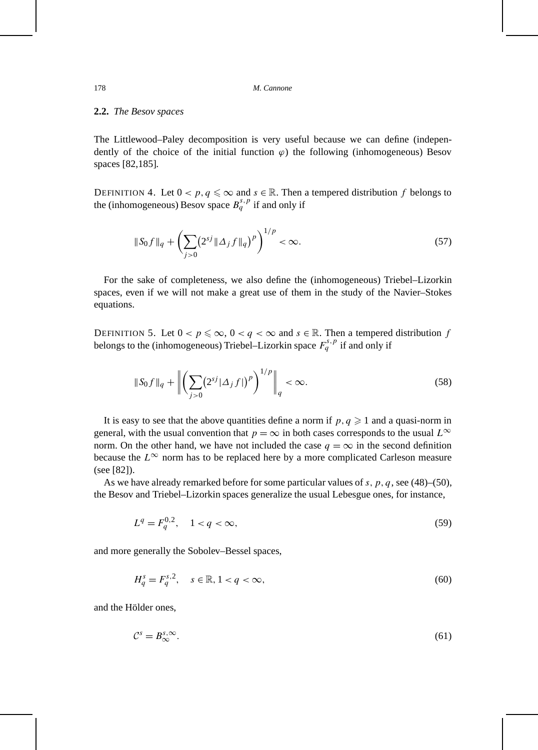# **2.2.** *The Besov spaces*

The Littlewood–Paley decomposition is very useful because we can define (independently of the choice of the initial function *ϕ*) the following (inhomogeneous) Besov spaces [82,185].

DEFINITION 4. Let  $0 < p, q \leq \infty$  and  $s \in \mathbb{R}$ . Then a tempered distribution f belongs to the (inhomogeneous) Besov space  $B_q^{s,p}$  if and only if

$$
\|S_0 f\|_q + \left(\sum_{j>0} (2^{sj} \|\Delta_j f\|_q)^p\right)^{1/p} < \infty.
$$
 (57)

For the sake of completeness, we also define the (inhomogeneous) Triebel–Lizorkin spaces, even if we will not make a great use of them in the study of the Navier–Stokes equations.

DEFINITION 5. Let  $0 < p \le \infty$ ,  $0 < q < \infty$  and  $s \in \mathbb{R}$ . Then a tempered distribution f belongs to the (inhomogeneous) Triebel–Lizorkin space  $F_q^{s,p}$  if and only if

$$
\|S_0 f\|_q + \left\| \left( \sum_{j>0} (2^{sj} |\Delta_j f|)^p \right)^{1/p} \right\|_q < \infty.
$$
 (58)

It is easy to see that the above quantities define a norm if  $p, q \geq 1$  and a quasi-norm in general, with the usual convention that  $p = \infty$  in both cases corresponds to the usual  $L^{\infty}$ norm. On the other hand, we have not included the case  $q = \infty$  in the second definition because the  $L^{\infty}$  norm has to be replaced here by a more complicated Carleson measure (see [82]).

As we have already remarked before for some particular values of  $s, p, q$ , see (48)–(50), the Besov and Triebel–Lizorkin spaces generalize the usual Lebesgue ones, for instance,

$$
L^q = F_q^{0,2}, \quad 1 < q < \infty,\tag{59}
$$

and more generally the Sobolev–Bessel spaces,

$$
H_q^s = F_q^{s,2}, \quad s \in \mathbb{R}, 1 < q < \infty,\tag{60}
$$

and the Hölder ones,

$$
\mathcal{C}^s = B^{s,\infty}_\infty. \tag{61}
$$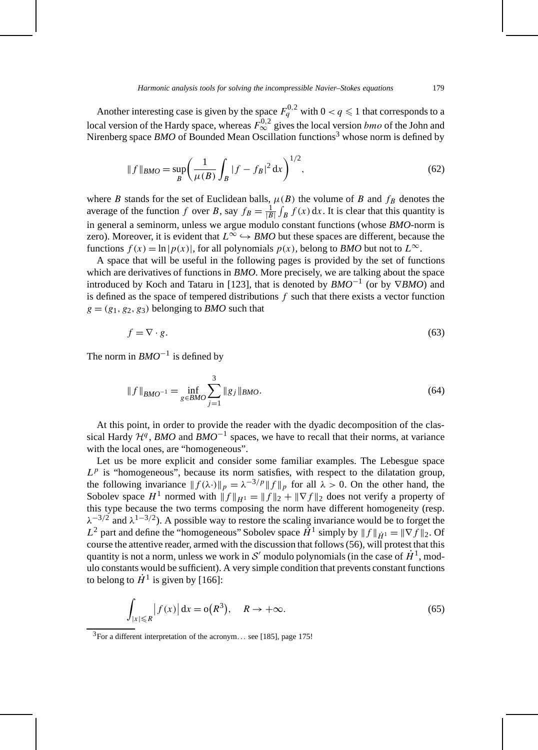Another interesting case is given by the space  $F_q^{0,2}$  with  $0 < q \leq 1$  that corresponds to a local version of the Hardy space, whereas  $F_{\infty}^{0,2}$  gives the local version *bmo* of the John and Nirenberg space *BMO* of Bounded Mean Oscillation functions<sup>3</sup> whose norm is defined by

$$
||f||_{BMO} = \sup_{B} \left( \frac{1}{\mu(B)} \int_{B} |f - f_B|^2 dx \right)^{1/2},
$$
\n(62)

where *B* stands for the set of Euclidean balls,  $\mu(B)$  the volume of *B* and  $f_B$  denotes the average of the function *f* over *B*, say  $f_B = \frac{1}{|B|} \int_B f(x) dx$ . It is clear that this quantity is in general a seminorm, unless we argue modulo constant functions (whose *BMO*-norm is zero). Moreover, it is evident that  $L^{\infty} \hookrightarrow BMO$  but these spaces are different, because the functions  $f(x) = \ln |p(x)|$ , for all polynomials  $p(x)$ , belong to *BMO* but not to  $L^{\infty}$ .

A space that will be useful in the following pages is provided by the set of functions which are derivatives of functions in *BMO*. More precisely, we are talking about the space introduced by Koch and Tataru in [123], that is denoted by *BMO*−<sup>1</sup> (or by ∇*BMO*) and is defined as the space of tempered distributions *f* such that there exists a vector function  $g = (g_1, g_2, g_3)$  belonging to *BMO* such that

$$
f = \nabla \cdot g. \tag{63}
$$

The norm in  $BMO^{-1}$  is defined by

$$
||f||_{BMO^{-1}} = \inf_{g \in BMO} \sum_{j=1}^{3} ||g_j||_{BMO}.
$$
 (64)

At this point, in order to provide the reader with the dyadic decomposition of the classical Hardy  $\mathcal{H}^q$ , *BMO* and *BMO*<sup>−1</sup> spaces, we have to recall that their norms, at variance with the local ones, are "homogeneous".

Let us be more explicit and consider some familiar examples. The Lebesgue space  $L^p$  is "homogeneous", because its norm satisfies, with respect to the dilatation group, the following invariance  $|| f(\lambda \cdot)||_p = \lambda^{-3/p} ||f||_p$  for all  $\lambda > 0$ . On the other hand, the Sobolev space  $H^1$  normed with  $\|f\|_{H^1} = \|f\|_2 + \|\nabla f\|_2$  does not verify a property of this type because the two terms composing the norm have different homogeneity (resp.  $\lambda^{-3/2}$  and  $\lambda^{1-3/2}$ ). A possible way to restore the scaling invariance would be to forget the  $L^2$  part and define the "homogeneous" Sobolev space  $\tilde{H}^1$  simply by  $|| f ||_{\tilde{H}^1} = || \nabla f ||_2$ . Of course the attentive reader, armed with the discussion that follows (56), will protest that this quantity is not a norm, unless we work in S' modulo polynomials (in the case of  $\dot{H}^1$ , modulo constants would be sufficient). A very simple condition that prevents constant functions to belong to  $\dot{H}^1$  is given by [166]:

$$
\int_{|x| \le R} |f(x)| dx = o(R^3), \quad R \to +\infty.
$$
\n(65)

<sup>3</sup>For a different interpretation of the acronym*...* see [185], page 175!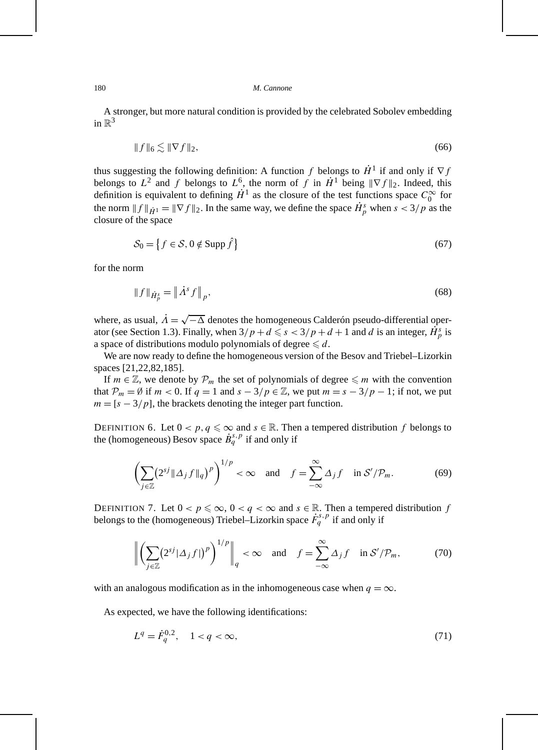A stronger, but more natural condition is provided by the celebrated Sobolev embedding in  $\mathbb{R}^3$ 

$$
\|f\|_6 \lesssim \|\nabla f\|_2,\tag{66}
$$

thus suggesting the following definition: A function *f* belongs to  $\dot{H}^1$  if and only if  $\nabla f$ belongs to  $L^2$  and *f* belongs to  $L^6$ , the norm of *f* in  $\dot{H}^1$  being  $\|\nabla f\|_2$ . Indeed, this definition is equivalent to defining  $\dot{H}^1$  as the closure of the test functions space  $C_0^{\infty}$  for the norm  $|| f ||_{\dot{H}^1} = || \nabla f ||_2$ . In the same way, we define the space  $\dot{H}^s_p$  when  $s < 3/p$  as the closure of the space

$$
S_0 = \left\{ f \in S, 0 \notin \text{Supp} \hat{f} \right\} \tag{67}
$$

for the norm

$$
||f||_{\dot{H}_p^s} = ||\dot{A}^s f||_p,\tag{68}
$$

where, as usual,  $\dot{A} = \sqrt{-\Delta}$  denotes the homogeneous Calderón pseudo-differential operator (see Section 1.3). Finally, when  $3/p + d \leq s < 3/p + d + 1$  and *d* is an integer,  $\hat{H}_p^s$  is a space of distributions modulo polynomials of degree  $\leq d$ .

We are now ready to define the homogeneous version of the Besov and Triebel–Lizorkin spaces [21,22,82,185].

If  $m \in \mathbb{Z}$ , we denote by  $\mathcal{P}_m$  the set of polynomials of degree  $\leq m$  with the convention that  $P_m = \emptyset$  if  $m < 0$ . If  $q = 1$  and  $s - 3/p \in \mathbb{Z}$ , we put  $m = s - 3/p - 1$ ; if not, we put  $m = [s - 3/p]$ , the brackets denoting the integer part function.

DEFINITION 6. Let  $0 < p, q \leq \infty$  and  $s \in \mathbb{R}$ . Then a tempered distribution f belongs to the (homogeneous) Besov space  $\dot{B}^{s,p}_{q}$  if and only if

$$
\left(\sum_{j\in\mathbb{Z}} (2^{sj} \|\Delta_j f\|_q)^p\right)^{1/p} < \infty \quad \text{and} \quad f = \sum_{-\infty}^{\infty} \Delta_j f \quad \text{in } \mathcal{S}'/\mathcal{P}_m. \tag{69}
$$

DEFINITION 7. Let  $0 < p \le \infty$ ,  $0 < q < \infty$  and  $s \in \mathbb{R}$ . Then a tempered distribution *f* belongs to the (homogeneous) Triebel–Lizorkin space  $\dot{F}_q^{s,p}$  if and only if

$$
\left\| \left( \sum_{j \in \mathbb{Z}} (2^{sj} |\Delta_j f|)^p \right)^{1/p} \right\|_q < \infty \quad \text{and} \quad f = \sum_{-\infty}^{\infty} \Delta_j f \quad \text{in } \mathcal{S}'/\mathcal{P}_m,
$$
 (70)

with an analogous modification as in the inhomogeneous case when  $q = \infty$ .

As expected, we have the following identifications:

$$
L^q = \dot{F}_q^{0,2}, \quad 1 < q < \infty,\tag{71}
$$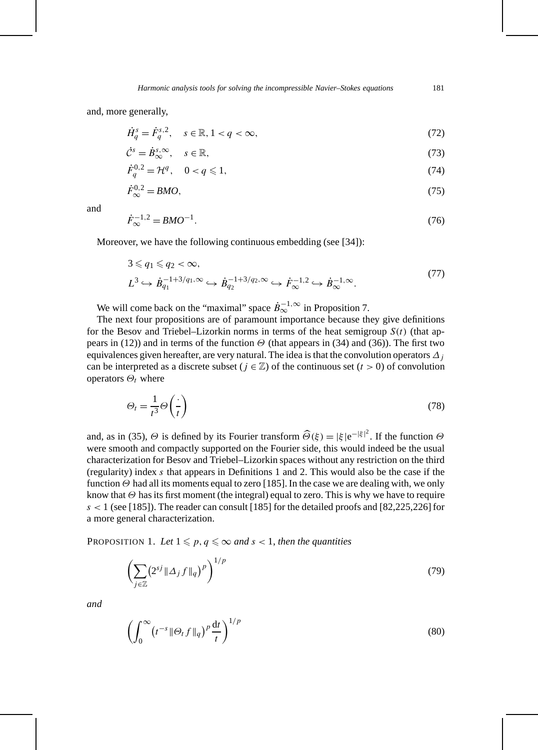and, more generally,

$$
\dot{H}_q^s = \dot{F}_q^{s,2}, \quad s \in \mathbb{R}, 1 < q < \infty,\tag{72}
$$

$$
\dot{\mathcal{C}}^s = \dot{B}^{s,\infty}_{\infty}, \quad s \in \mathbb{R}, \tag{73}
$$

$$
\dot{F}_q^{0,2} = \mathcal{H}^q, \quad 0 < q \leq 1,\tag{74}
$$

$$
\dot{F}_{\infty}^{0,2} = BMO,\tag{75}
$$

and

$$
\dot{F}_{\infty}^{-1,2} = BMO^{-1}.
$$
\n(76)

Moreover, we have the following continuous embedding (see [34]):

$$
3 \leq q_1 \leq q_2 < \infty,
$$
  
\n
$$
L^3 \hookrightarrow \dot{B}_{q_1}^{-1+3/q_1, \infty} \hookrightarrow \dot{B}_{q_2}^{-1+3/q_2, \infty} \hookrightarrow \dot{F}_{\infty}^{-1,2} \hookrightarrow \dot{B}_{\infty}^{-1, \infty}.
$$
\n
$$
(77)
$$

We will come back on the "maximal" space  $\dot{B}_{\infty}^{-1,\infty}$  in Proposition 7.

The next four propositions are of paramount importance because they give definitions for the Besov and Triebel–Lizorkin norms in terms of the heat semigroup  $S(t)$  (that appears in (12)) and in terms of the function *Θ* (that appears in (34) and (36)). The first two equivalences given hereafter, are very natural. The idea is that the convolution operators *∆j* can be interpreted as a discrete subset ( $j \in \mathbb{Z}$ ) of the continuous set ( $t > 0$ ) of convolution operators  $\Theta_t$  where

$$
\Theta_t = \frac{1}{t^3} \Theta\left(\frac{1}{t}\right) \tag{78}
$$

and, as in (35),  $\Theta$  is defined by its Fourier transform  $\widehat{\Theta}(\xi) = |\xi| e^{-|\xi|^2}$ . If the function  $\Theta$ were smooth and compactly supported on the Fourier side, this would indeed be the usual characterization for Besov and Triebel–Lizorkin spaces without any restriction on the third (regularity) index *s* that appears in Definitions 1 and 2. This would also be the case if the function *Θ* had all its moments equal to zero [185]. In the case we are dealing with, we only know that *Θ* has its first moment (the integral) equal to zero. This is why we have to require *s <* 1 (see [185]). The reader can consult [185] for the detailed proofs and [82,225,226] for a more general characterization.

PROPOSITION 1. Let  $1 \leqslant p, q \leqslant \infty$  and  $s < 1$ , then the quantities

$$
\left(\sum_{j\in\mathbb{Z}} \left(2^{sj} \|\Delta_j f\|_q\right)^p\right)^{1/p} \tag{79}
$$

*and*

$$
\left(\int_0^\infty \left(t^{-s} \|\Theta_t f\|_q\right)^p \frac{\mathrm{d}t}{t}\right)^{1/p} \tag{80}
$$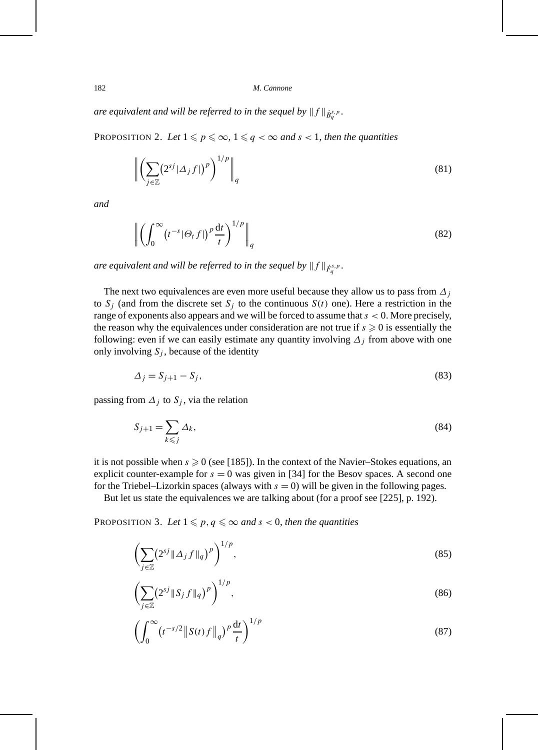*are equivalent and will be referred to in the sequel by*  $\|f\|_{\dot{B}^{s,p}_q}.$ 

PROPOSITION 2. Let  $1 \leqslant p \leqslant \infty$ ,  $1 \leqslant q < \infty$  and  $s < 1$ , then the quantities

$$
\left\| \left( \sum_{j \in \mathbb{Z}} (2^{sj} |\Delta_j f|)^p \right)^{1/p} \right\|_q \tag{81}
$$

*and*

$$
\left\| \left( \int_0^\infty (t^{-s} |\Theta_t f|)^p \frac{\mathrm{d}t}{t} \right)^{1/p} \right\|_q \tag{82}
$$

*are equivalent and will be referred to in the sequel by*  $\|f\|_{\dot{F}_q^{s,p}}$ *.* 

The next two equivalences are even more useful because they allow us to pass from *∆j* to  $S_i$  (and from the discrete set  $S_i$  to the continuous  $S(t)$  one). Here a restriction in the range of exponents also appears and we will be forced to assume that *s <* 0. More precisely, the reason why the equivalences under consideration are not true if  $s \geq 0$  is essentially the following: even if we can easily estimate any quantity involving  $\Delta_i$  from above with one only involving  $S_i$ , because of the identity

$$
\Delta_j = S_{j+1} - S_j,\tag{83}
$$

passing from  $\Delta_j$  to  $S_j$ , via the relation

$$
S_{j+1} = \sum_{k \leq j} \Delta_k,\tag{84}
$$

it is not possible when  $s \geq 0$  (see [185]). In the context of the Navier–Stokes equations, an explicit counter-example for  $s = 0$  was given in [34] for the Besov spaces. A second one for the Triebel–Lizorkin spaces (always with  $s = 0$ ) will be given in the following pages.

But let us state the equivalences we are talking about (for a proof see [225], p. 192).

PROPOSITION 3. Let  $1 \leqslant p, q \leqslant \infty$  and  $s < 0$ , then the quantities

$$
\left(\sum_{j\in\mathbb{Z}}\left(2^{sj}\|\Delta_j f\|_q\right)^p\right)^{1/p},\tag{85}
$$

$$
\left(\sum_{j\in\mathbb{Z}} (2^{sj} \|S_j f\|_q)^p\right)^{1/p},\tag{86}
$$

$$
\left(\int_0^\infty \left(t^{-s/2} \|S(t)f\|_q\right)^p \frac{dt}{t}\right)^{1/p} \tag{87}
$$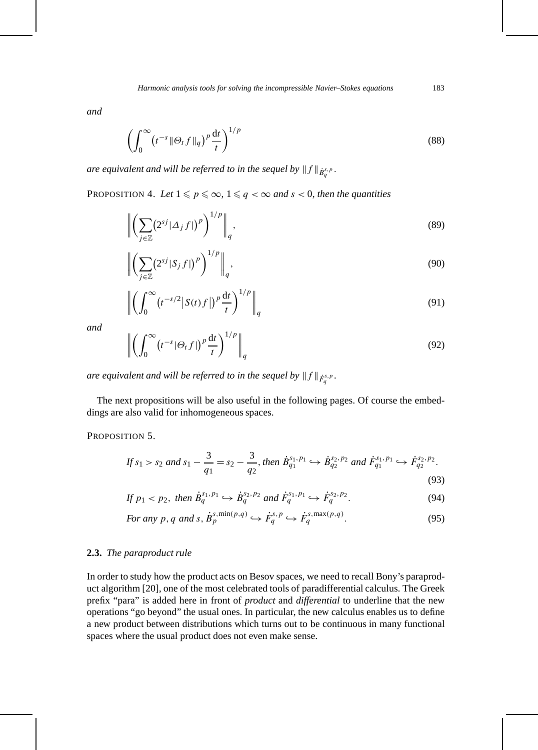*and*

$$
\left(\int_0^\infty \left(t^{-s} \|\Theta_t f\|_q\right)^p \frac{\mathrm{d}t}{t}\right)^{1/p} \tag{88}
$$

*are equivalent and will be referred to in the sequel by*  $\|f\|_{\dot{B}^{s,p}_{q}}$ *.* 

PROPOSITION 4. Let  $1 \leqslant p \leqslant \infty$ ,  $1 \leqslant q < \infty$  and  $s < 0$ , then the quantities

$$
\left\| \left( \sum_{j \in \mathbb{Z}} (2^{sj} |\Delta_j f|)^p \right)^{1/p} \right\|_q,
$$
\n(89)

$$
\left\| \left( \sum_{j \in \mathbb{Z}} \left( 2^{sj} |S_j f| \right)^p \right)^{1/p} \right\|_q,
$$
\n(90)

$$
\left\| \left( \int_0^\infty \left( t^{-s/2} |S(t)f| \right)^p \frac{\mathrm{d}t}{t} \right)^{1/p} \right\|_q \tag{91}
$$

*and*

$$
\left\| \left( \int_0^\infty (t^{-s} |\Theta_t f|)^p \frac{\mathrm{d}t}{t} \right)^{1/p} \right\|_q \tag{92}
$$

*are equivalent and will be referred to in the sequel by*  $\|f\|_{\dot{F}_q^{s,p}}$ *.* 

The next propositions will be also useful in the following pages. Of course the embeddings are also valid for inhomogeneous spaces.

PROPOSITION 5.

$$
If \, s_1 > s_2 \, and \, s_1 - \frac{3}{q_1} = s_2 - \frac{3}{q_2}, then \, \dot{B}_{q_1}^{s_1, p_1} \hookrightarrow \dot{B}_{q_2}^{s_2, p_2} \, and \, \dot{F}_{q_1}^{s_1, p_1} \hookrightarrow \dot{F}_{q_2}^{s_2, p_2}.\tag{93}
$$

$$
If \, p_1 < p_2, \, then \, \dot{B}_q^{s_1, p_1} \hookrightarrow \dot{B}_q^{s_2, p_2} \, and \, \dot{F}_q^{s_1, p_1} \hookrightarrow \dot{F}_q^{s_2, p_2}.\tag{94}
$$

For any p, q and s, 
$$
\dot{B}_p^{s, \min(p,q)} \hookrightarrow \dot{F}_q^{s,p} \hookrightarrow \dot{F}_q^{s, \max(p,q)}
$$
. (95)

# **2.3.** *The paraproduct rule*

In order to study how the product acts on Besov spaces, we need to recall Bony's paraproduct algorithm [20], one of the most celebrated tools of paradifferential calculus. The Greek prefix "para" is added here in front of *product* and *differential* to underline that the new operations "go beyond" the usual ones. In particular, the new calculus enables us to define a new product between distributions which turns out to be continuous in many functional spaces where the usual product does not even make sense.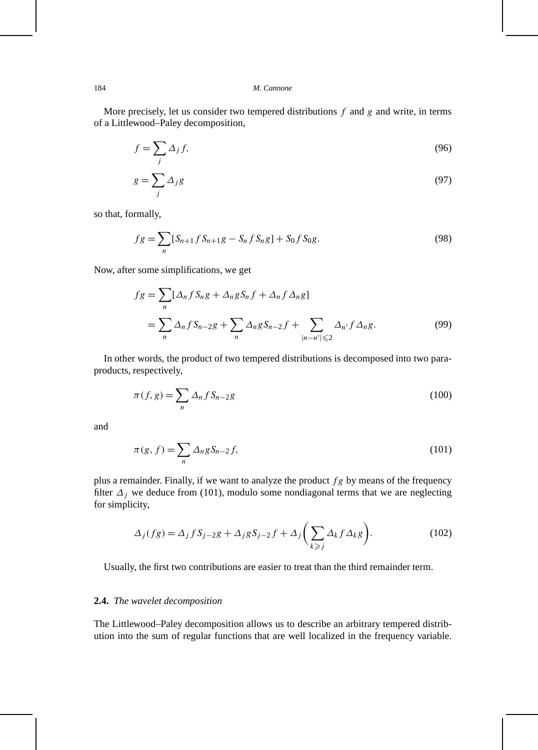More precisely, let us consider two tempered distributions *f* and *g* and write, in terms of a Littlewood–Paley decomposition,

$$
f = \sum_{j} \Delta_j f,\tag{96}
$$

$$
g = \sum_{j} \Delta_j g \tag{97}
$$

so that, formally,

$$
fg = \sum_{n} [S_{n+1}f S_{n+1}g - S_n f S_n g] + S_0 f S_0 g.
$$
 (98)

Now, after some simplifications, we get

$$
fg = \sum_{n} \left[ \Delta_n f S_n g + \Delta_n g S_n f + \Delta_n f \Delta_n g \right]
$$
  
= 
$$
\sum_{n} \Delta_n f S_{n-2} g + \sum_{n} \Delta_n g S_{n-2} f + \sum_{|n-n'| \leqslant 2} \Delta_{n'} f \Delta_n g.
$$
 (99)

In other words, the product of two tempered distributions is decomposed into two paraproducts, respectively,

$$
\pi(f,g) = \sum_{n} \Delta_n f S_{n-2} g \tag{100}
$$

and

$$
\pi(g, f) = \sum_{n} \Delta_n g S_{n-2} f,\tag{101}
$$

plus a remainder. Finally, if we want to analyze the product *fg* by means of the frequency filter  $\Delta_j$  we deduce from (101), modulo some nondiagonal terms that we are neglecting for simplicity,

$$
\Delta_j(fg) = \Delta_j f S_{j-2}g + \Delta_j g S_{j-2}f + \Delta_j \left(\sum_{k \ge j} \Delta_k f \Delta_k g\right).
$$
 (102)

Usually, the first two contributions are easier to treat than the third remainder term.

## **2.4.** *The wavelet decomposition*

The Littlewood–Paley decomposition allows us to describe an arbitrary tempered distribution into the sum of regular functions that are well localized in the frequency variable.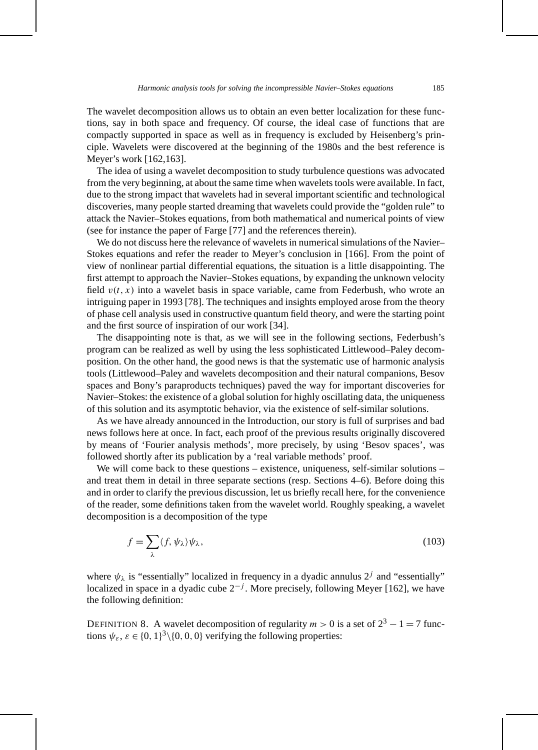The wavelet decomposition allows us to obtain an even better localization for these functions, say in both space and frequency. Of course, the ideal case of functions that are compactly supported in space as well as in frequency is excluded by Heisenberg's principle. Wavelets were discovered at the beginning of the 1980s and the best reference is Meyer's work [162,163].

The idea of using a wavelet decomposition to study turbulence questions was advocated from the very beginning, at about the same time when wavelets tools were available. In fact, due to the strong impact that wavelets had in several important scientific and technological discoveries, many people started dreaming that wavelets could provide the "golden rule" to attack the Navier–Stokes equations, from both mathematical and numerical points of view (see for instance the paper of Farge [77] and the references therein).

We do not discuss here the relevance of wavelets in numerical simulations of the Navier– Stokes equations and refer the reader to Meyer's conclusion in [166]. From the point of view of nonlinear partial differential equations, the situation is a little disappointing. The first attempt to approach the Navier–Stokes equations, by expanding the unknown velocity field  $v(t, x)$  into a wavelet basis in space variable, came from Federbush, who wrote an intriguing paper in 1993 [78]. The techniques and insights employed arose from the theory of phase cell analysis used in constructive quantum field theory, and were the starting point and the first source of inspiration of our work [34].

The disappointing note is that, as we will see in the following sections, Federbush's program can be realized as well by using the less sophisticated Littlewood–Paley decomposition. On the other hand, the good news is that the systematic use of harmonic analysis tools (Littlewood–Paley and wavelets decomposition and their natural companions, Besov spaces and Bony's paraproducts techniques) paved the way for important discoveries for Navier–Stokes: the existence of a global solution for highly oscillating data, the uniqueness of this solution and its asymptotic behavior, via the existence of self-similar solutions.

As we have already announced in the Introduction, our story is full of surprises and bad news follows here at once. In fact, each proof of the previous results originally discovered by means of 'Fourier analysis methods', more precisely, by using 'Besov spaces', was followed shortly after its publication by a 'real variable methods' proof.

We will come back to these questions – existence, uniqueness, self-similar solutions – and treat them in detail in three separate sections (resp. Sections 4–6). Before doing this and in order to clarify the previous discussion, let us briefly recall here, for the convenience of the reader, some definitions taken from the wavelet world. Roughly speaking, a wavelet decomposition is a decomposition of the type

$$
f = \sum_{\lambda} \langle f, \psi_{\lambda} \rangle \psi_{\lambda}, \tag{103}
$$

where  $\psi_{\lambda}$  is "essentially" localized in frequency in a dyadic annulus  $2^{j}$  and "essentially" localized in space in a dyadic cube  $2^{-j}$ . More precisely, following Meyer [162], we have the following definition:

DEFINITION 8. A wavelet decomposition of regularity  $m > 0$  is a set of  $2^3 - 1 = 7$  functions  $\psi_{\varepsilon}$ ,  $\varepsilon \in \{0, 1\}^3 \setminus \{0, 0, 0\}$  verifying the following properties: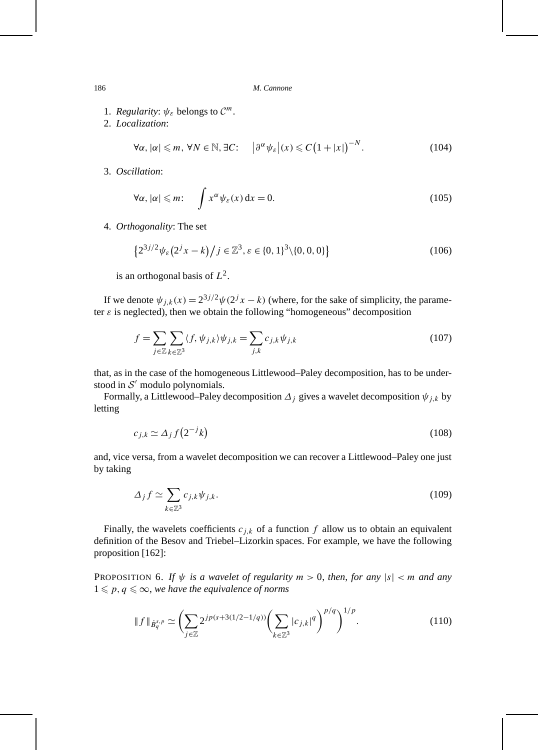- 1. *Regularity:*  $\psi_{\varepsilon}$  belongs to  $\mathcal{C}^m$ .
- 2. *Localization*:

$$
\forall \alpha, |\alpha| \leqslant m, \forall N \in \mathbb{N}, \exists C: \quad \left|\partial^{\alpha} \psi_{\varepsilon}\right| (x) \leqslant C \big(1+|x|\big)^{-N}.\tag{104}
$$

3. *Oscillation*:

$$
\forall \alpha, |\alpha| \leqslant m: \quad \int x^{\alpha} \psi_{\varepsilon}(x) dx = 0. \tag{105}
$$

4. *Orthogonality*: The set

$$
\left\{2^{3j/2}\psi_{\varepsilon}\left(2^{j}x-k\right)/j\in\mathbb{Z}^{3},\varepsilon\in\{0,1\}^{3}\backslash\{0,0,0\}\right\}\tag{106}
$$

is an orthogonal basis of  $L^2$ .

If we denote  $\psi_{j,k}(x) = 2^{3j/2} \psi(2^{j} x - k)$  (where, for the sake of simplicity, the parameter  $\varepsilon$  is neglected), then we obtain the following "homogeneous" decomposition

$$
f = \sum_{j \in \mathbb{Z}} \sum_{k \in \mathbb{Z}^3} \langle f, \psi_{j,k} \rangle \psi_{j,k} = \sum_{j,k} c_{j,k} \psi_{j,k}
$$
(107)

that, as in the case of the homogeneous Littlewood–Paley decomposition, has to be understood in  $S'$  modulo polynomials.

Formally, a Littlewood–Paley decomposition  $\Delta_j$  gives a wavelet decomposition  $\psi_{j,k}$  by letting

$$
c_{j,k} \simeq \Delta_j f(2^{-j}k) \tag{108}
$$

and, vice versa, from a wavelet decomposition we can recover a Littlewood–Paley one just by taking

$$
\Delta_j f \simeq \sum_{k \in \mathbb{Z}^3} c_{j,k} \psi_{j,k}.\tag{109}
$$

Finally, the wavelets coefficients  $c_{j,k}$  of a function  $f$  allow us to obtain an equivalent definition of the Besov and Triebel–Lizorkin spaces. For example, we have the following proposition [162]:

PROPOSITION 6. If  $\psi$  is a wavelet of regularity  $m > 0$ , then, for any  $|s| < m$  and any  $1 \leqslant p, q \leqslant \infty$ , we have the equivalence of norms

$$
\|f\|_{\dot{B}_q^{s,p}} \simeq \left(\sum_{j\in\mathbb{Z}} 2^{jp(s+3(1/2-1/q))} \left(\sum_{k\in\mathbb{Z}^3} |c_{j,k}|^q\right)^{p/q}\right)^{1/p}.\tag{110}
$$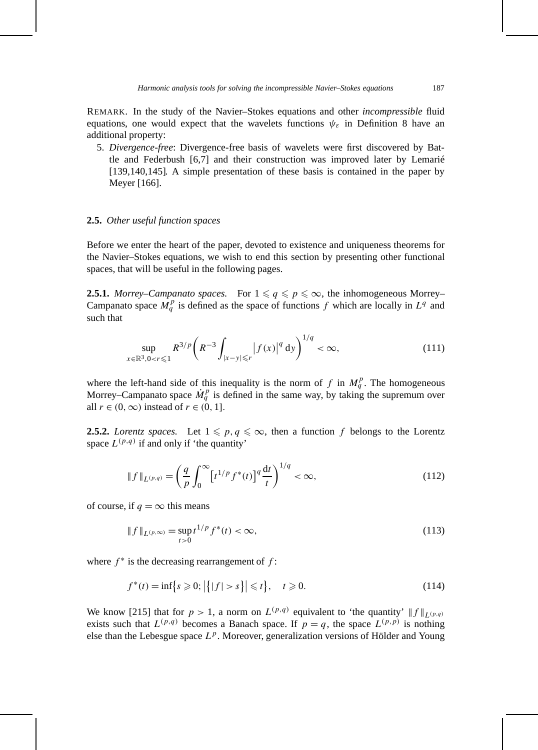REMARK. In the study of the Navier–Stokes equations and other *incompressible* fluid equations, one would expect that the wavelets functions  $\psi_{\varepsilon}$  in Definition 8 have an additional property:

5. *Divergence-free*: Divergence-free basis of wavelets were first discovered by Battle and Federbush [6,7] and their construction was improved later by Lemarié [139,140,145]. A simple presentation of these basis is contained in the paper by Meyer [166].

#### **2.5.** *Other useful function spaces*

Before we enter the heart of the paper, devoted to existence and uniqueness theorems for the Navier–Stokes equations, we wish to end this section by presenting other functional spaces, that will be useful in the following pages.

**2.5.1.** *Morrey–Campanato spaces.* For  $1 \leq q \leq p \leq \infty$ , the inhomogeneous Morrey– Campanato space  $M_q^p$  is defined as the space of functions *f* which are locally in  $L^q$  and such that

$$
\sup_{x \in \mathbb{R}^3, 0 < r \leq 1} R^{3/p} \left( R^{-3} \int_{|x - y| \leq r} |f(x)|^q \, \mathrm{d}y \right)^{1/q} < \infty,\tag{111}
$$

where the left-hand side of this inequality is the norm of  $f$  in  $M_q^p$ . The homogeneous Morrey–Campanato space  $\dot{M}_q^p$  is defined in the same way, by taking the supremum over all  $r \in (0, \infty)$  instead of  $r \in (0, 1]$ .

**2.5.2.** *Lorentz spaces.* Let  $1 \leq p, q \leq \infty$ , then a function f belongs to the Lorentz space  $L^{(p,q)}$  if and only if 'the quantity'

$$
\|f\|_{L^{(p,q)}} = \left(\frac{q}{p} \int_0^\infty [t^{1/p} f^*(t)]^q \frac{\mathrm{d}t}{t}\right)^{1/q} < \infty,\tag{112}
$$

of course, if  $q = \infty$  this means

$$
||f||_{L^{(p,\infty)}} = \sup_{t>0} t^{1/p} f^*(t) < \infty,\tag{113}
$$

where  $f^*$  is the decreasing rearrangement of  $f$ :

$$
f^*(t) = \inf\{s \ge 0; |\{|f| > s\}| \le t\}, \quad t \ge 0.
$$
 (114)

We know [215] that for  $p > 1$ , a norm on  $L^{(p,q)}$  equivalent to 'the quantity'  $|| f ||_{L^{(p,q)}}$ exists such that  $L^{(p,q)}$  becomes a Banach space. If  $p = q$ , the space  $L^{(p,p)}$  is nothing else than the Lebesgue space  $L^p$ . Moreover, generalization versions of Hölder and Young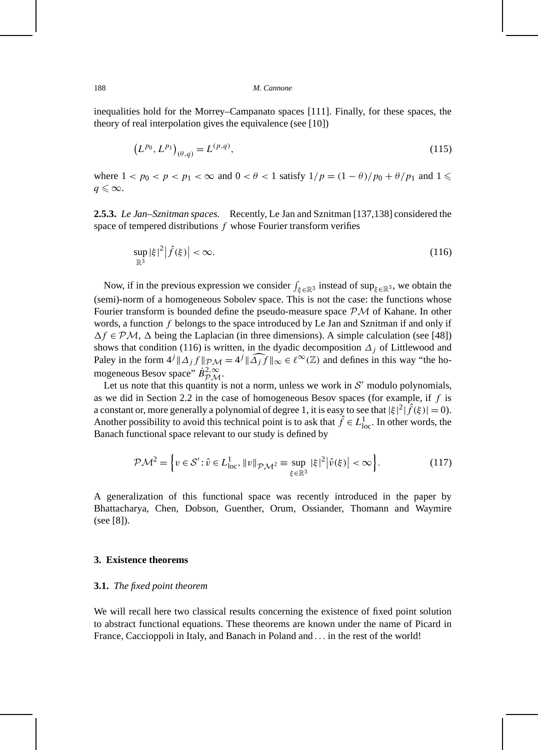inequalities hold for the Morrey–Campanato spaces [111]. Finally, for these spaces, the theory of real interpolation gives the equivalence (see [10])

$$
(L^{p_0}, L^{p_1})_{(\theta, q)} = L^{(p, q)}, \tag{115}
$$

where  $1 < p_0 < p < p_1 < \infty$  and  $0 < \theta < 1$  satisfy  $1/p = (1 - \theta)/p_0 + \theta/p_1$  and  $1 \leq$  $q \leqslant \infty$ .

**2.5.3.** *Le Jan–Sznitman spaces.* Recently, Le Jan and Sznitman [137,138] considered the space of tempered distributions *f* whose Fourier transform verifies

$$
\sup_{\mathbb{R}^3} |\xi|^2 |\hat{f}(\xi)| < \infty.
$$
 (116)

Now, if in the previous expression we consider  $\int_{\xi \in \mathbb{R}^3}$  instead of sup<sub> $\xi \in \mathbb{R}^3$ </sub>, we obtain the (semi)-norm of a homogeneous Sobolev space. This is not the case: the functions whose Fourier transform is bounded define the pseudo-measure space  $\mathcal{P}M$  of Kahane. In other words, a function *f* belongs to the space introduced by Le Jan and Sznitman if and only if  $\Delta f \in \mathcal{PM}$ ,  $\Delta$  being the Laplacian (in three dimensions). A simple calculation (see [48]) shows that condition (116) is written, in the dyadic decomposition  $\Delta_j$  of Littlewood and Paley in the form  $4^{j}$   $\|\Delta_j f\|_{\mathcal{PM}} = 4^{j}$   $\|\widehat{\Delta_j f}\|_{\infty} \in \ell^{\infty}(\mathbb{Z})$  and defines in this way "the homogeneous Besov space"  $\dot{B}_{\mathcal{PM}}^{2,\infty}$ .

Let us note that this quantity is not a norm, unless we work in  $S'$  modulo polynomials, as we did in Section 2.2 in the case of homogeneous Besov spaces (for example, if *f* is a constant or, more generally a polynomial of degree 1, it is easy to see that  $|\xi|^2|\hat{f}(\xi)| = 0$ ). Another possibility to avoid this technical point is to ask that  $\hat{f} \in L^1_{loc}$ . In other words, the Banach functional space relevant to our study is defined by

$$
\mathcal{PM}^2 = \left\{ v \in \mathcal{S}' : \hat{v} \in L^1_{\text{loc}}, \|v\|_{\mathcal{PM}^2} \equiv \sup_{\xi \in \mathbb{R}^3} |\xi|^2 |\hat{v}(\xi)| < \infty \right\}. \tag{117}
$$

A generalization of this functional space was recently introduced in the paper by Bhattacharya, Chen, Dobson, Guenther, Orum, Ossiander, Thomann and Waymire (see [8]).

## **3. Existence theorems**

#### **3.1.** *The fixed point theorem*

We will recall here two classical results concerning the existence of fixed point solution to abstract functional equations. These theorems are known under the name of Picard in France, Caccioppoli in Italy, and Banach in Poland and *...* in the rest of the world!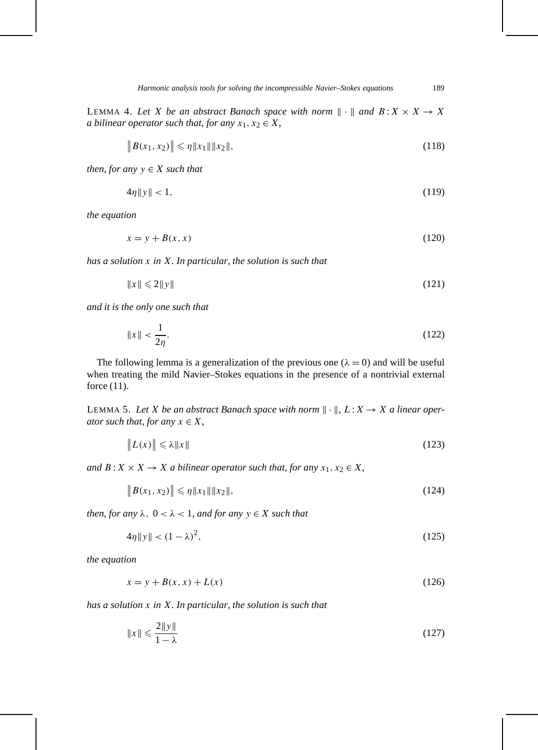LEMMA 4. Let *X* be an abstract Banach space with norm  $\| \cdot \|$  and  $B: X \times X \rightarrow X$ *a bilinear operator such that, for any*  $x_1, x_2 \in X$ ,

$$
\|B(x_1, x_2)\| \leqslant \eta \|x_1\| \|x_2\|,\tag{118}
$$

*then, for any*  $y \in X$  *such that* 

$$
4\eta \|y\| < 1,\tag{119}
$$

*the equation*

$$
x = y + B(x, x) \tag{120}
$$

*has a solution x in X. In particular*, *the solution is such that*

$$
||x|| \leq 2||y|| \tag{121}
$$

*and it is the only one such that*

 $\ddot{\phantom{a}}$ 

$$
\|x\| < \frac{1}{2\eta}.\tag{122}
$$

The following lemma is a generalization of the previous one  $(\lambda = 0)$  and will be useful when treating the mild Navier–Stokes equations in the presence of a nontrivial external force (11).

LEMMA 5. Let *X* be an abstract Banach space with norm  $\|\cdot\|$ ,  $L:X \to X$  a linear oper*ator such that, for any*  $x \in X$ ,

$$
||L(x)|| \le \lambda ||x|| \tag{123}
$$

*and*  $B: X \times X \rightarrow X$  *a bilinear operator such that, for any*  $x_1, x_2 \in X$ ,

$$
\|B(x_1, x_2)\| \leqslant \eta \|x_1\| \|x_2\|,\tag{124}
$$

*then, for any*  $\lambda$ ,  $0 < \lambda < 1$ *, and for any*  $y \in X$  *such that* 

$$
4\eta \|y\| < (1 - \lambda)^2,\tag{125}
$$

*the equation*

$$
x = y + B(x, x) + L(x)
$$
 (126)

*has a solution x in X. In particular*, *the solution is such that*

$$
||x|| \leqslant \frac{2||y||}{1-\lambda} \tag{127}
$$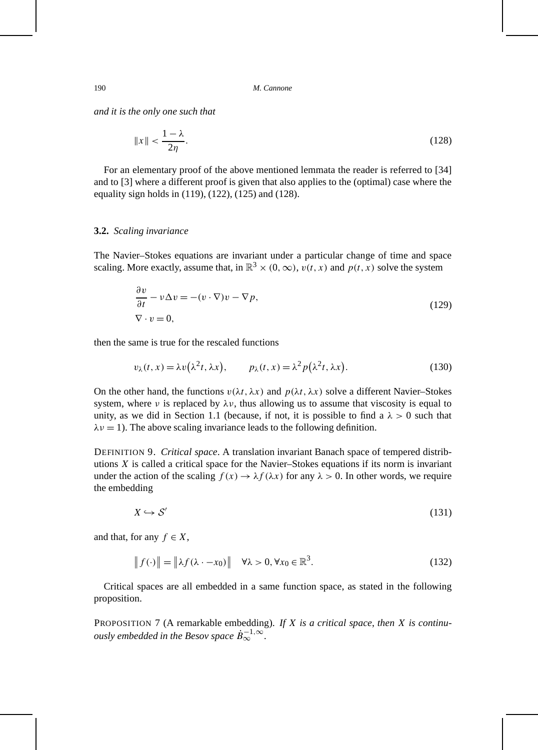*and it is the only one such that*

$$
||x|| < \frac{1-\lambda}{2\eta}.\tag{128}
$$

For an elementary proof of the above mentioned lemmata the reader is referred to [34] and to [3] where a different proof is given that also applies to the (optimal) case where the equality sign holds in (119), (122), (125) and (128).

# **3.2.** *Scaling invariance*

The Navier–Stokes equations are invariant under a particular change of time and space scaling. More exactly, assume that, in  $\mathbb{R}^3 \times (0, \infty)$ ,  $v(t, x)$  and  $p(t, x)$  solve the system

$$
\frac{\partial v}{\partial t} - v \Delta v = -(v \cdot \nabla)v - \nabla p,
$$
  

$$
\nabla \cdot v = 0,
$$
 (129)

then the same is true for the rescaled functions

$$
v_{\lambda}(t, x) = \lambda v(\lambda^{2} t, \lambda x), \qquad p_{\lambda}(t, x) = \lambda^{2} p(\lambda^{2} t, \lambda x).
$$
 (130)

On the other hand, the functions  $v(\lambda t, \lambda x)$  and  $p(\lambda t, \lambda x)$  solve a different Navier–Stokes system, where  $\nu$  is replaced by  $\lambda \nu$ , thus allowing us to assume that viscosity is equal to unity, as we did in Section 1.1 (because, if not, it is possible to find a  $\lambda > 0$  such that  $\lambda v = 1$ ). The above scaling invariance leads to the following definition.

DEFINITION 9. *Critical space*. A translation invariant Banach space of tempered distributions *X* is called a critical space for the Navier–Stokes equations if its norm is invariant under the action of the scaling  $f(x) \to \lambda f(\lambda x)$  for any  $\lambda > 0$ . In other words, we require the embedding

$$
X \hookrightarrow \mathcal{S}' \tag{131}
$$

and that, for any  $f \in X$ ,

$$
\|f(\cdot)\| = \|\lambda f(\lambda - x_0)\| \quad \forall \lambda > 0, \forall x_0 \in \mathbb{R}^3.
$$
 (132)

Critical spaces are all embedded in a same function space, as stated in the following proposition.

PROPOSITION 7 (A remarkable embedding). *If X is a critical space*, *then X is continuously embedded in the Besov space*  $\dot{B}_{\infty}^{-1,\infty}$ .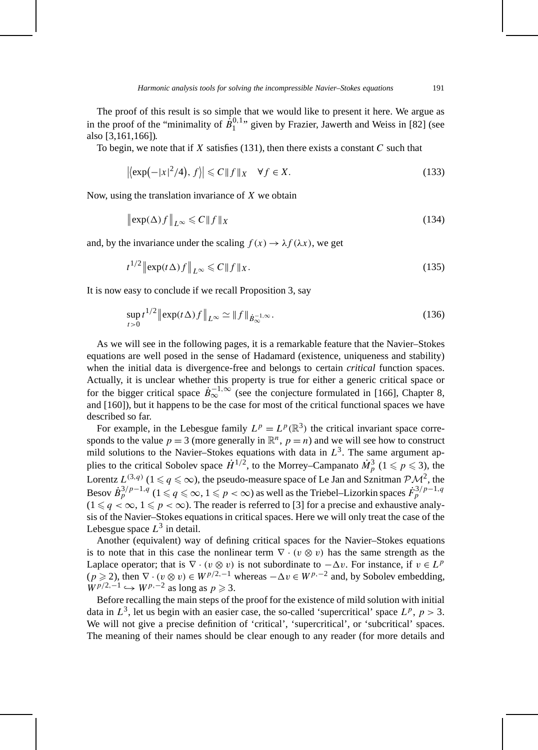The proof of this result is so simple that we would like to present it here. We argue as in the proof of the "minimality of  $\dot{B}_1^{0,1}$ " given by Frazier, Jawerth and Weiss in [82] (see also [3,161,166]).

To begin, we note that if *X* satisfies (131), then there exists a constant *C* such that

$$
\left| \left( \exp\left( -|x|^2/4 \right), f \right) \right| \leqslant C \| f \|_X \quad \forall f \in X. \tag{133}
$$

Now, using the translation invariance of *X* we obtain

$$
\left\| \exp(\Delta) f \right\|_{L^{\infty}} \leqslant C \| f \|_{X}
$$
\n(134)

and, by the invariance under the scaling  $f(x) \rightarrow \lambda f(\lambda x)$ , we get

$$
t^{1/2} \left\| \exp(t\,\Delta) f \right\|_{L^\infty} \leqslant C \left\| f \right\|_{X}.\tag{135}
$$

It is now easy to conclude if we recall Proposition 3, say

$$
\sup_{t>0} t^{1/2} \left\| \exp(t\Delta) f \right\|_{L^{\infty}} \simeq \|f\|_{\dot{B}_{\infty}^{-1,\infty}}.
$$
\n(136)

As we will see in the following pages, it is a remarkable feature that the Navier–Stokes equations are well posed in the sense of Hadamard (existence, uniqueness and stability) when the initial data is divergence-free and belongs to certain *critical* function spaces. Actually, it is unclear whether this property is true for either a generic critical space or for the bigger critical space  $\dot{B}_{\infty}^{-1,\infty}$  (see the conjecture formulated in [166], Chapter 8, and [160]), but it happens to be the case for most of the critical functional spaces we have described so far.

For example, in the Lebesgue family  $L^p = L^p(\mathbb{R}^3)$  the critical invariant space corresponds to the value  $p = 3$  (more generally in  $\mathbb{R}^n$ ,  $p = n$ ) and we will see how to construct mild solutions to the Navier–Stokes equations with data in  $L<sup>3</sup>$ . The same argument applies to the critical Sobolev space  $\dot{H}^{1/2}$ , to the Morrey–Campanato  $\dot{M}_p^3$  ( $1 \leq p \leq 3$ ), the Lorentz  $L^{(3,q)}$  ( $1 \le q \le \infty$ ), the pseudo-measure space of Le Jan and Sznitman  $\mathcal{PM}^2$ , the Besov  $\dot{B}_p^{3/p-1,q}$  ( $1 \leqslant q \leqslant \infty, 1 \leqslant p < \infty$ ) as well as the Triebel–Lizorkin spaces  $\dot{F}_p^{3/p-1,q}$  $(1 \leq q < \infty, 1 \leq p < \infty)$ . The reader is referred to [3] for a precise and exhaustive analysis of the Navier–Stokes equations in critical spaces. Here we will only treat the case of the Lebesgue space  $L^3$  in detail.

Another (equivalent) way of defining critical spaces for the Navier–Stokes equations is to note that in this case the nonlinear term  $\nabla \cdot (v \otimes v)$  has the same strength as the Laplace operator; that is  $\nabla \cdot (v \otimes v)$  is not subordinate to  $-\Delta v$ . For instance, if  $v \in L^p$  $(p \ge 2)$ , then  $\nabla \cdot (v \otimes v) \in W^{p/2,-1}$  whereas  $-\Delta v \in W^{p,-2}$  and, by Sobolev embedding,  $W^{p/2,-1} \hookrightarrow W^{p,-2}$  as long as  $p \ge 3$ .

Before recalling the main steps of the proof for the existence of mild solution with initial data in  $L^3$ , let us begin with an easier case, the so-called 'supercritical' space  $L^p$ ,  $p > 3$ . We will not give a precise definition of 'critical', 'supercritical', or 'subcritical' spaces. The meaning of their names should be clear enough to any reader (for more details and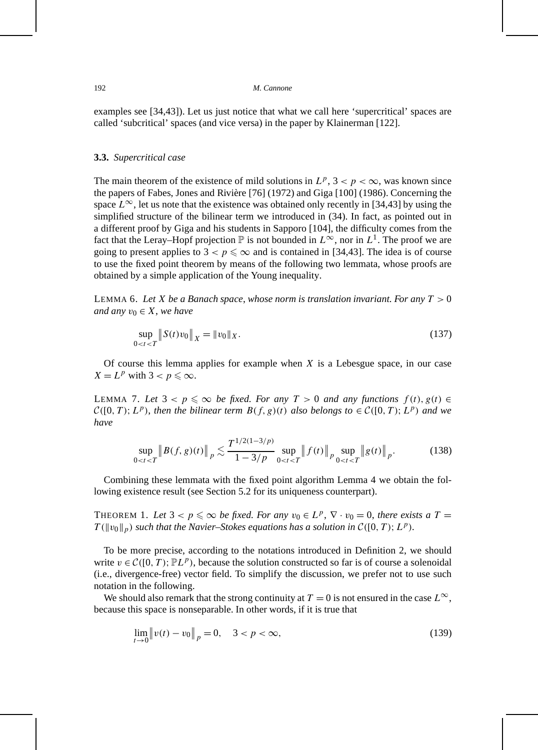examples see [34,43]). Let us just notice that what we call here 'supercritical' spaces are called 'subcritical' spaces (and vice versa) in the paper by Klainerman [122].

# **3.3.** *Supercritical case*

The main theorem of the existence of mild solutions in  $L^p$ ,  $3 < p < \infty$ , was known since the papers of Fabes, Jones and Rivière [76] (1972) and Giga [100] (1986). Concerning the space  $L^{\infty}$ , let us note that the existence was obtained only recently in [34,43] by using the simplified structure of the bilinear term we introduced in  $(34)$ . In fact, as pointed out in a different proof by Giga and his students in Sapporo [104], the difficulty comes from the fact that the Leray–Hopf projection  $\mathbb P$  is not bounded in  $L^{\infty}$ , nor in  $L^1$ . The proof we are going to present applies to  $3 < p \leq \infty$  and is contained in [34,43]. The idea is of course to use the fixed point theorem by means of the following two lemmata, whose proofs are obtained by a simple application of the Young inequality.

LEMMA 6. *Let X be a Banach space*, *whose norm is translation invariant. For any T >* 0 *and any*  $v_0 \in X$ *, we have* 

$$
\sup_{0 < t < T} \| S(t) v_0 \|_X = \| v_0 \|_X. \tag{137}
$$

Of course this lemma applies for example when  $X$  is a Lebesgue space, in our case  $X = L^p$  with  $3 < p \leq \infty$ .

LEMMA 7. Let  $3 < p \le \infty$  be fixed. For any  $T > 0$  and any functions  $f(t), g(t) \in$  $C([0, T); L<sup>p</sup>)$ , *then the bilinear term*  $B(f, g)(t)$  *also belongs to*  $\in C([0, T); L<sup>p</sup>)$  *and we have*

$$
\sup_{0 < t < T} \|B(f, g)(t)\|_{p} \lesssim \frac{T^{1/2(1-3/p)}}{1 - 3/p} \sup_{0 < t < T} \|f(t)\|_{p} \sup_{0 < t < T} \|g(t)\|_{p}.\tag{138}
$$

Combining these lemmata with the fixed point algorithm Lemma 4 we obtain the following existence result (see Section 5.2 for its uniqueness counterpart).

THEOREM 1. Let  $3 < p \le \infty$  be fixed. For any  $v_0 \in L^p$ ,  $\nabla \cdot v_0 = 0$ , there exists a  $T =$  $T(\|v_0\|_p)$  *such that the Navier–Stokes equations has a solution in*  $C([0, T); L^p)$ *.* 

To be more precise, according to the notations introduced in Definition 2, we should write  $v \in C([0, T); \mathbb{P}L^p)$ , because the solution constructed so far is of course a solenoidal (i.e., divergence-free) vector field. To simplify the discussion, we prefer not to use such notation in the following.

We should also remark that the strong continuity at  $T = 0$  is not ensured in the case  $L^{\infty}$ , because this space is nonseparable. In other words, if it is true that

$$
\lim_{t \to 0} \left\| v(t) - v_0 \right\|_p = 0, \quad 3 < p < \infty,\tag{139}
$$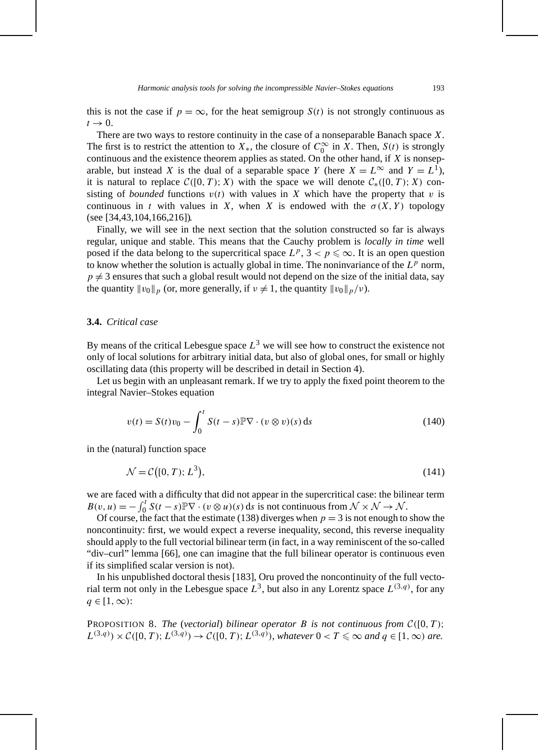this is not the case if  $p = \infty$ , for the heat semigroup  $S(t)$  is not strongly continuous as  $t \rightarrow 0$ .

There are two ways to restore continuity in the case of a nonseparable Banach space *X*. The first is to restrict the attention to  $X_*$ , the closure of  $C_0^{\infty}$  in *X*. Then, *S(t)* is strongly continuous and the existence theorem applies as stated. On the other hand, if  $\overline{X}$  is nonseparable, but instead *X* is the dual of a separable space *Y* (here  $X = L^{\infty}$  and  $Y = L^{1}$ ), it is natural to replace  $C([0, T); X)$  with the space we will denote  $C_*(0, T); X$  consisting of *bounded* functions  $v(t)$  with values in X which have the property that v is continuous in *t* with values in *X*, when *X* is endowed with the  $\sigma(X, Y)$  topology (see [34,43,104,166,216]).

Finally, we will see in the next section that the solution constructed so far is always regular, unique and stable. This means that the Cauchy problem is *locally in time* well posed if the data belong to the supercritical space  $L^p$ ,  $3 < p \leq \infty$ . It is an open question to know whether the solution is actually global in time. The noninvariance of the  $L^p$  norm,  $p \neq 3$  ensures that such a global result would not depend on the size of the initial data, say the quantity  $\|v_0\|_p$  (or, more generally, if  $v \neq 1$ , the quantity  $\|v_0\|_p/v$ ).

# **3.4.** *Critical case*

By means of the critical Lebesgue space  $L<sup>3</sup>$  we will see how to construct the existence not only of local solutions for arbitrary initial data, but also of global ones, for small or highly oscillating data (this property will be described in detail in Section 4).

Let us begin with an unpleasant remark. If we try to apply the fixed point theorem to the integral Navier–Stokes equation

$$
v(t) = S(t)v_0 - \int_0^t S(t-s)\mathbb{P}\nabla \cdot (v\otimes v)(s) \,ds\tag{140}
$$

in the (natural) function space

$$
\mathcal{N} = \mathcal{C}\big( [0, T); L^3 \big),\tag{141}
$$

we are faced with a difficulty that did not appear in the supercritical case: the bilinear term  $B(v, u) = -\int_0^t S(t-s) \mathbb{P} \nabla \cdot (v \otimes u)(s) ds$  is not continuous from  $\mathcal{N} \times \mathcal{N} \rightarrow \mathcal{N}$ .

Of course, the fact that the estimate (138) diverges when  $p = 3$  is not enough to show the noncontinuity: first, we would expect a reverse inequality, second, this reverse inequality should apply to the full vectorial bilinear term (in fact, in a way reminiscent of the so-called "div–curl" lemma [66], one can imagine that the full bilinear operator is continuous even if its simplified scalar version is not).

In his unpublished doctoral thesis [183], Oru proved the noncontinuity of the full vectorial term not only in the Lebesgue space  $L^3$ , but also in any Lorentz space  $L^{(3,q)}$ , for any  $q \in [1, \infty)$ :

PROPOSITION 8. *The* (*vectorial*) *bilinear operator B is not continuous from* C*(*[0*,T)*;  $L^{(3,q)} \times C([0, T); L^{(3,q)}) \to C([0, T); L^{(3,q)})$ , *whatever*  $0 < T \le \infty$  *and*  $q \in [1, \infty)$  *are.*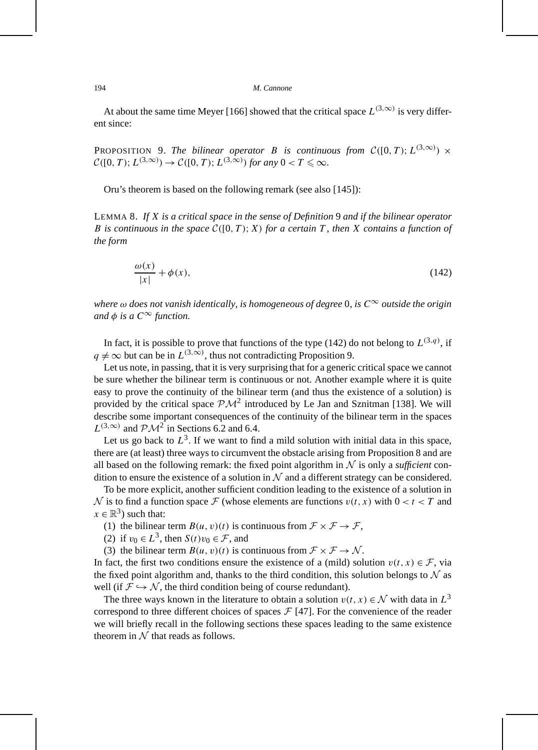At about the same time Meyer [166] showed that the critical space  $L^{(3,\infty)}$  is very different since:

PROPOSITION 9. The bilinear operator *B* is continuous from  $C([0, T); L^{(3, \infty)}) \times$  $\mathcal{C}([0, T); L^{(3, \infty)}) \to \mathcal{C}([0, T); L^{(3, \infty)})$  *for any*  $0 < T \leq \infty$ *.* 

Oru's theorem is based on the following remark (see also [145]):

LEMMA 8. *If X is a critical space in the sense of Definition* 9 *and if the bilinear operator B is continuous in the space*  $C([0, T); X)$  *for a certain T*, *then X contains a function of the form*

$$
\frac{\omega(x)}{|x|} + \phi(x),\tag{142}
$$

*where ω does not vanish identically*, *is homogeneous of degree* 0, *is C*<sup>∞</sup> *outside the origin and*  $\phi$  *is a*  $C^{\infty}$  *function.* 

In fact, it is possible to prove that functions of the type (142) do not belong to  $L^{(3,q)}$ , if  $q \neq \infty$  but can be in  $L^{(3,\infty)}$ , thus not contradicting Proposition 9.

Let us note, in passing, that it is very surprising that for a generic critical space we cannot be sure whether the bilinear term is continuous or not. Another example where it is quite easy to prove the continuity of the bilinear term (and thus the existence of a solution) is provided by the critical space  $\mathcal{PM}^2$  introduced by Le Jan and Sznitman [138]. We will describe some important consequences of the continuity of the bilinear term in the spaces  $L^{(3,\infty)}$  and  $\mathcal{PM}^2$  in Sections 6.2 and 6.4.

Let us go back to  $L^3$ . If we want to find a mild solution with initial data in this space, there are (at least) three ways to circumvent the obstacle arising from Proposition 8 and are all based on the following remark: the fixed point algorithm in  $N$  is only a *sufficient* condition to ensure the existence of a solution in  $\mathcal N$  and a different strategy can be considered.

To be more explicit, another sufficient condition leading to the existence of a solution in N is to find a function space F (whose elements are functions  $v(t, x)$  with  $0 < t < T$  and  $x \in \mathbb{R}^3$  such that:

(1) the bilinear term  $B(u, v)(t)$  is continuous from  $\mathcal{F} \times \mathcal{F} \to \mathcal{F}$ ,

- (2) if  $v_0 \in L^3$ , then  $S(t)v_0 \in \mathcal{F}$ , and
- (3) the bilinear term  $B(u, v)(t)$  is continuous from  $\mathcal{F} \times \mathcal{F} \to \mathcal{N}$ .

In fact, the first two conditions ensure the existence of a (mild) solution  $v(t, x) \in \mathcal{F}$ , via the fixed point algorithm and, thanks to the third condition, this solution belongs to  $\mathcal N$  as well (if  $\mathcal{F} \hookrightarrow \mathcal{N}$ , the third condition being of course redundant).

The three ways known in the literature to obtain a solution  $v(t, x) \in \mathcal{N}$  with data in  $L^3$ correspond to three different choices of spaces  $\mathcal{F}$  [47]. For the convenience of the reader we will briefly recall in the following sections these spaces leading to the same existence theorem in  $\mathcal N$  that reads as follows.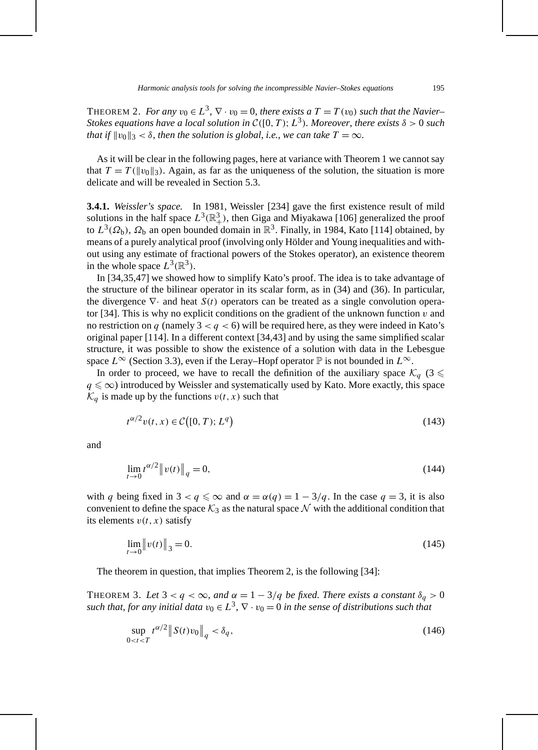THEOREM 2. *For any*  $v_0 \in L^3$ ,  $\nabla \cdot v_0 = 0$ , *there exists a*  $T = T(v_0)$  *such that the Navier– Stokes equations have a local solution in*  $C([0, T); L^3)$ *. Moreover, there exists*  $\delta > 0$  *such that if*  $\|v_0\|_3 < \delta$ , *then the solution is global, i.e., we can take*  $T = \infty$ *.* 

As it will be clear in the following pages, here at variance with Theorem 1 we cannot say that  $T = T(\|v_0\|_3)$ . Again, as far as the uniqueness of the solution, the situation is more delicate and will be revealed in Section 5.3.

**3.4.1.** *Weissler's space.* In 1981, Weissler [234] gave the first existence result of mild solutions in the half space  $L^3(\mathbb{R}^3_+)$ , then Giga and Miyakawa [106] generalized the proof to  $L^3(\Omega_b)$ ,  $\Omega_b$  an open bounded domain in  $\mathbb{R}^3$ . Finally, in 1984, Kato [114] obtained, by means of a purely analytical proof (involving only Hölder and Young inequalities and without using any estimate of fractional powers of the Stokes operator), an existence theorem in the whole space  $L^3(\mathbb{R}^3)$ .

In [34,35,47] we showed how to simplify Kato's proof. The idea is to take advantage of the structure of the bilinear operator in its scalar form, as in (34) and (36). In particular, the divergence ∇· and heat *S(t)* operators can be treated as a single convolution operator [34]. This is why no explicit conditions on the gradient of the unknown function *v* and no restriction on *q* (namely  $3 < q < 6$ ) will be required here, as they were indeed in Kato's original paper [114]. In a different context [34,43] and by using the same simplified scalar structure, it was possible to show the existence of a solution with data in the Lebesgue space *L*<sup>∞</sup> (Section 3.3), even if the Leray–Hopf operator  $\mathbb P$  is not bounded in  $L^\infty$ .

In order to proceed, we have to recall the definition of the auxiliary space  $\mathcal{K}_q$  (3  $\leq$  $q \leq \infty$ ) introduced by Weissler and systematically used by Kato. More exactly, this space  $\mathcal{K}_q$  is made up by the functions  $v(t, x)$  such that

$$
t^{\alpha/2}v(t,x)\in \mathcal{C}\big([0,T);L^q\big)
$$
\n(143)

and

$$
\lim_{t \to 0} t^{\alpha/2} \|v(t)\|_{q} = 0,
$$
\n(144)

with *q* being fixed in  $3 < q \le \infty$  and  $\alpha = \alpha(q) = 1 - 3/q$ . In the case  $q = 3$ , it is also convenient to define the space  $K_3$  as the natural space N with the additional condition that its elements  $v(t, x)$  satisfy

$$
\lim_{t \to 0} \|v(t)\|_{3} = 0. \tag{145}
$$

The theorem in question, that implies Theorem 2, is the following [34]:

THEOREM 3. Let  $3 < q < \infty$ , and  $\alpha = 1 - 3/q$  be fixed. There exists a constant  $\delta_q > 0$ *such that, for any initial data*  $v_0 \in L^3$ ,  $\nabla \cdot v_0 = 0$  *in the sense of distributions such that* 

$$
\sup_{0 < t < T} t^{\alpha/2} \| S(t) v_0 \|_q < \delta_q,\tag{146}
$$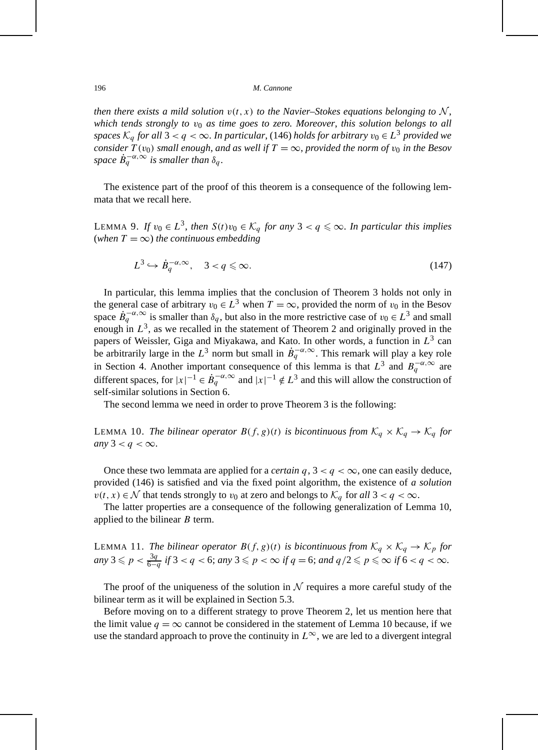*then there exists a mild solution*  $v(t, x)$  *to the Navier–Stokes equations belonging to*  $N$ , *which tends strongly to v*<sup>0</sup> *as time goes to zero. Moreover*, *this solution belongs to all spaces*  $\mathcal{K}_q$  *for all*  $3 < q < \infty$ *. In particular,* (146) *holds for arbitrary*  $v_0 \in L^3$  *provided we consider*  $T(v_0)$  *small enough, and as well if*  $T = \infty$ *, provided the norm of*  $v_0$  *in the Besov space*  $\dot{B}_q^{-\alpha,\infty}$  *is smaller than*  $\delta_q$ *.* 

The existence part of the proof of this theorem is a consequence of the following lemmata that we recall here.

LEMMA 9. *If*  $v_0 \in L^3$ , then  $S(t)v_0 \in K_q$  for any  $3 < q \leq \infty$ . In particular this implies (*when*  $T = \infty$ *)* the continuous embedding

$$
L^3 \hookrightarrow \dot{B}_q^{-\alpha,\infty}, \quad 3 < q \leq \infty. \tag{147}
$$

In particular, this lemma implies that the conclusion of Theorem 3 holds not only in the general case of arbitrary  $v_0 \,\in L^3$  when  $T = \infty$ , provided the norm of  $v_0$  in the Besov space  $\dot{B}_q^{-\alpha,\infty}$  is smaller than  $\delta_q$ , but also in the more restrictive case of  $v_0 \in L^3$  and small enough in  $L^3$ , as we recalled in the statement of Theorem 2 and originally proved in the papers of Weissler, Giga and Miyakawa, and Kato. In other words, a function in *L*<sup>3</sup> can be arbitrarily large in the  $L^3$  norm but small in  $\dot{B}_q^{-\alpha,\infty}$ . This remark will play a key role in Section 4. Another important consequence of this lemma is that  $L^3$  and  $B_q^{-\alpha,\infty}$  are different spaces, for  $|x|^{-1} \in \dot{B}_q^{-\alpha,\infty}$  and  $|x|^{-1} \notin L^3$  and this will allow the construction of self-similar solutions in Section 6.

The second lemma we need in order to prove Theorem 3 is the following:

LEMMA 10. *The bilinear operator*  $B(f, g)(t)$  *is bicontinuous from*  $K_q \times K_q \rightarrow K_q$  *for any*  $3 < q < \infty$ *.* 

Once these two lemmata are applied for a *certain*  $q$ ,  $3 < q < \infty$ , one can easily deduce, provided (146) is satisfied and via the fixed point algorithm, the existence of *a solution v*(*t*, *x*) ∈  $N$  that tends strongly to *v*<sub>0</sub> at zero and belongs to  $K_q$  for *all* 3 < *q* < ∞.

The latter properties are a consequence of the following generalization of Lemma 10, applied to the bilinear *B* term.

LEMMA 11. *The bilinear operator*  $B(f, g)(t)$  *is bicontinuous from*  $K_q \times K_q \to K_p$  *for*  $\int \frac{3q}{6-q}$  if  $3 < q < 6$ ;  $\int \frac{3q}{2}$   $p < \infty$  if  $q = 6$ ;  $\int \frac{1}{4}$   $q = 2$   $\int \frac{1}{2}$   $\int \frac{1}{2}$   $\int \frac{1}{2}$   $\int \frac{1}{2}$   $\int \frac{1}{2}$ 

The proof of the uniqueness of the solution in  $N$  requires a more careful study of the bilinear term as it will be explained in Section 5.3.

Before moving on to a different strategy to prove Theorem 2, let us mention here that the limit value  $q = \infty$  cannot be considered in the statement of Lemma 10 because, if we use the standard approach to prove the continuity in  $L^{\infty}$ , we are led to a divergent integral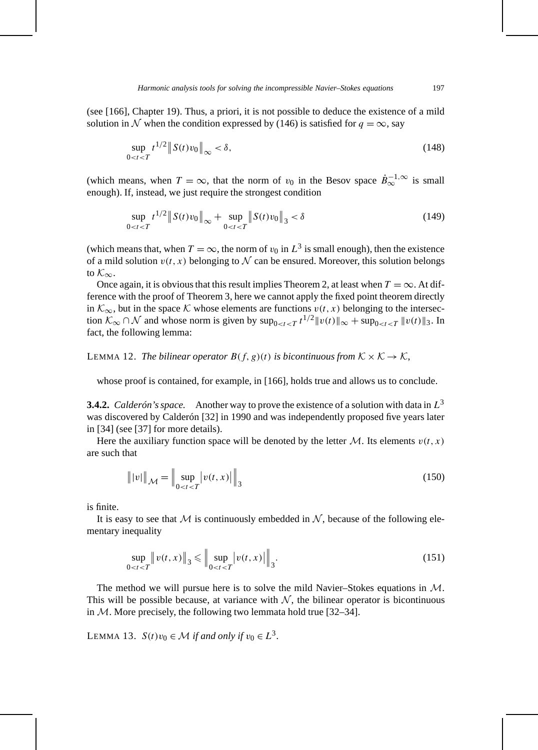(see [166], Chapter 19). Thus, a priori, it is not possible to deduce the existence of a mild solution in N when the condition expressed by (146) is satisfied for  $q = \infty$ , say

$$
\sup_{0\n(148)
$$

(which means, when  $T = \infty$ , that the norm of  $v_0$  in the Besov space  $\dot{B}_{\infty}^{-1,\infty}$  is small enough). If, instead, we just require the strongest condition

$$
\sup_{0 < t < T} t^{1/2} \| S(t) v_0 \|_{\infty} + \sup_{0 < t < T} \| S(t) v_0 \|_{3} < \delta \tag{149}
$$

(which means that, when  $T = \infty$ , the norm of  $v_0$  in  $L^3$  is small enough), then the existence of a mild solution  $v(t, x)$  belonging to N can be ensured. Moreover, this solution belongs to  $\mathcal{K}_{\infty}$ .

Once again, it is obvious that this result implies Theorem 2, at least when  $T = \infty$ . At difference with the proof of Theorem 3, here we cannot apply the fixed point theorem directly in  $\mathcal{K}_{\infty}$ , but in the space  $\mathcal K$  whose elements are functions  $v(t, x)$  belonging to the intersection  $\mathcal{K}_{\infty} \cap \mathcal{N}$  and whose norm is given by  $\sup_{0 \le t \le T} t^{1/2} ||v(t)||_{\infty} + \sup_{0 \le t \le T} ||v(t)||_{3}$ . In fact, the following lemma:

LEMMA 12. *The bilinear operator*  $B(f, g)(t)$  *is bicontinuous from*  $K \times K \rightarrow K$ ,

whose proof is contained, for example, in [166], holds true and allows us to conclude.

**3.4.2.** *Calderón's space.* Another way to prove the existence of a solution with data in *L*<sup>3</sup> was discovered by Calderón [32] in 1990 and was independently proposed five years later in [34] (see [37] for more details).

Here the auxiliary function space will be denoted by the letter  $\mathcal M$ . Its elements  $v(t, x)$ are such that

$$
\| |v| \|_{\mathcal{M}} = \left\| \sup_{0 < t < T} |v(t, x)| \right\|_{3} \tag{150}
$$

is finite.

It is easy to see that  $M$  is continuously embedded in  $N$ , because of the following elementary inequality

$$
\sup_{0 < t < T} \| v(t, x) \|_{3} \leqslant \| \sup_{0 < t < T} | v(t, x) | \|_{3} . \tag{151}
$$

The method we will pursue here is to solve the mild Navier–Stokes equations in  $M$ . This will be possible because, at variance with  $N$ , the bilinear operator is bicontinuous in  $M$ . More precisely, the following two lemmata hold true [32–34].

LEMMA 13.  $S(t)v_0 \in M$  *if and only if*  $v_0 \in L^3$ .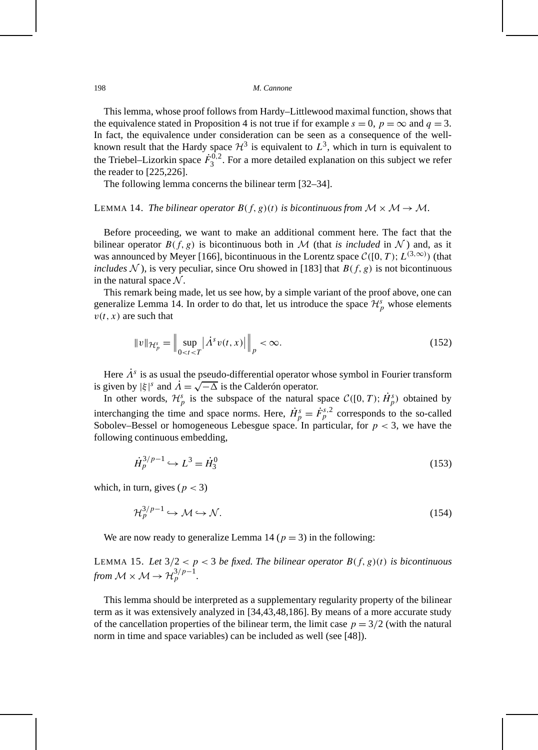This lemma, whose proof follows from Hardy–Littlewood maximal function, shows that the equivalence stated in Proposition 4 is not true if for example  $s = 0$ ,  $p = \infty$  and  $q = 3$ . In fact, the equivalence under consideration can be seen as a consequence of the wellknown result that the Hardy space  $\mathcal{H}^3$  is equivalent to  $L^3$ , which in turn is equivalent to the Triebel–Lizorkin space  $\dot{F}_3^{0,2}$ . For a more detailed explanation on this subject we refer the reader to [225,226].

The following lemma concerns the bilinear term [32–34].

## LEMMA 14. *The bilinear operator*  $B(f, g)(t)$  *is bicontinuous from*  $\mathcal{M} \times \mathcal{M} \rightarrow \mathcal{M}$ *.*

Before proceeding, we want to make an additional comment here. The fact that the bilinear operator  $B(f, g)$  is bicontinuous both in M (that *is included* in N) and, as it was announced by Meyer [166], bicontinuous in the Lorentz space  $C([0, T); L^{(3, \infty)})$  (that *includes* N, is very peculiar, since Oru showed in [183] that  $B(f, g)$  is not bicontinuous in the natural space  $\mathcal N$ .

This remark being made, let us see how, by a simple variant of the proof above, one can generalize Lemma 14. In order to do that, let us introduce the space  $\mathcal{H}_p^s$  whose elements  $v(t, x)$  are such that

$$
||v||_{\mathcal{H}_p^s} = \left\| \sup_{0 < t < T} |\dot{\Lambda}^s v(t, x)| \right\|_p < \infty. \tag{152}
$$

Here  $\dot{A}^s$  is as usual the pseudo-differential operator whose symbol in Fourier transform Here  $\Lambda^*$  is as usual the pseudo-differential operator w<br>is given by  $|\xi|^s$  and  $\dot{\Lambda} = \sqrt{-\Delta}$  is the Calderón operator.

In other words,  $\mathcal{H}_{p}^{s}$  is the subspace of the natural space  $\mathcal{C}([0, T); \dot{H}_{p}^{s})$  obtained by interchanging the time and space norms. Here,  $\dot{H}_p^s = \dot{F}_p^{s,2}$  corresponds to the so-called Sobolev–Bessel or homogeneous Lebesgue space. In particular, for  $p < 3$ , we have the following continuous embedding,

$$
\dot{H}_p^{3/p-1} \hookrightarrow L^3 = \dot{H}_3^0 \tag{153}
$$

which, in turn, gives  $(p < 3)$ 

$$
\mathcal{H}_p^{3/p-1} \hookrightarrow \mathcal{M} \hookrightarrow \mathcal{N}.\tag{154}
$$

We are now ready to generalize Lemma 14 ( $p = 3$ ) in the following:

LEMMA 15. Let  $3/2 < p < 3$  *be fixed. The bilinear operator*  $B(f, g)(t)$  *is bicontinuous from*  $M \times M \rightarrow H_p^{3/p-1}$ .

This lemma should be interpreted as a supplementary regularity property of the bilinear term as it was extensively analyzed in [34,43,48,186]. By means of a more accurate study of the cancellation properties of the bilinear term, the limit case  $p = 3/2$  (with the natural norm in time and space variables) can be included as well (see [48]).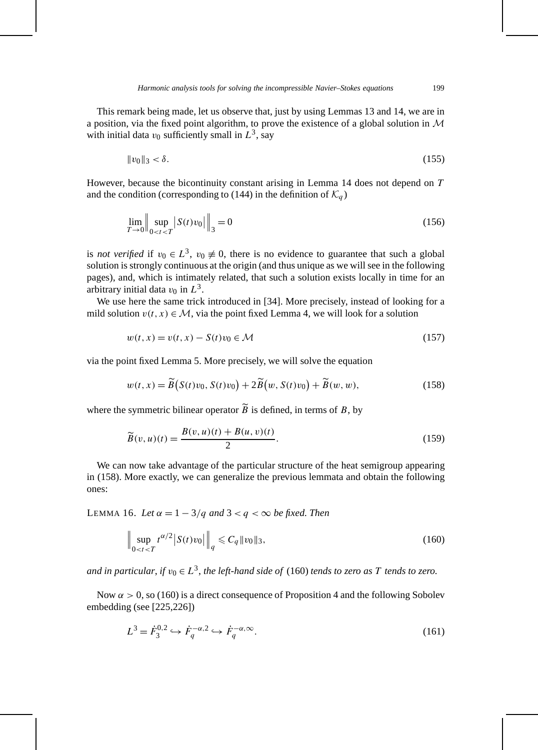This remark being made, let us observe that, just by using Lemmas 13 and 14, we are in a position, via the fixed point algorithm, to prove the existence of a global solution in M with initial data  $v_0$  sufficiently small in  $L^3$ , say

$$
||v_0||_3 < \delta. \tag{155}
$$

However, because the bicontinuity constant arising in Lemma 14 does not depend on *T* and the condition (corresponding to (144) in the definition of  $\mathcal{K}_q$ )

$$
\lim_{T \to 0} \left\| \sup_{0 < t < T} |S(t)v_0| \right\|_3 = 0 \tag{156}
$$

is *not verified* if  $v_0 \in L^3$ ,  $v_0 \neq 0$ , there is no evidence to guarantee that such a global solution is strongly continuous at the origin (and thus unique as we will see in the following pages), and, which is intimately related, that such a solution exists locally in time for an arbitrary initial data  $v_0$  in  $L^3$ .

We use here the same trick introduced in [34]. More precisely, instead of looking for a mild solution  $v(t, x) \in \mathcal{M}$ , via the point fixed Lemma 4, we will look for a solution

$$
w(t, x) = v(t, x) - S(t)v_0 \in \mathcal{M}
$$
\n<sup>(157)</sup>

via the point fixed Lemma 5. More precisely, we will solve the equation

$$
w(t,x) = \widetilde{B}\big(S(t)v_0, S(t)v_0\big) + 2\widetilde{B}\big(w, S(t)v_0\big) + \widetilde{B}(w, w),\tag{158}
$$

where the symmetric bilinear operator  $B$  is defined, in terms of  $B$ , by

$$
\widetilde{B}(v, u)(t) = \frac{B(v, u)(t) + B(u, v)(t)}{2}.
$$
\n(159)

We can now take advantage of the particular structure of the heat semigroup appearing in (158). More exactly, we can generalize the previous lemmata and obtain the following ones:

LEMMA 16. Let  $\alpha = 1 - 3/q$  and  $3 < q < \infty$  be fixed. Then

$$
\left\| \sup_{0 < t < T} t^{\alpha/2} |S(t)v_0| \right\|_q \leqslant C_q \|v_0\|_3,\tag{160}
$$

*and in particular, if*  $v_0 \in L^3$ *, the left-hand side of* (160) *tends to zero as T tends to zero.* 

Now  $\alpha > 0$ , so (160) is a direct consequence of Proposition 4 and the following Sobolev embedding (see [225,226])

$$
L^3 = \dot{F}_3^{0,2} \hookrightarrow \dot{F}_q^{-\alpha,2} \hookrightarrow \dot{F}_q^{-\alpha,\infty}.
$$
 (161)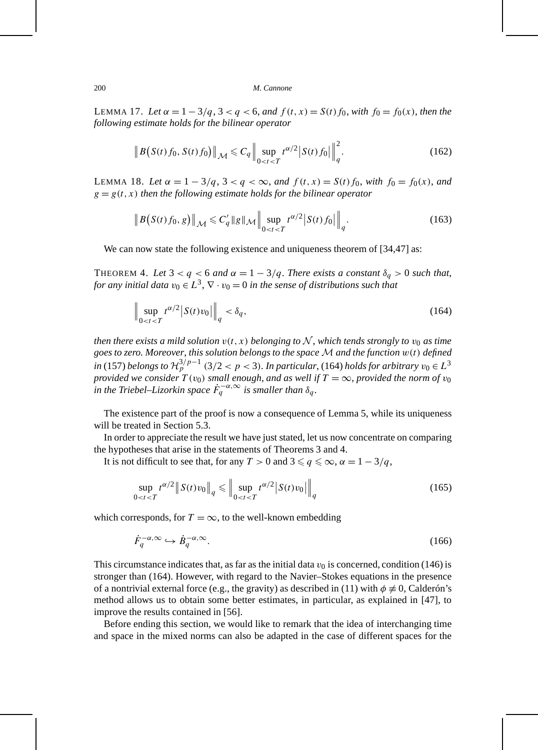LEMMA 17. Let  $\alpha = 1 - 3/q$ ,  $3 < q < 6$ , and  $f(t, x) = S(t) f_0$ , with  $f_0 = f_0(x)$ , then the *following estimate holds for the bilinear operator*

$$
\|B(S(t) f_0, S(t) f_0)\|_{\mathcal{M}} \leq C_q \left\| \sup_{0 < t < T} t^{\alpha/2} |S(t) f_0| \right\|_q^2. \tag{162}
$$

LEMMA 18. Let  $\alpha = 1 - 3/q$ ,  $3 < q < \infty$ , and  $f(t, x) = S(t) f_0$ , with  $f_0 = f_0(x)$ , and  $g = g(t, x)$  *then the following estimate holds for the bilinear operator* 

$$
\|B(S(t)f_0, g)\|_{\mathcal{M}} \leq C'_q \|g\|_{\mathcal{M}} \Big\| \sup_{0 < t < T} t^{\alpha/2} |S(t)f_0| \Big\|_q. \tag{163}
$$

We can now state the following existence and uniqueness theorem of [34,47] as:

THEOREM 4. Let  $3 < q < 6$  and  $\alpha = 1 - 3/q$ . There exists a constant  $\delta_q > 0$  such that, *for any initial data*  $v_0 \in L^3$ ,  $\nabla \cdot v_0 = 0$  *in the sense of distributions such that* 

$$
\left\| \sup_{0 < t < T} t^{\alpha/2} \left| S(t) v_0 \right| \right\|_q < \delta_q,\tag{164}
$$

*then there exists a mild solution*  $v(t, x)$  *belonging to*  $\mathcal{N}$ , *which tends strongly to*  $v_0$  *as time goes to zero. Moreover*, *this solution belongs to the space* M *and the function w(t) defined in* (157) *belongs to*  $\mathcal{H}_{p}^{3/p-1}$  (3/2 < p < 3)*. In particular*, (164) *holds for arbitrary*  $v_0 \in L^3$ *provided we consider*  $T(v_0)$  *small enough, and as well if*  $T = \infty$ *, provided the norm of*  $v_0$ *in the Triebel–Lizorkin space*  $\dot{F}_q^{-\alpha,\infty}$  *is smaller than*  $\delta_q$ *.* 

The existence part of the proof is now a consequence of Lemma 5, while its uniqueness will be treated in Section 5.3.

In order to appreciate the result we have just stated, let us now concentrate on comparing the hypotheses that arise in the statements of Theorems 3 and 4.

It is not difficult to see that, for any  $T > 0$  and  $3 \leq q \leq \infty$ ,  $\alpha = 1 - 3/q$ ,

$$
\sup_{0 < t < T} t^{\alpha/2} \| S(t) v_0 \|_q \leqslant \left\| \sup_{0 < t < T} t^{\alpha/2} | S(t) v_0 | \right\|_q \tag{165}
$$

which corresponds, for  $T = \infty$ , to the well-known embedding

$$
\dot{F}_q^{-\alpha,\infty} \hookrightarrow \dot{B}_q^{-\alpha,\infty}.\tag{166}
$$

This circumstance indicates that, as far as the initial data  $v_0$  is concerned, condition (146) is stronger than (164). However, with regard to the Navier–Stokes equations in the presence of a nontrivial external force (e.g., the gravity) as described in (11) with  $\phi \neq 0$ , Calderón's method allows us to obtain some better estimates, in particular, as explained in [47], to improve the results contained in [56].

Before ending this section, we would like to remark that the idea of interchanging time and space in the mixed norms can also be adapted in the case of different spaces for the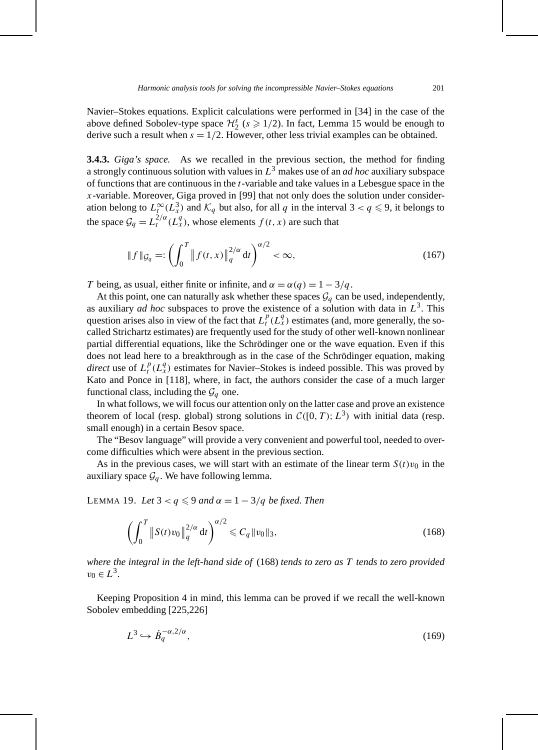Navier–Stokes equations. Explicit calculations were performed in [34] in the case of the above defined Sobolev-type space  $\mathcal{H}_2^s$  ( $s \geq 1/2$ ). In fact, Lemma 15 would be enough to derive such a result when  $s = 1/2$ . However, other less trivial examples can be obtained.

**3.4.3.** *Giga's space.* As we recalled in the previous section, the method for finding a strongly continuous solution with values in *L*<sup>3</sup> makes use of an *ad hoc* auxiliary subspace of functions that are continuous in the *t*-variable and take values in a Lebesgue space in the *x*-variable. Moreover, Giga proved in [99] that not only does the solution under consideration belong to  $L^{\infty}_{t}$  ( $L^{3}_{x}$ ) and  $\mathcal{K}_{q}$  but also, for all *q* in the interval 3 < *q*  $\leq$  9, it belongs to the space  $G_q = L_t^{2/\alpha}(L_x^q)$ , whose elements  $f(t, x)$  are such that

$$
||f||_{\mathcal{G}_q} =: \left(\int_0^T ||f(t,x)||_q^{2/\alpha} dt\right)^{\alpha/2} < \infty,
$$
\n(167)

*T* being, as usual, either finite or infinite, and  $\alpha = \alpha(q) = 1 - 3/q$ .

At this point, one can naturally ask whether these spaces  $\mathcal{G}_q$  can be used, independently, as auxiliary *ad hoc* subspaces to prove the existence of a solution with data in  $L^3$ . This question arises also in view of the fact that  $L_t^p(L_x^q)$  estimates (and, more generally, the socalled Strichartz estimates) are frequently used for the study of other well-known nonlinear partial differential equations, like the Schrödinger one or the wave equation. Even if this does not lead here to a breakthrough as in the case of the Schrödinger equation, making *direct* use of  $L_t^p(L_x^q)$  estimates for Navier–Stokes is indeed possible. This was proved by Kato and Ponce in [118], where, in fact, the authors consider the case of a much larger functional class, including the  $\mathcal{G}_q$  one.

In what follows, we will focus our attention only on the latter case and prove an existence theorem of local (resp. global) strong solutions in  $C([0, T); L^3)$  with initial data (resp. small enough) in a certain Besov space.

The "Besov language" will provide a very convenient and powerful tool, needed to overcome difficulties which were absent in the previous section.

As in the previous cases, we will start with an estimate of the linear term  $S(t)v_0$  in the auxiliary space  $\mathcal{G}_q$ . We have following lemma.

LEMMA 19. Let  $3 < q \leqslant 9$  and  $\alpha = 1 - 3/q$  be fixed. Then

$$
\left(\int_0^T \|S(t)v_0\|_q^{2/\alpha} dt\right)^{\alpha/2} \leq C_q \|v_0\|_3,
$$
\n(168)

*where the integral in the left-hand side of* (168) *tends to zero as T tends to zero provided*  $v_0 \in L^3$ .

Keeping Proposition 4 in mind, this lemma can be proved if we recall the well-known Sobolev embedding [225,226]

$$
L^3 \hookrightarrow \dot{B}_q^{-\alpha,2/\alpha},\tag{169}
$$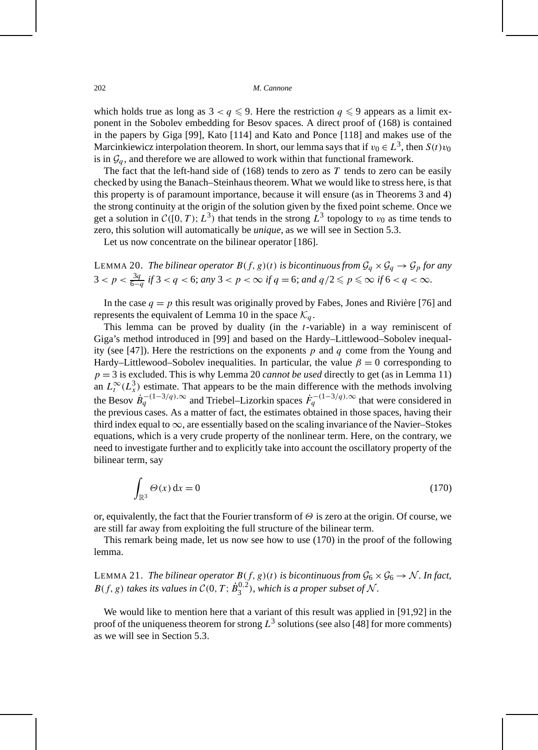which holds true as long as  $3 < q \leq 9$ . Here the restriction  $q \leq 9$  appears as a limit exponent in the Sobolev embedding for Besov spaces. A direct proof of (168) is contained in the papers by Giga [99], Kato [114] and Kato and Ponce [118] and makes use of the Marcinkiewicz interpolation theorem. In short, our lemma says that if  $v_0 \in L^3$ , then  $S(t)v_0$ is in  $\mathcal{G}_q$ , and therefore we are allowed to work within that functional framework.

The fact that the left-hand side of (168) tends to zero as *T* tends to zero can be easily checked by using the Banach–Steinhaus theorem. What we would like to stress here, is that this property is of paramount importance, because it will ensure (as in Theorems 3 and 4) the strong continuity at the origin of the solution given by the fixed point scheme. Once we get a solution in  $C([0, T); L^3)$  that tends in the strong  $L^3$  topology to  $v_0$  as time tends to zero, this solution will automatically be *unique*, as we will see in Section 5.3.

Let us now concentrate on the bilinear operator [186].

LEMMA 20. *The bilinear operator*  $B(f, g)(t)$  *is bicontinuous from*  $\mathcal{G}_q \times \mathcal{G}_q \to \mathcal{G}_p$  for any  $3 < p < \frac{3q}{6-q}$  if  $3 < q < 6$ ; any  $3 < p < \infty$  if  $q = 6$ ; and  $q/2 \leq p \leq \infty$  if  $6 < q < \infty$ .

In the case  $q = p$  this result was originally proved by Fabes, Jones and Rivière [76] and represents the equivalent of Lemma 10 in the space  $\mathcal{K}_q$ .

This lemma can be proved by duality (in the *t*-variable) in a way reminiscent of Giga's method introduced in [99] and based on the Hardy–Littlewood–Sobolev inequality (see [47]). Here the restrictions on the exponents *p* and *q* come from the Young and Hardy–Littlewood–Sobolev inequalities. In particular, the value  $\beta = 0$  corresponding to *p* = 3 is excluded. This is why Lemma 20 *cannot be used* directly to get (as in Lemma 11) an  $L_t^{\infty}(L_x^3)$  estimate. That appears to be the main difference with the methods involving the Besov  $\dot{B}_q^{-(1-3/q),\infty}$  and Triebel–Lizorkin spaces  $\dot{F}_q^{-(1-3/q),\infty}$  that were considered in the previous cases. As a matter of fact, the estimates obtained in those spaces, having their third index equal to  $\infty$ , are essentially based on the scaling invariance of the Navier–Stokes equations, which is a very crude property of the nonlinear term. Here, on the contrary, we need to investigate further and to explicitly take into account the oscillatory property of the bilinear term, say

$$
\int_{\mathbb{R}^3} \Theta(x) dx = 0 \tag{170}
$$

or, equivalently, the fact that the Fourier transform of *Θ* is zero at the origin. Of course, we are still far away from exploiting the full structure of the bilinear term.

This remark being made, let us now see how to use (170) in the proof of the following lemma.

LEMMA 21. *The bilinear operator*  $B(f, g)(t)$  *is bicontinuous from*  $\mathcal{G}_6 \times \mathcal{G}_6 \to \mathcal{N}$ *. In fact,*  $B(f, g)$  *takes its values in*  $C(0, T; \dot{B}^{0,2}_3)$ *, which is a proper subset of* N.

We would like to mention here that a variant of this result was applied in [91,92] in the proof of the uniqueness theorem for strong  $L^3$  solutions (see also [48] for more comments) as we will see in Section 5.3.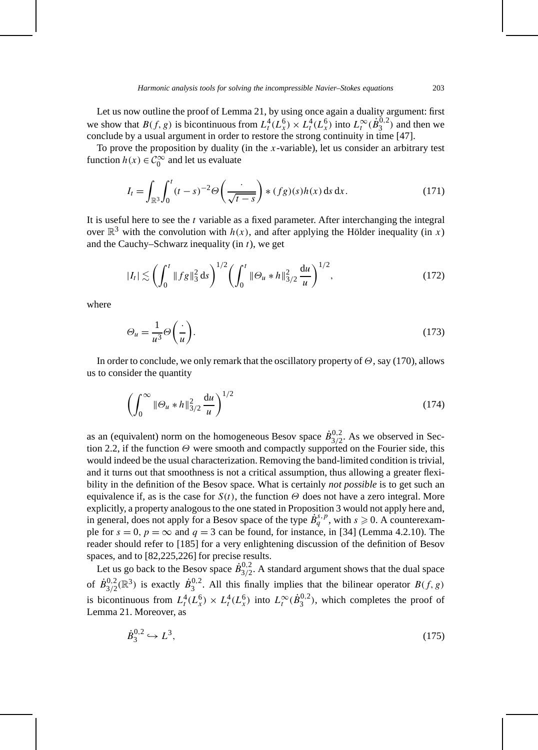Let us now outline the proof of Lemma 21, by using once again a duality argument: first we show that  $B(f, g)$  is bicontinuous from  $L_t^4(L_x^6) \times L_t^4(L_x^6)$  into  $L_t^{\infty}(\dot{B}_3^{0,2})$  and then we conclude by a usual argument in order to restore the strong continuity in time [47].

To prove the proposition by duality (in the *x*-variable), let us consider an arbitrary test function  $h(x) \in C_0^{\infty}$  and let us evaluate

$$
I_t = \int_{\mathbb{R}^3} \int_0^t (t-s)^{-2} \Theta\left(\frac{\cdot}{\sqrt{t-s}}\right) \ast (fg)(s)h(x) \, \mathrm{d} s \, \mathrm{d} x. \tag{171}
$$

It is useful here to see the *t* variable as a fixed parameter. After interchanging the integral over  $\mathbb{R}^3$  with the convolution with  $h(x)$ , and after applying the Hölder inequality (in *x*) and the Cauchy–Schwarz inequality (in *t*), we get

$$
|I_t| \lesssim \left(\int_0^t \|fg\|_3^2 \, \mathrm{d}s\right)^{1/2} \left(\int_0^t \|\Theta_u * h\|_{3/2}^2 \, \frac{\mathrm{d}u}{u}\right)^{1/2},\tag{172}
$$

where

$$
\Theta_u = \frac{1}{u^3} \Theta\left(\frac{\cdot}{u}\right). \tag{173}
$$

In order to conclude, we only remark that the oscillatory property of *Θ*, say (170), allows us to consider the quantity

$$
\left(\int_0^\infty \|\Theta_u * h\|_{3/2}^2 \frac{\mathrm{d}u}{u}\right)^{1/2} \tag{174}
$$

as an (equivalent) norm on the homogeneous Besov space  $\dot{B}^{0,2}_{3/2}$ . As we observed in Section 2.2, if the function *Θ* were smooth and compactly supported on the Fourier side, this would indeed be the usual characterization. Removing the band-limited condition is trivial, and it turns out that smoothness is not a critical assumption, thus allowing a greater flexibility in the definition of the Besov space. What is certainly *not possible* is to get such an equivalence if, as is the case for  $S(t)$ , the function  $\Theta$  does not have a zero integral. More explicitly, a property analogous to the one stated in Proposition 3 would not apply here and, in general, does not apply for a Besov space of the type  $\dot{B}^{s,p}_{q}$ , with  $s \ge 0$ . A counterexample for  $s = 0$ ,  $p = \infty$  and  $q = 3$  can be found, for instance, in [34] (Lemma 4.2.10). The reader should refer to [185] for a very enlightening discussion of the definition of Besov spaces, and to [82,225,226] for precise results.

Let us go back to the Besov space  $\dot{B}^{0,2}_{3/2}$ . A standard argument shows that the dual space of  $\dot{B}_{3/2}^{0,2}(\mathbb{R}^3)$  is exactly  $\dot{B}_3^{0,2}$ . All this finally implies that the bilinear operator  $B(f, g)$ is bicontinuous from  $L_t^4(L_x^6) \times L_t^4(L_x^6)$  into  $L_t^{\infty}(\dot{B}_3^{0,2})$ , which completes the proof of Lemma 21. Moreover, as

$$
\dot{B}_3^{0,2} \hookrightarrow L^3,\tag{175}
$$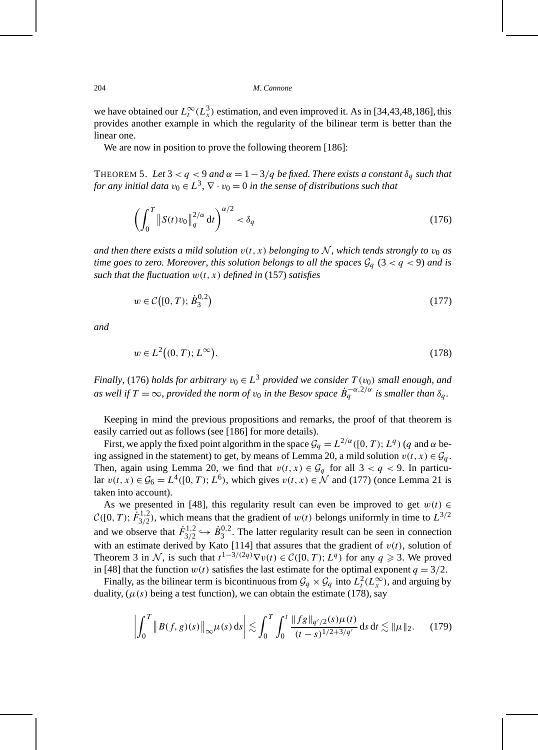we have obtained our  $L_t^{\infty}(L_x^3)$  estimation, and even improved it. As in [34,43,48,186], this provides another example in which the regularity of the bilinear term is better than the linear one.

We are now in position to prove the following theorem [186]:

THEOREM 5. Let  $3 < q < 9$  and  $\alpha = 1 - 3/q$  be fixed. There exists a constant  $\delta_q$  such that *for any initial data*  $v_0 \in L^3$ ,  $\nabla \cdot v_0 = 0$  *in the sense of distributions such that* 

$$
\left(\int_0^T \left\| S(t)v_0 \right\|_q^{2/\alpha} \mathrm{d}t\right)^{\alpha/2} < \delta_q \tag{176}
$$

*and then there exists a mild solution*  $v(t, x)$  *belonging to* N, *which tends strongly to*  $v_0$  *as time goes to zero. Moreover, this solution belongs to all the spaces*  $\mathcal{G}_q$  (3 <  $q$  < 9) and is *such that the fluctuation w(t , x) defined in* (157) *satisfies*

$$
w \in \mathcal{C}\big([0, T); \dot{B}_3^{0,2}\big) \tag{177}
$$

*and*

$$
w \in L^2((0, T); L^{\infty}).
$$
\n
$$
(178)
$$

*Finally*, (176) *holds for arbitrary*  $v_0 \in L^3$  *provided we consider*  $T(v_0)$  *small enough, and as well if*  $T = \infty$ , *provided the norm of*  $v_0$  *in the Besov space*  $\dot{B}_q^{-\alpha,2/\alpha}$  *is smaller than*  $\delta_q$ *.* 

Keeping in mind the previous propositions and remarks, the proof of that theorem is easily carried out as follows (see [186] for more details).

First, we apply the fixed point algorithm in the space  $\mathcal{G}_q = L^{2/\alpha}([0, T); L^q)$  (*q* and  $\alpha$  being assigned in the statement) to get, by means of Lemma 20, a mild solution  $v(t, x) \in \mathcal{G}_a$ . Then, again using Lemma 20, we find that  $v(t, x) \in \mathcal{G}_q$  for all  $3 < q < 9$ . In particular *v*(*t*, *x*) ∈  $\mathcal{G}_6 = L^4([0, T); L^6)$ , which gives *v*(*t*, *x*) ∈ N and (177) (once Lemma 21 is taken into account).

As we presented in [48], this regularity result can even be improved to get  $w(t) \in$  $\mathcal{C}([0, T); \dot{F}^{1,2}_{3/2})$ , which means that the gradient of  $w(t)$  belongs uniformly in time to  $L^{3/2}$ and we observe that  $\dot{F}_{3/2}^{1,2} \hookrightarrow \dot{B}_3^{0,2}$ . The latter regularity result can be seen in connection with an estimate derived by Kato [114] that assures that the gradient of  $v(t)$ , solution of Theorem 3 in N, is such that  $t^{1-3/(2q)}\nabla v(t) \in C([0, T); L^q)$  for any  $q \ge 3$ . We proved in [48] that the function  $w(t)$  satisfies the last estimate for the optimal exponent  $q = 3/2$ .

Finally, as the bilinear term is bicontinuous from  $\mathcal{G}_q \times \mathcal{G}_q$  into  $L^2_t(L^\infty_x)$ , and arguing by duality,  $(\mu(s))$  being a test function), we can obtain the estimate (178), say

$$
\left| \int_0^T \left\| B(f, g)(s) \right\|_{\infty} \mu(s) \, \mathrm{d} s \right| \lesssim \int_0^T \int_0^t \frac{\|fg\|_{q'/2}(s) \mu(t)}{(t-s)^{1/2+3/q'}} \, \mathrm{d} s \, \mathrm{d} t \lesssim \|\mu\|_2. \tag{179}
$$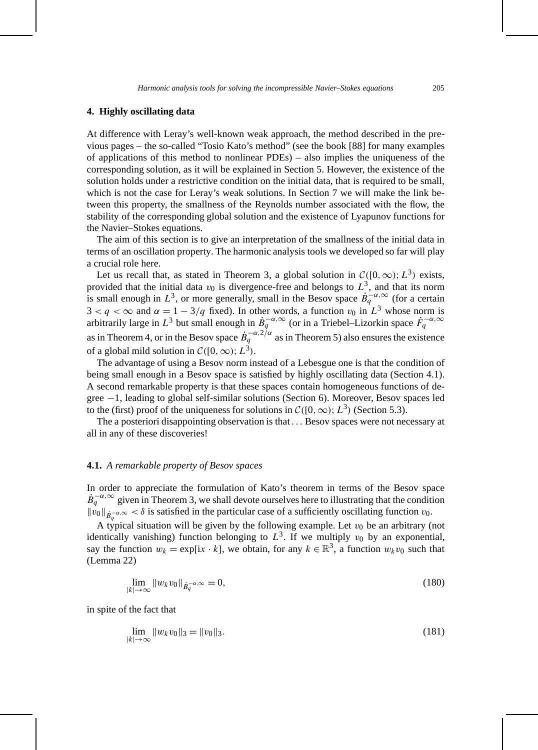## **4. Highly oscillating data**

At difference with Leray's well-known weak approach, the method described in the previous pages – the so-called "Tosio Kato's method" (see the book [88] for many examples of applications of this method to nonlinear PDEs) – also implies the uniqueness of the corresponding solution, as it will be explained in Section 5. However, the existence of the solution holds under a restrictive condition on the initial data, that is required to be small, which is not the case for Leray's weak solutions. In Section 7 we will make the link between this property, the smallness of the Reynolds number associated with the flow, the stability of the corresponding global solution and the existence of Lyapunov functions for the Navier–Stokes equations.

The aim of this section is to give an interpretation of the smallness of the initial data in terms of an oscillation property. The harmonic analysis tools we developed so far will play a crucial role here.

Let us recall that, as stated in Theorem 3, a global solution in  $C([0,\infty); L^3)$  exists, provided that the initial data  $v_0$  is divergence-free and belongs to  $L^3$ , and that its norm is small enough in  $L^3$ , or more generally, small in the Besov space  $\dot{B}_q^{-\alpha,\infty}$  (for a certain  $3 < q < \infty$  and  $\alpha = 1 - 3/q$  fixed). In other words, a function  $v_0$  in  $L^3$  whose norm is arbitrarily large in  $L^3$  but small enough in  $\dot{B}_q^{-\alpha,\infty}$  (or in a Triebel–Lizorkin space  $\dot{F}_q^{-\alpha,\infty}$ as in Theorem 4, or in the Besov space  $\dot{B}_q^{-\alpha,2/\alpha}$  as in Theorem 5) also ensures the existence of a global mild solution in  $C([0,\infty); L^3)$ .

The advantage of using a Besov norm instead of a Lebesgue one is that the condition of being small enough in a Besov space is satisfied by highly oscillating data (Section 4.1). A second remarkable property is that these spaces contain homogeneous functions of degree −1, leading to global self-similar solutions (Section 6). Moreover, Besov spaces led to the (first) proof of the uniqueness for solutions in  $C([0,\infty); L^3)$  (Section 5.3).

The a posteriori disappointing observation is that *...* Besov spaces were not necessary at all in any of these discoveries!

## **4.1.** *A remarkable property of Besov spaces*

In order to appreciate the formulation of Kato's theorem in terms of the Besov space  $\dot{B}_q^{-\alpha,\infty}$  given in Theorem 3, we shall devote ourselves here to illustrating that the condition  $\|\hat{v}_0\|_{\hat{B}^{-\alpha,\infty}} < \delta$  is satisfied in the particular case of a sufficiently oscillating function  $v_0$ .

A typical situation will be given by the following example. Let  $v_0$  be an arbitrary (not identically vanishing) function belonging to  $L^3$ . If we multiply  $v_0$  by an exponential, say the function  $w_k = \exp[i x \cdot k]$ , we obtain, for any  $k \in \mathbb{R}^3$ , a function  $w_k v_0$  such that (Lemma 22)

$$
\lim_{|k| \to \infty} \|w_k v_0\|_{\dot{B}_q^{-\alpha, \infty}} = 0,
$$
\n(180)

in spite of the fact that

$$
\lim_{|k| \to \infty} \|w_k v_0\|_3 = \|v_0\|_3. \tag{181}
$$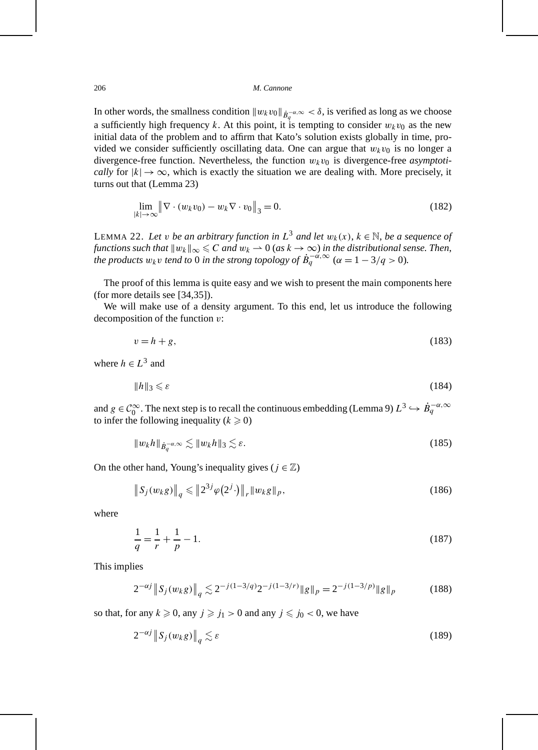In other words, the smallness condition  $||w_kv_0||_{\dot{B}_a^{-\alpha,\infty}} < \delta$ , is verified as long as we choose a sufficiently high frequency k. At this point, it is tempting to consider  $w_kv_0$  as the new initial data of the problem and to affirm that Kato's solution exists globally in time, provided we consider sufficiently oscillating data. One can argue that  $w_kv_0$  is no longer a divergence-free function. Nevertheless, the function  $w_k v_0$  is divergence-free *asymptotically* for  $|k| \to \infty$ , which is exactly the situation we are dealing with. More precisely, it turns out that (Lemma 23)

$$
\lim_{|k| \to \infty} \left\| \nabla \cdot (w_k v_0) - w_k \nabla \cdot v_0 \right\|_3 = 0.
$$
\n(182)

LEMMA 22. Let *v* be an arbitrary function in  $L^3$  and let  $w_k(x)$ ,  $k \in \mathbb{N}$ , be a sequence of  $f$ unctions such that  $\|w_k\|_\infty \leqslant C$  and  $w_k\rightharpoonup 0$  (as  $k\to\infty)$  in the distributional sense. Then, *the products*  $w_k v$  *tend to* 0 *in the strong topology of*  $\dot{B}_q^{-\alpha, \infty}$  ( $\alpha = 1 - 3/q > 0$ ).

The proof of this lemma is quite easy and we wish to present the main components here (for more details see [34,35]).

We will make use of a density argument. To this end, let us introduce the following decomposition of the function *v*:

$$
v = h + g,\tag{183}
$$

where  $h \in L^3$  and

$$
\|h\|_3 \leqslant \varepsilon \tag{184}
$$

and  $g \in C_0^{\infty}$ . The next step is to recall the continuous embedding (Lemma 9)  $L^3 \hookrightarrow \dot{B}_q^{-\alpha,\infty}$ to infer the following inequality  $(k \geq 0)$ 

$$
||w_k h||_{\dot{B}_q^{-\alpha,\infty}} \lesssim ||w_k h||_3 \lesssim \varepsilon. \tag{185}
$$

On the other hand, Young's inequality gives ( $j \in \mathbb{Z}$ )

$$
\|S_j(w_k g)\|_q \leq \|2^{3j}\varphi(2^j \cdot)\|_r \|w_k g\|_p, \tag{186}
$$

where

$$
\frac{1}{q} = \frac{1}{r} + \frac{1}{p} - 1.
$$
\n(187)

This implies

$$
2^{-\alpha j} \|S_j(w_k g)\|_q \lesssim 2^{-j(1-3/q)} 2^{-j(1-3/r)} \|g\|_p = 2^{-j(1-3/p)} \|g\|_p \tag{188}
$$

so that, for any  $k \ge 0$ , any  $j \ge j_1 > 0$  and any  $j \le j_0 < 0$ , we have

$$
2^{-\alpha j} \|S_j(w_k g)\|_q \lesssim \varepsilon \tag{189}
$$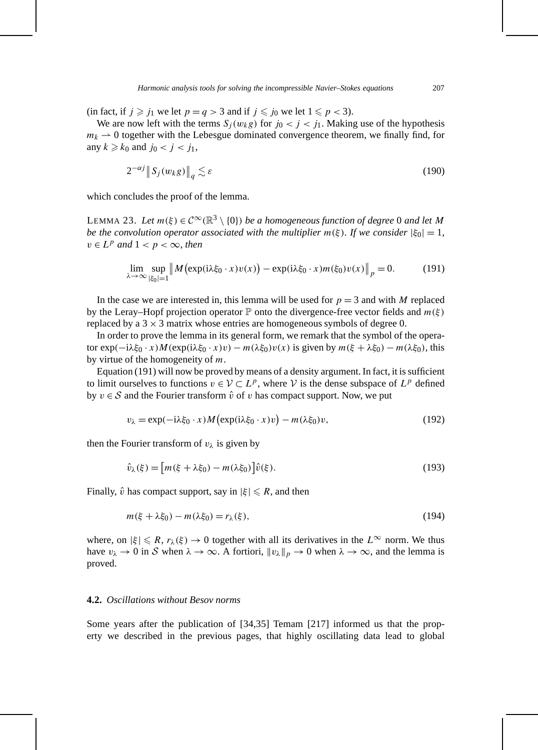$\text{(in fact, if } j \geq j_1 \text{ we let } p = q > 3 \text{ and if } j \leq j_0 \text{ we let } 1 \leq p < 3).$ 

We are now left with the terms  $S_i(w_k g)$  for  $j_0 < j < j_1$ . Making use of the hypothesis  $m_k \rightarrow 0$  together with the Lebesgue dominated convergence theorem, we finally find, for any  $k \geq k_0$  and  $j_0 < j < j_1$ ,

$$
2^{-\alpha j} \|S_j(w_k g)\|_q \lesssim \varepsilon \tag{190}
$$

which concludes the proof of the lemma.

LEMMA 23. Let  $m(\xi) \in C^{\infty}(\mathbb{R}^3 \setminus \{0\})$  be a homogeneous function of degree 0 and let M *be the convolution operator associated with the multiplier*  $m(\xi)$ *. If we consider*  $|\xi_0| = 1$ *,*  $v \in L^p$  *and*  $1 < p < \infty$ *, then* 

$$
\lim_{\lambda \to \infty} \sup_{|\xi_0| = 1} \| M \big( \exp(i\lambda \xi_0 \cdot x) v(x) \big) - \exp(i\lambda \xi_0 \cdot x) m(\xi_0) v(x) \|_p = 0. \tag{191}
$$

In the case we are interested in, this lemma will be used for  $p = 3$  and with *M* replaced by the Leray–Hopf projection operator  $\mathbb P$  onto the divergence-free vector fields and  $m(\xi)$ replaced by a  $3 \times 3$  matrix whose entries are homogeneous symbols of degree 0.

In order to prove the lemma in its general form, we remark that the symbol of the operator exp(−iλξ<sub>0</sub> · *x*)*M*(exp(iλξ<sub>0</sub> · *x*)*v*) − *m*(λξ<sub>0</sub>)*v*(*x*) is given by *m*( $ξ + λξ_0$ ) − *m*(λξ<sub>0</sub>), this by virtue of the homogeneity of *m*.

Equation (191) will now be proved by means of a density argument. In fact, it is sufficient to limit ourselves to functions  $v \in V \subset L^p$ , where V is the dense subspace of  $L^p$  defined by  $v \in S$  and the Fourier transform  $\hat{v}$  of  $v$  has compact support. Now, we put

$$
v_{\lambda} = \exp(-i\lambda \xi_0 \cdot x) M \left( \exp(i\lambda \xi_0 \cdot x) v \right) - m(\lambda \xi_0) v, \tag{192}
$$

then the Fourier transform of  $v_{\lambda}$  is given by

$$
\hat{v}_{\lambda}(\xi) = \left[ m(\xi + \lambda \xi_0) - m(\lambda \xi_0) \right] \hat{v}(\xi). \tag{193}
$$

Finally,  $\hat{v}$  has compact support, say in  $|\xi| \le R$ , and then

$$
m(\xi + \lambda \xi_0) - m(\lambda \xi_0) = r_\lambda(\xi), \tag{194}
$$

where, on  $|\xi| \le R$ ,  $r_\lambda(\xi) \to 0$  together with all its derivatives in the  $L^\infty$  norm. We thus have  $v_{\lambda} \to 0$  in S when  $\lambda \to \infty$ . A fortiori,  $\|v_{\lambda}\|_{p} \to 0$  when  $\lambda \to \infty$ , and the lemma is proved.

## **4.2.** *Oscillations without Besov norms*

Some years after the publication of [34,35] Temam [217] informed us that the property we described in the previous pages, that highly oscillating data lead to global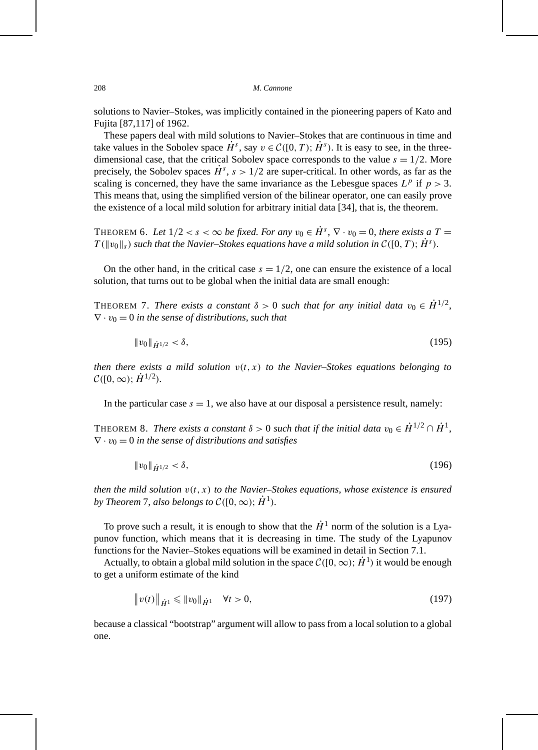solutions to Navier–Stokes, was implicitly contained in the pioneering papers of Kato and Fujita [87,117] of 1962.

These papers deal with mild solutions to Navier–Stokes that are continuous in time and take values in the Sobolev space  $\dot{H}^s$ , say  $v \in \mathcal{C}([0, T); \dot{H}^s)$ . It is easy to see, in the threedimensional case, that the critical Sobolev space corresponds to the value  $s = 1/2$ . More precisely, the Sobolev spaces  $\dot{H}^s$ ,  $s > 1/2$  are super-critical. In other words, as far as the scaling is concerned, they have the same invariance as the Lebesgue spaces  $L^p$  if  $p > 3$ . This means that, using the simplified version of the bilinear operator, one can easily prove the existence of a local mild solution for arbitrary initial data [34], that is, the theorem.

THEOREM 6. Let  $1/2 < s < \infty$  be fixed. For any  $v_0 \in \dot{H}^s$ ,  $\nabla \cdot v_0 = 0$ , there exists a  $T =$  $T(\Vert v_0 \Vert_s)$  *such that the Navier–Stokes equations have a mild solution in*  $C([0, T); \dot{H}^s)$ *.* 

On the other hand, in the critical case  $s = 1/2$ , one can ensure the existence of a local solution, that turns out to be global when the initial data are small enough:

THEOREM 7. *There exists a constant*  $\delta > 0$  *such that for any initial data*  $v_0 \in \dot{H}^{1/2}$ ,  $\nabla \cdot v_0 = 0$  *in the sense of distributions, such that* 

$$
||v_0||_{\dot{H}^{1/2}} < \delta,\tag{195}
$$

*then there exists a mild solution*  $v(t, x)$  *to the Navier–Stokes equations belonging to*  $C([0, \infty); \dot{H}^{1/2}$ *)*.

In the particular case  $s = 1$ , we also have at our disposal a persistence result, namely:

THEOREM 8. *There exists a constant*  $\delta > 0$  *such that if the initial data*  $v_0 \in \dot{H}^{1/2} \cap \dot{H}^1$ ,  $\nabla \cdot v_0 = 0$  *in the sense of distributions and satisfies* 

$$
||v_0||_{\dot{H}^{1/2}} < \delta,\tag{196}
$$

*then the mild solution v(t , x) to the Navier–Stokes equations*, *whose existence is ensured by Theorem* 7, *also belongs to*  $C([0,\infty); \dot{H}^1)$ *.* 

To prove such a result, it is enough to show that the  $\dot{H}^1$  norm of the solution is a Lyapunov function, which means that it is decreasing in time. The study of the Lyapunov functions for the Navier–Stokes equations will be examined in detail in Section 7.1.

Actually, to obtain a global mild solution in the space  $C([0,\infty); \dot{H}^1)$  it would be enough to get a uniform estimate of the kind

 $||v(t)||_{\dot{H}^1} \le ||v_0||_{\dot{H}^1} \quad \forall t > 0,$  (197)

because a classical "bootstrap" argument will allow to pass from a local solution to a global one.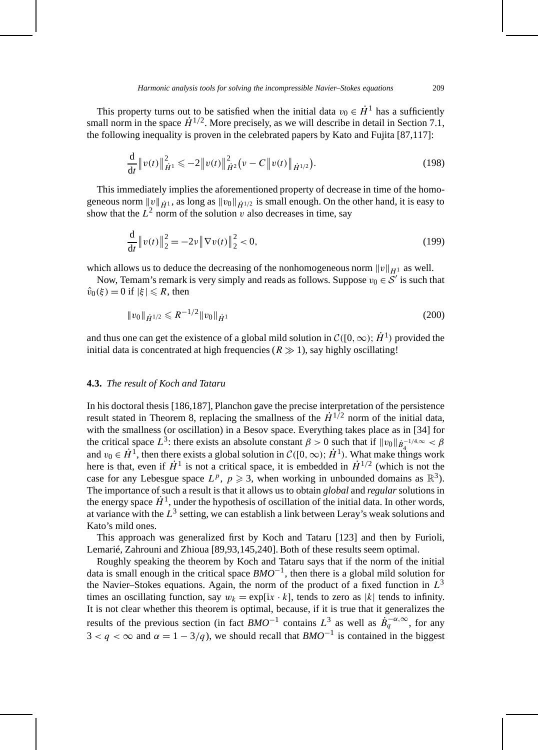This property turns out to be satisfied when the initial data  $v_0 \in \dot{H}^1$  has a sufficiently small norm in the space  $\dot{H}^{1/2}$ . More precisely, as we will describe in detail in Section 7.1, the following inequality is proven in the celebrated papers by Kato and Fujita [87,117]:

$$
\frac{\mathrm{d}}{\mathrm{d}t} \|v(t)\|_{\dot{H}^1}^2 \leqslant -2 \|v(t)\|_{\dot{H}^2}^2 \left(v - C \|v(t)\|_{\dot{H}^{1/2}}\right).
$$
\n(198)

This immediately implies the aforementioned property of decrease in time of the homogeneous norm  $\|v\|_{\dot{H}^1}$ , as long as  $\|v_0\|_{\dot{H}^{1/2}}$  is small enough. On the other hand, it is easy to show that the  $L^2$  norm of the solution *v* also decreases in time, say

$$
\frac{d}{dt} ||v(t)||_2^2 = -2v ||\nabla v(t)||_2^2 < 0,
$$
\n(199)

which allows us to deduce the decreasing of the nonhomogeneous norm  $\|v\|_{H^1}$  as well.

Now, Temam's remark is very simply and reads as follows. Suppose  $v_0 \in S'$  is such that  $\hat{v}_0(\xi) = 0$  if  $|\xi| \le R$ , then

$$
||v_0||_{\dot{H}^{1/2}} \le R^{-1/2}||v_0||_{\dot{H}^1}
$$
\n(200)

and thus one can get the existence of a global mild solution in  $\mathcal{C}([0,\infty); \dot{H}^1)$  provided the initial data is concentrated at high frequencies ( $R \gg 1$ ), say highly oscillating!

# **4.3.** *The result of Koch and Tataru*

In his doctoral thesis [186,187], Planchon gave the precise interpretation of the persistence result stated in Theorem 8, replacing the smallness of the  $\dot{H}^{1/2}$  norm of the initial data, with the smallness (or oscillation) in a Besov space. Everything takes place as in [34] for the critical space  $L^3$ : there exists an absolute constant  $\beta > 0$  such that if  $\|v_0\|_{\dot{B}_4^{-1/4,\infty}} < \beta$ and  $v_0 \in \dot{H}^1$ , then there exists a global solution in  $\mathcal{C}([0,\infty); \dot{H}^1)$ . What make things work here is that, even if  $\dot{H}^1$  is not a critical space, it is embedded in  $\dot{H}^{1/2}$  (which is not the case for any Lebesgue space  $L^p$ ,  $p \ge 3$ , when working in unbounded domains as  $\mathbb{R}^3$ ). The importance of such a result is that it allows us to obtain *global* and *regular* solutions in the energy space  $\dot{H}^1$ , under the hypothesis of oscillation of the initial data. In other words, at variance with the  $L<sup>3</sup>$  setting, we can establish a link between Leray's weak solutions and Kato's mild ones.

This approach was generalized first by Koch and Tataru [123] and then by Furioli, Lemarié, Zahrouni and Zhioua [89,93,145,240]. Both of these results seem optimal.

Roughly speaking the theorem by Koch and Tataru says that if the norm of the initial data is small enough in the critical space  $BMO^{-1}$ , then there is a global mild solution for the Navier–Stokes equations. Again, the norm of the product of a fixed function in  $L^3$ times an oscillating function, say  $w_k = \exp[i x \cdot k]$ , tends to zero as  $|k|$  tends to infinity. It is not clear whether this theorem is optimal, because, if it is true that it generalizes the results of the previous section (in fact *BMO*<sup>−1</sup> contains  $L^3$  as well as  $B_q^{-\alpha, \infty}$ , for any  $3 < q < \infty$  and  $\alpha = 1 - 3/q$ ), we should recall that *BMO*<sup>-1</sup> is contained in the biggest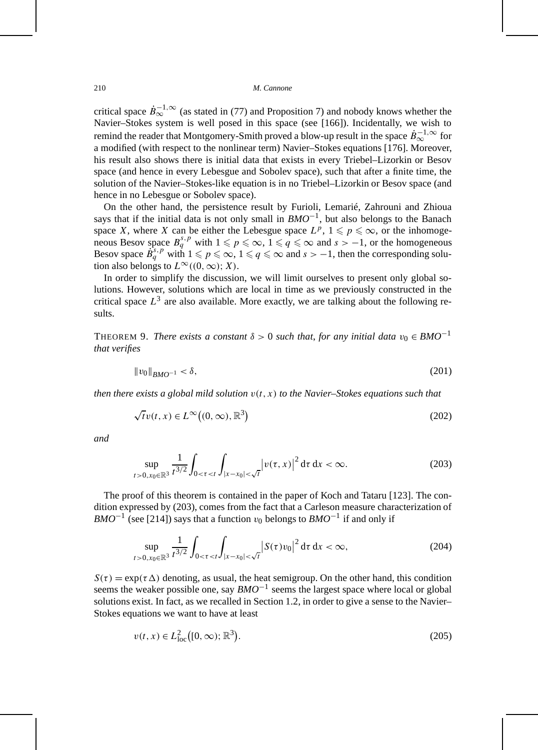critical space  $\dot{B}_{\infty}^{-1,\infty}$  (as stated in (77) and Proposition 7) and nobody knows whether the Navier–Stokes system is well posed in this space (see [166]). Incidentally, we wish to remind the reader that Montgomery-Smith proved a blow-up result in the space  $\dot{B}_{\infty}^{-1,\infty}$  for a modified (with respect to the nonlinear term) Navier–Stokes equations [176]. Moreover, his result also shows there is initial data that exists in every Triebel–Lizorkin or Besov space (and hence in every Lebesgue and Sobolev space), such that after a finite time, the solution of the Navier–Stokes-like equation is in no Triebel–Lizorkin or Besov space (and hence in no Lebesgue or Sobolev space).

On the other hand, the persistence result by Furioli, Lemarié, Zahrouni and Zhioua says that if the initial data is not only small in  $BMO^{-1}$ , but also belongs to the Banach space *X*, where *X* can be either the Lebesgue space  $L^p$ ,  $1 \leqslant p \leqslant \infty$ , or the inhomogeneous Besov space  $B_q^{s,p}$  with  $1 \leqslant p \leqslant \infty$ ,  $1 \leqslant q \leqslant \infty$  and  $s > -1$ , or the homogeneous Besov space  $\vec{B}_q^{s,p}$  with  $1 \leq p \leq \infty$ ,  $1 \leq q \leq \infty$  and  $s > -1$ , then the corresponding solution also belongs to  $L^{\infty}((0, \infty); X)$ .

In order to simplify the discussion, we will limit ourselves to present only global solutions. However, solutions which are local in time as we previously constructed in the critical space  $L<sup>3</sup>$  are also available. More exactly, we are talking about the following results.

**THEOREM 9.** *There exists a constant*  $\delta > 0$  *such that, for any initial data*  $v_0 \in BMO^{-1}$ *that verifies*

$$
||v_0||_{BMO^{-1}} < \delta,
$$
\n(201)

*then there exists a global mild solution v(t , x) to the Navier–Stokes equations such that*

$$
\sqrt{t}v(t,x) \in L^{\infty}\big((0,\infty),\mathbb{R}^3\big) \tag{202}
$$

*and*

$$
\sup_{t>0, x_0 \in \mathbb{R}^3} \frac{1}{t^{3/2}} \int_{0 < \tau < t} \int_{|x-x_0| < \sqrt{t}} |v(\tau, x)|^2 d\tau dx < \infty.
$$
 (203)

The proof of this theorem is contained in the paper of Koch and Tataru [123]. The condition expressed by (203), comes from the fact that a Carleson measure characterization of *BMO*<sup>−1</sup> (see [214]) says that a function  $v_0$  belongs to *BMO*<sup>−1</sup> if and only if

$$
\sup_{t>0, x_0 \in \mathbb{R}^3} \frac{1}{t^{3/2}} \int_{0 < \tau < t} \int_{|x-x_0| < \sqrt{t}} |S(\tau)v_0|^2 d\tau dx < \infty,
$$
 (204)

 $S(\tau) = \exp(\tau \Delta)$  denoting, as usual, the heat semigroup. On the other hand, this condition seems the weaker possible one, say *BMO*<sup>−1</sup> seems the largest space where local or global solutions exist. In fact, as we recalled in Section 1.2, in order to give a sense to the Navier– Stokes equations we want to have at least

$$
v(t, x) \in L_{loc}^2([0, \infty); \mathbb{R}^3). \tag{205}
$$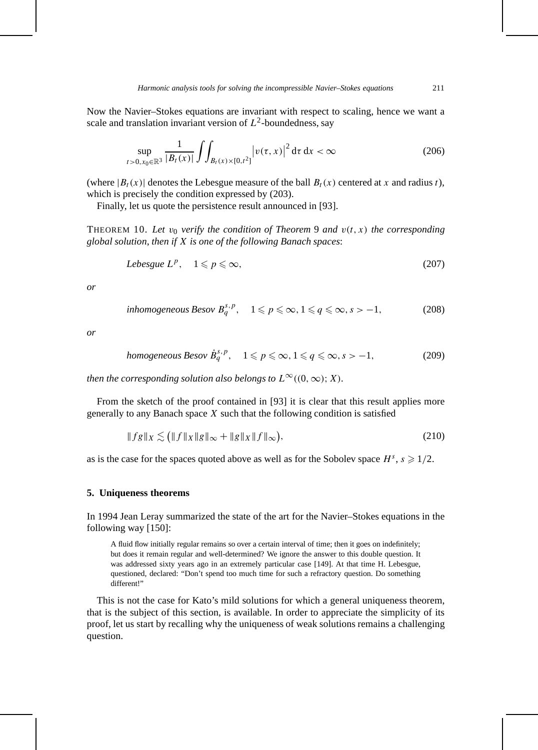Now the Navier–Stokes equations are invariant with respect to scaling, hence we want a scale and translation invariant version of  $L^2$ -boundedness, say

$$
\sup_{t>0, x_0 \in \mathbb{R}^3} \frac{1}{|B_t(x)|} \iint_{B_t(x) \times [0,t^2]} |v(\tau, x)|^2 d\tau dx < \infty
$$
 (206)

(where  $|B_t(x)|$  denotes the Lebesgue measure of the ball  $B_t(x)$  centered at x and radius t). which is precisely the condition expressed by (203).

Finally, let us quote the persistence result announced in [93].

THEOREM 10. Let  $v_0$  *verify the condition of Theorem* 9 *and*  $v(t, x)$  *the corresponding global solution*, *then if X is one of the following Banach spaces*:

$$
Lebesgue Lp, \quad 1 \leq p \leq \infty,
$$
\n<sup>(207)</sup>

*or*

$$
inhomogeneous Besov B_q^{s,p}, \quad 1 \leqslant p \leqslant \infty, 1 \leqslant q \leqslant \infty, s > -1,\tag{208}
$$

*or*

homogeneous Besov 
$$
\dot{B}_{q}^{s,p}
$$
,  $1 \leq p \leq \infty$ ,  $1 \leq q \leq \infty$ ,  $s > -1$ , (209)

*then the corresponding solution also belongs to*  $L^{\infty}((0, \infty); X)$ *.* 

From the sketch of the proof contained in [93] it is clear that this result applies more generally to any Banach space *X* such that the following condition is satisfied

$$
||fg||_X \lesssim (||f||_X ||g||_{\infty} + ||g||_X ||f||_{\infty}),
$$
\n(210)

as is the case for the spaces quoted above as well as for the Sobolev space  $H^s$ ,  $s \geq 1/2$ .

## **5. Uniqueness theorems**

In 1994 Jean Leray summarized the state of the art for the Navier–Stokes equations in the following way [150]:

A fluid flow initially regular remains so over a certain interval of time; then it goes on indefinitely; but does it remain regular and well-determined? We ignore the answer to this double question. It was addressed sixty years ago in an extremely particular case [149]. At that time H. Lebesgue, questioned, declared: "Don't spend too much time for such a refractory question. Do something different!"

This is not the case for Kato's mild solutions for which a general uniqueness theorem, that is the subject of this section, is available. In order to appreciate the simplicity of its proof, let us start by recalling why the uniqueness of weak solutions remains a challenging question.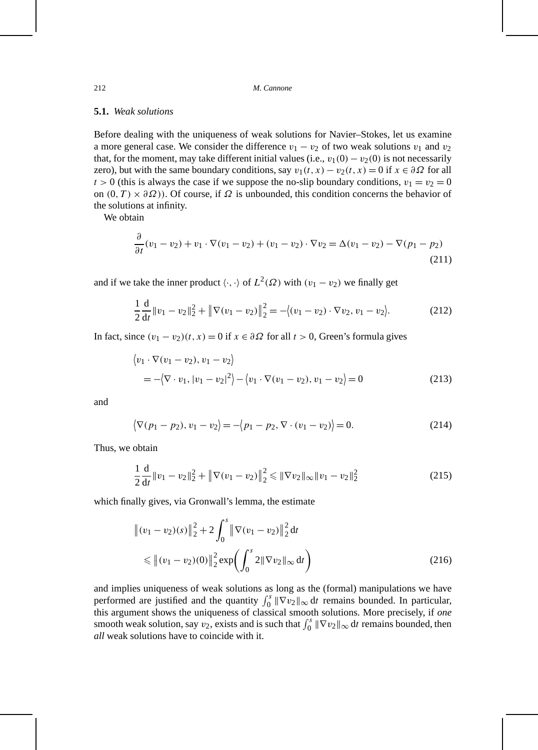## **5.1.** *Weak solutions*

Before dealing with the uniqueness of weak solutions for Navier–Stokes, let us examine a more general case. We consider the difference  $v_1 - v_2$  of two weak solutions  $v_1$  and  $v_2$ that, for the moment, may take different initial values (i.e.,  $v_1(0) - v_2(0)$  is not necessarily zero), but with the same boundary conditions, say  $v_1(t, x) - v_2(t, x) = 0$  if  $x \in \partial \Omega$  for all  $t > 0$  (this is always the case if we suppose the no-slip boundary conditions,  $v_1 = v_2 = 0$ on  $(0, T) \times \partial \Omega$ )). Of course, if  $\Omega$  is unbounded, this condition concerns the behavior of the solutions at infinity.

We obtain

$$
\frac{\partial}{\partial t}(v_1 - v_2) + v_1 \cdot \nabla(v_1 - v_2) + (v_1 - v_2) \cdot \nabla v_2 = \Delta(v_1 - v_2) - \nabla(p_1 - p_2)
$$
\n(211)

and if we take the inner product  $\langle \cdot, \cdot \rangle$  of  $L^2(\Omega)$  with  $(v_1 - v_2)$  we finally get

$$
\frac{1}{2}\frac{d}{dt}\|v_1 - v_2\|_2^2 + \|\nabla(v_1 - v_2)\|_2^2 = -\langle (v_1 - v_2) \cdot \nabla v_2, v_1 - v_2 \rangle.
$$
 (212)

In fact, since  $(v_1 - v_2)(t, x) = 0$  if  $x \in \partial \Omega$  for all  $t > 0$ , Green's formula gives

$$
\langle v_1 \cdot \nabla (v_1 - v_2), v_1 - v_2 \rangle
$$
  
= -\langle \nabla \cdot v\_1, |v\_1 - v\_2|^2 \rangle - \langle v\_1 \cdot \nabla (v\_1 - v\_2), v\_1 - v\_2 \rangle = 0 (213)

and

$$
\langle \nabla (p_1 - p_2), v_1 - v_2 \rangle = -\langle p_1 - p_2, \nabla \cdot (v_1 - v_2) \rangle = 0.
$$
 (214)

Thus, we obtain

$$
\frac{1}{2}\frac{d}{dt}\|v_1 - v_2\|_2^2 + \|\nabla(v_1 - v_2)\|_2^2 \le \|\nabla v_2\|_{\infty}\|v_1 - v_2\|_2^2
$$
\n(215)

which finally gives, via Gronwall's lemma, the estimate

$$
\|(v_1 - v_2)(s)\|_2^2 + 2\int_0^s \|\nabla(v_1 - v_2)\|_2^2 dt
$$
  
\$\leqslant \|(v\_1 - v\_2)(0)\|\_2^2 \exp\left(\int\_0^s 2\|\nabla v\_2\|\_\infty dt\right)\$ (216)

and implies uniqueness of weak solutions as long as the (formal) manipulations we have performed are justified and the quantity  $\int_0^s \|\nabla v_2\|_\infty dt$  remains bounded. In particular, this argument shows the uniqueness of classical smooth solutions. More precisely, if *one* smooth weak solution, say  $v_2$ , exists and is such that  $\int_0^s \|\nabla v_2\|_{\infty} dt$  remains bounded, then *all* weak solutions have to coincide with it.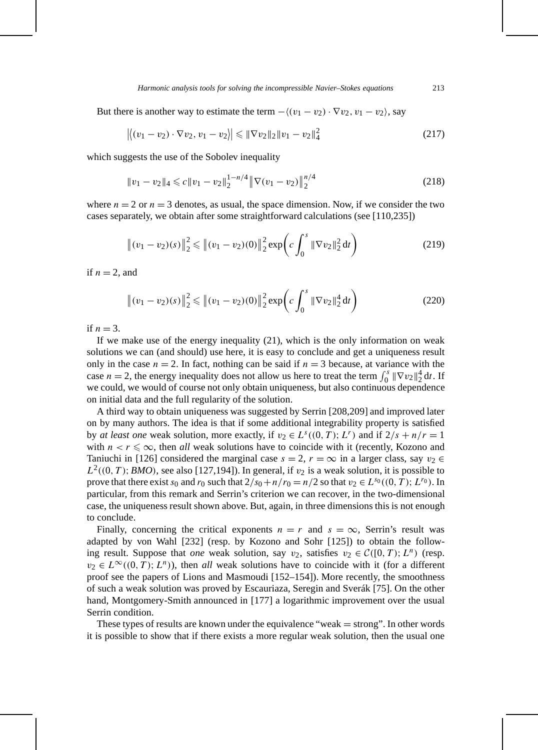But there is another way to estimate the term  $-(v_1 - v_2) \cdot \nabla v_2, v_1 - v_2$ , say

$$
\left| \langle (v_1 - v_2) \cdot \nabla v_2, v_1 - v_2 \rangle \right| \leq \| \nabla v_2 \|_2 \| v_1 - v_2 \|_4^2 \tag{217}
$$

which suggests the use of the Sobolev inequality

$$
||v_1 - v_2||_4 \leq c||v_1 - v_2||_2^{1-n/4} \|\nabla(v_1 - v_2)\|_2^{n/4}
$$
\n(218)

where  $n = 2$  or  $n = 3$  denotes, as usual, the space dimension. Now, if we consider the two cases separately, we obtain after some straightforward calculations (see [110,235])

$$
\|(v_1 - v_2)(s)\|_2^2 \le \| (v_1 - v_2)(0) \|_2^2 \exp\left(c \int_0^s \|\nabla v_2\|_2^2 dt\right)
$$
 (219)

if  $n = 2$ , and

$$
\left\|(v_1 - v_2)(s)\right\|_2^2 \le \| (v_1 - v_2)(0) \right\|_2^2 \exp\left(c \int_0^s \|\nabla v_2\|_2^4 dt\right)
$$
 (220)

if  $n = 3$ .

If we make use of the energy inequality (21), which is the only information on weak solutions we can (and should) use here, it is easy to conclude and get a uniqueness result only in the case  $n = 2$ . In fact, nothing can be said if  $n = 3$  because, at variance with the case *n* = 2, the energy inequality does not allow us here to treat the term  $\int_0^s \|\nabla v_2\|_2^4 dt$ . If we could, we would of course not only obtain uniqueness, but also continuous dependence on initial data and the full regularity of the solution.

A third way to obtain uniqueness was suggested by Serrin [208,209] and improved later on by many authors. The idea is that if some additional integrability property is satisfied by *at least one* weak solution, more exactly, if  $v_2 \in L^s((0,T); L^r)$  and if  $2/s + n/r = 1$ with  $n < r \leq \infty$ , then *all* weak solutions have to coincide with it (recently, Kozono and Taniuchi in [126] considered the marginal case  $s = 2$ ,  $r = \infty$  in a larger class, say  $v_2 \in$  $L^2((0, T); BMO)$ , see also [127,194]). In general, if  $v_2$  is a weak solution, it is possible to prove that there exist  $s_0$  and  $r_0$  such that  $2/s_0 + n/r_0 = n/2$  so that  $v_2 \in L^{s_0}((0, T); L^{r_0})$ . In particular, from this remark and Serrin's criterion we can recover, in the two-dimensional case, the uniqueness result shown above. But, again, in three dimensions this is not enough to conclude.

Finally, concerning the critical exponents  $n = r$  and  $s = \infty$ , Serrin's result was adapted by von Wahl [232] (resp. by Kozono and Sohr [125]) to obtain the following result. Suppose that *one* weak solution, say  $v_2$ , satisfies  $v_2 \in C([0, T); L^n)$  (resp.  $v_2 \in L^\infty((0,T); L^n)$ ), then *all* weak solutions have to coincide with it (for a different proof see the papers of Lions and Masmoudi [152–154]). More recently, the smoothness of such a weak solution was proved by Escauriaza, Seregin and Sverák [75]. On the other hand, Montgomery-Smith announced in [177] a logarithmic improvement over the usual Serrin condition.

These types of results are known under the equivalence "weak = strong". In other words it is possible to show that if there exists a more regular weak solution, then the usual one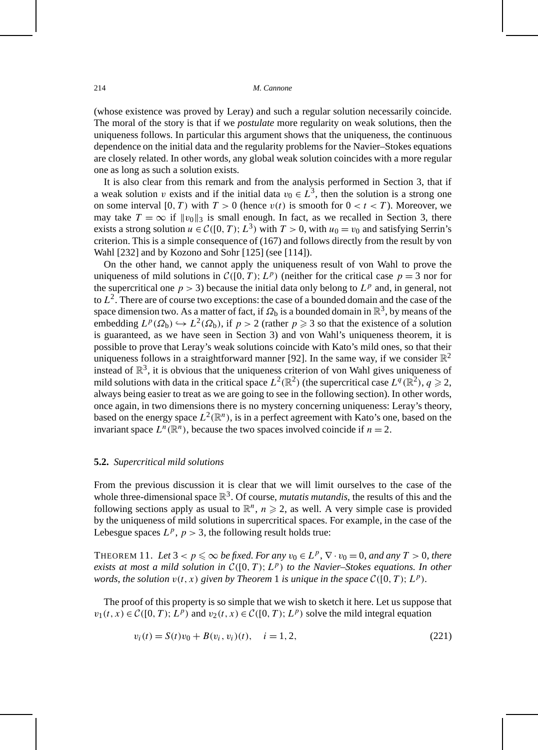(whose existence was proved by Leray) and such a regular solution necessarily coincide. The moral of the story is that if we *postulate* more regularity on weak solutions, then the uniqueness follows. In particular this argument shows that the uniqueness, the continuous dependence on the initial data and the regularity problems for the Navier–Stokes equations are closely related. In other words, any global weak solution coincides with a more regular one as long as such a solution exists.

It is also clear from this remark and from the analysis performed in Section 3, that if a weak solution *v* exists and if the initial data  $v_0 \in L^3$ , then the solution is a strong one on some interval  $[0, T)$  with  $T > 0$  (hence  $v(t)$  is smooth for  $0 < t < T$ ). Moreover, we may take  $T = \infty$  if  $\|v_0\|_3$  is small enough. In fact, as we recalled in Section 3, there exists a strong solution  $u \in C([0, T); L^3)$  with  $T > 0$ , with  $u_0 = v_0$  and satisfying Serrin's criterion. This is a simple consequence of (167) and follows directly from the result by von Wahl [232] and by Kozono and Sohr [125] (see [114]).

On the other hand, we cannot apply the uniqueness result of von Wahl to prove the uniqueness of mild solutions in  $C([0, T); L^p)$  (neither for the critical case  $p = 3$  nor for the supercritical one  $p > 3$ ) because the initial data only belong to  $L^p$  and, in general, not to *L*2. There are of course two exceptions: the case of a bounded domain and the case of the space dimension two. As a matter of fact, if  $\Omega_b$  is a bounded domain in  $\mathbb{R}^3$ , by means of the embedding  $L^p(\Omega_b) \hookrightarrow L^2(\Omega_b)$ , if  $p > 2$  (rather  $p \geq 3$  so that the existence of a solution is guaranteed, as we have seen in Section 3) and von Wahl's uniqueness theorem, it is possible to prove that Leray's weak solutions coincide with Kato's mild ones, so that their uniqueness follows in a straightforward manner [92]. In the same way, if we consider  $\mathbb{R}^2$ instead of  $\mathbb{R}^3$ , it is obvious that the uniqueness criterion of von Wahl gives uniqueness of mild solutions with data in the critical space  $L^2(\mathbb{R}^2)$  (the supercritical case  $L^q(\mathbb{R}^2)$ ,  $q \geq 2$ , always being easier to treat as we are going to see in the following section). In other words, once again, in two dimensions there is no mystery concerning uniqueness: Leray's theory, based on the energy space  $L^2(\mathbb{R}^n)$ , is in a perfect agreement with Kato's one, based on the invariant space  $L^n(\mathbb{R}^n)$ , because the two spaces involved coincide if  $n = 2$ .

#### **5.2.** *Supercritical mild solutions*

From the previous discussion it is clear that we will limit ourselves to the case of the whole three-dimensional space  $\mathbb{R}^3$ . Of course, *mutatis mutandis*, the results of this and the following sections apply as usual to  $\mathbb{R}^n$ ,  $n \geq 2$ , as well. A very simple case is provided by the uniqueness of mild solutions in supercritical spaces. For example, in the case of the Lebesgue spaces  $L^p$ ,  $p > 3$ , the following result holds true:

THEOREM 11. Let  $3 < p \le \infty$  be fixed. For any  $v_0 \in L^p$ ,  $\nabla \cdot v_0 = 0$ , and any  $T > 0$ , there *exists at most a mild solution in*  $C([0, T); L^p)$  *to the Navier–Stokes equations. In other words*, *the solution*  $v(t, x)$  *given by Theorem* 1 *is unique in the space*  $C([0, T); L<sup>p</sup>)$ *.* 

The proof of this property is so simple that we wish to sketch it here. Let us suppose that  $v_1(t, x) \in C([0, T); L^p)$  and  $v_2(t, x) \in C([0, T); L^p)$  solve the mild integral equation

$$
v_i(t) = S(t)v_0 + B(v_i, v_i)(t), \quad i = 1, 2,
$$
\n(221)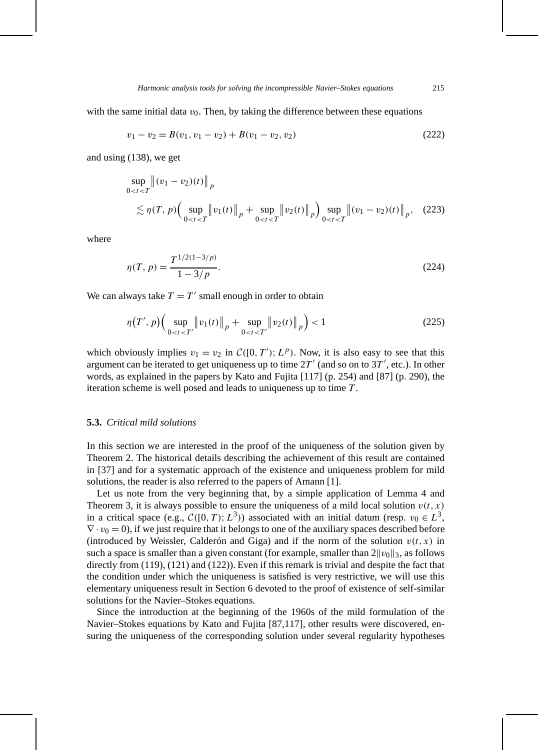with the same initial data  $v_0$ . Then, by taking the difference between these equations

$$
v_1 - v_2 = B(v_1, v_1 - v_2) + B(v_1 - v_2, v_2)
$$
\n(222)

and using (138), we get

$$
\sup_{0 < t < T} \left\| (v_1 - v_2)(t) \right\|_p
$$
\n
$$
\lesssim \eta(T, p) \Big( \sup_{0 < t < T} \left\| v_1(t) \right\|_p + \sup_{0 < t < T} \left\| v_2(t) \right\|_p \Big) \sup_{0 < t < T} \left\| (v_1 - v_2)(t) \right\|_p, \quad (223)
$$

where

$$
\eta(T, p) = \frac{T^{1/2(1-3/p)}}{1 - 3/p}.
$$
\n(224)

We can always take  $T = T'$  small enough in order to obtain

$$
\eta(T',p)\Big(\sup_{0
$$

which obviously implies  $v_1 = v_2$  in  $C([0, T'); L^p)$ . Now, it is also easy to see that this argument can be iterated to get uniqueness up to time  $2T'$  (and so on to  $3T'$ , etc.). In other words, as explained in the papers by Kato and Fujita [117] (p. 254) and [87] (p. 290), the iteration scheme is well posed and leads to uniqueness up to time *T* .

#### **5.3.** *Critical mild solutions*

In this section we are interested in the proof of the uniqueness of the solution given by Theorem 2. The historical details describing the achievement of this result are contained in [37] and for a systematic approach of the existence and uniqueness problem for mild solutions, the reader is also referred to the papers of Amann [1].

Let us note from the very beginning that, by a simple application of Lemma 4 and Theorem 3, it is always possible to ensure the uniqueness of a mild local solution  $v(t, x)$ in a critical space (e.g.,  $C([0, T); L^3)$ ) associated with an initial datum (resp.  $v_0 \in L^3$ ,  $\nabla \cdot v_0 = 0$ ), if we just require that it belongs to one of the auxiliary spaces described before (introduced by Weissler, Calderón and Giga) and if the norm of the solution  $v(t, x)$  in such a space is smaller than a given constant (for example, smaller than  $2||v_0||_3$ , as follows directly from (119), (121) and (122)). Even if this remark is trivial and despite the fact that the condition under which the uniqueness is satisfied is very restrictive, we will use this elementary uniqueness result in Section 6 devoted to the proof of existence of self-similar solutions for the Navier–Stokes equations.

Since the introduction at the beginning of the 1960s of the mild formulation of the Navier–Stokes equations by Kato and Fujita [87,117], other results were discovered, ensuring the uniqueness of the corresponding solution under several regularity hypotheses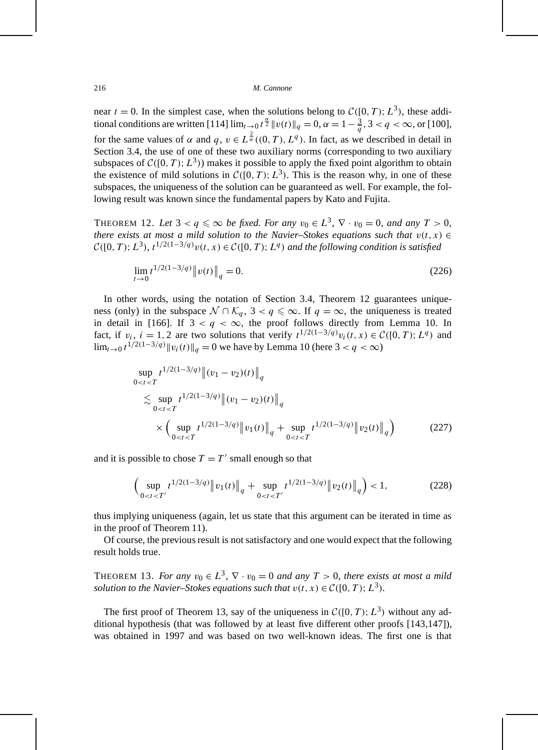near  $t = 0$ . In the simplest case, when the solutions belong to  $C([0, T); L^3)$ , these additional conditions are written [114]  $\lim_{t \to 0} t^{\frac{\alpha}{2}} \|v(t)\|_q = 0, \alpha = 1 - \frac{3}{q}, 3 < q < \infty$ , or [100], for the same values of  $\alpha$  and  $q, v \in L^{\frac{2}{\alpha}}((0, T), L^q)$ . In fact, as we described in detail in Section 3.4, the use of one of these two auxiliary norms (corresponding to two auxiliary subspaces of  $C([0, T); L^3)$ ) makes it possible to apply the fixed point algorithm to obtain the existence of mild solutions in  $C([0, T); L^3)$ . This is the reason why, in one of these subspaces, the uniqueness of the solution can be guaranteed as well. For example, the following result was known since the fundamental papers by Kato and Fujita.

THEOREM 12. Let  $3 < q \le \infty$  be fixed. For any  $v_0 \in L^3$ ,  $\nabla \cdot v_0 = 0$ , and any  $T > 0$ , *there exists at most a mild solution to the Navier–Stokes equations such that*  $v(t, x) \in$  $\mathcal{C}([0,T); L^3)$ ,  $t^{1/2(1-3/q)}v(t, x) \in \mathcal{C}([0,T); L^q)$  and the following condition is satisfied

$$
\lim_{t \to 0} t^{1/2(1-3/q)} \|v(t)\|_{q} = 0. \tag{226}
$$

In other words, using the notation of Section 3.4, Theorem 12 guarantees uniqueness (only) in the subspace  $\mathcal{N} \cap \mathcal{K}_q$ ,  $3 < q \leq \infty$ . If  $q = \infty$ , the uniqueness is treated in detail in [166]. If  $3 < q < \infty$ , the proof follows directly from Lemma 10. In fact, if  $v_i$ ,  $i = 1, 2$  are two solutions that verify  $t^{1/2(1-3/q)}v_i(t, x) \in \mathcal{C}([0, T); L^q)$  and  $\lim_{t\to 0} t^{1/2(1-3/q)}$  || $v_i(t)$  ||<sub>q</sub> = 0 we have by Lemma 10 (here 3 < q < ∞)

$$
\sup_{0 < t < T} t^{1/2(1-3/q)} \|(v_1 - v_2)(t)\|_q
$$
\n
$$
\lesssim \sup_{0 < t < T} t^{1/2(1-3/q)} \|(v_1 - v_2)(t)\|_q
$$
\n
$$
\times \left( \sup_{0 < t < T} t^{1/2(1-3/q)} \|v_1(t)\|_q + \sup_{0 < t < T} t^{1/2(1-3/q)} \|v_2(t)\|_q \right) \tag{227}
$$

and it is possible to chose  $T = T'$  small enough so that

$$
\left(\sup_{0
$$

thus implying uniqueness (again, let us state that this argument can be iterated in time as in the proof of Theorem 11).

Of course, the previous result is not satisfactory and one would expect that the following result holds true.

THEOREM 13. *For any*  $v_0 \in L^3$ ,  $\nabla \cdot v_0 = 0$  *and any*  $T > 0$ , *there exists at most a mild solution to the Navier–Stokes equations such that*  $v(t, x) \in C([0, T); L^3)$ *.* 

The first proof of Theorem 13, say of the uniqueness in  $C([0, T); L^3)$  without any additional hypothesis (that was followed by at least five different other proofs [143,147]), was obtained in 1997 and was based on two well-known ideas. The first one is that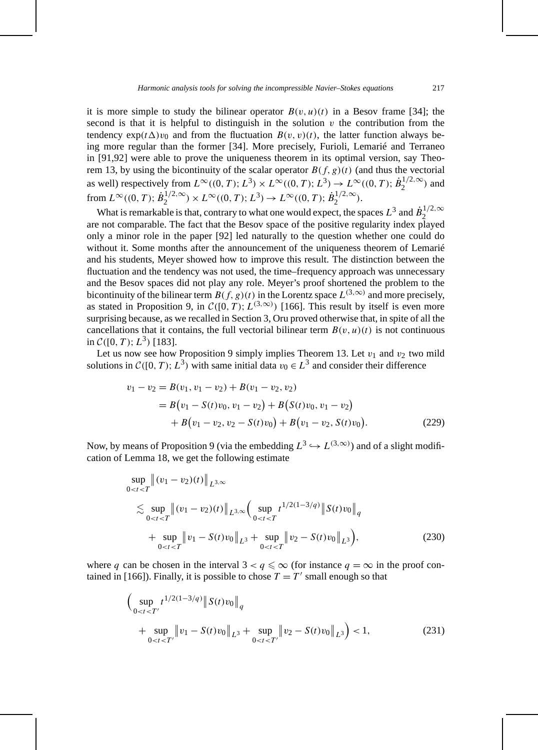it is more simple to study the bilinear operator  $B(v, u)(t)$  in a Besov frame [34]; the second is that it is helpful to distinguish in the solution  $v$  the contribution from the tendency  $exp(t\Delta)v_0$  and from the fluctuation  $B(v, v)(t)$ , the latter function always being more regular than the former [34]. More precisely, Furioli, Lemarié and Terraneo in [91,92] were able to prove the uniqueness theorem in its optimal version, say Theorem 13, by using the bicontinuity of the scalar operator  $B(f, g)(t)$  (and thus the vectorial as well) respectively from  $L^{\infty}((0, T); L^3) \times L^{\infty}((0, T); L^3) \to L^{\infty}((0, T); \dot{B}_2^{1/2, \infty})$  and from  $L^{\infty}((0, T); \dot{B}_2^{1/2, \infty}) \times L^{\infty}((0, T); L^3) \to L^{\infty}((0, T); \dot{B}_2^{1/2, \infty})$ .

What is remarkable is that, contrary to what one would expect, the spaces  $L^3$  and  $\dot{B}_2^{1/2,\infty}$ are not comparable. The fact that the Besov space of the positive regularity index played only a minor role in the paper [92] led naturally to the question whether one could do without it. Some months after the announcement of the uniqueness theorem of Lemarié and his students, Meyer showed how to improve this result. The distinction between the fluctuation and the tendency was not used, the time–frequency approach was unnecessary and the Besov spaces did not play any role. Meyer's proof shortened the problem to the bicontinuity of the bilinear term  $B(f, g)(t)$  in the Lorentz space  $L^{(3,\infty)}$  and more precisely, as stated in Proposition 9, in  $C([0, T); L^{(3, \infty)})$  [166]. This result by itself is even more surprising because, as we recalled in Section 3, Oru proved otherwise that, in spite of all the cancellations that it contains, the full vectorial bilinear term  $B(v, u)(t)$  is not continuous in  $C([0, T); L^3)$  [183].

Let us now see how Proposition 9 simply implies Theorem 13. Let  $v_1$  and  $v_2$  two mild solutions in  $C([0, T); L^3)$  with same initial data  $v_0 \in L^3$  and consider their difference

$$
v_1 - v_2 = B(v_1, v_1 - v_2) + B(v_1 - v_2, v_2)
$$
  
=  $B(v_1 - S(t)v_0, v_1 - v_2) + B(S(t)v_0, v_1 - v_2)$   
+  $B(v_1 - v_2, v_2 - S(t)v_0) + B(v_1 - v_2, S(t)v_0).$  (229)

Now, by means of Proposition 9 (via the embedding  $L^3 \hookrightarrow L^{(3,\infty)}$ ) and of a slight modification of Lemma 18, we get the following estimate

$$
\sup_{0 < t < T} \|(v_1 - v_2)(t)\|_{L^{3,\infty}}
$$
\n
$$
\lesssim \sup_{0 < t < T} \|(v_1 - v_2)(t)\|_{L^{3,\infty}} \Big( \sup_{0 < t < T} t^{1/2(1-3/q)} \|S(t)v_0\|_q
$$
\n
$$
+ \sup_{0 < t < T} \|v_1 - S(t)v_0\|_{L^3} + \sup_{0 < t < T} \|v_2 - S(t)v_0\|_{L^3} \Big), \tag{230}
$$

where q can be chosen in the interval  $3 < q \leq \infty$  (for instance  $q = \infty$  in the proof contained in [166]). Finally, it is possible to chose  $T = T'$  small enough so that

$$
\left(\sup_{0\n(231)
$$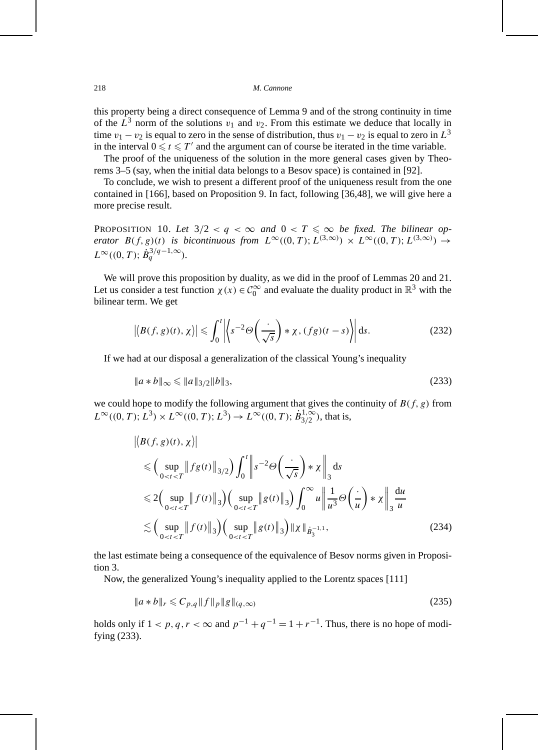this property being a direct consequence of Lemma 9 and of the strong continuity in time of the  $L^3$  norm of the solutions  $v_1$  and  $v_2$ . From this estimate we deduce that locally in time *v*<sub>1</sub> − *v*<sub>2</sub> is equal to zero in the sense of distribution, thus *v*<sub>1</sub> − *v*<sub>2</sub> is equal to zero in *L*<sup>3</sup> in the interval  $0 \le t \le T'$  and the argument can of course be iterated in the time variable.

The proof of the uniqueness of the solution in the more general cases given by Theorems 3–5 (say, when the initial data belongs to a Besov space) is contained in [92].

To conclude, we wish to present a different proof of the uniqueness result from the one contained in [166], based on Proposition 9. In fact, following [36,48], we will give here a more precise result.

PROPOSITION 10. Let  $3/2 < q < \infty$  and  $0 < T \leq \infty$  be fixed. The bilinear op*erator*  $B(f, g)(t)$  *is bicontinuous from*  $L^{\infty}((0, T); L^{(3, \infty)}) \times L^{\infty}((0, T); L^{(3, \infty)}) \rightarrow$  $L^{\infty}((0, T); \dot{B}_{q}^{3/q-1, \infty})$ *.* 

We will prove this proposition by duality, as we did in the proof of Lemmas 20 and 21. Let us consider a test function  $\chi(x) \in C_0^{\infty}$  and evaluate the duality product in  $\mathbb{R}^3$  with the bilinear term. We get

$$
\left| \left\langle B(f,g)(t), \chi \right\rangle \right| \leq \int_0^t \left| \left\langle s^{-2} \Theta\left(\frac{\cdot}{\sqrt{s}}\right) * \chi, (fg)(t-s) \right\rangle \right| ds. \tag{232}
$$

If we had at our disposal a generalization of the classical Young's inequality

$$
\|a * b\|_{\infty} \le \|a\|_{3/2} \|b\|_{3},\tag{233}
$$

we could hope to modify the following argument that gives the continuity of *B(f, g)* from  $L^{\infty}((0, T); L^3) \times L^{\infty}((0, T); L^3) \to L^{\infty}((0, T); \dot{B}^{1, \infty}_{3/2})$ , that is,

$$
\left| \langle B(f,g)(t), \chi \rangle \right|
$$
  
\n
$$
\leq \left( \sup_{0 < t < T} \|fg(t)\|_{3/2} \right) \int_0^t \left\| s^{-2} \Theta\left(\frac{\cdot}{\sqrt{s}}\right) * \chi \right\|_3 \, ds
$$
  
\n
$$
\leq 2 \left( \sup_{0 < t < T} \|f(t)\|_3 \right) \left( \sup_{0 < t < T} \|g(t)\|_3 \right) \int_0^\infty u \left\| \frac{1}{u^3} \Theta\left(\frac{\cdot}{u}\right) * \chi \right\|_3 \frac{du}{u}
$$
  
\n
$$
\lesssim \left( \sup_{0 < t < T} \|f(t)\|_3 \right) \left( \sup_{0 < t < T} \|g(t)\|_3 \right) \| \chi \|_{\dot{B}_3^{-1,1}}, \tag{234}
$$

the last estimate being a consequence of the equivalence of Besov norms given in Proposition 3.

Now, the generalized Young's inequality applied to the Lorentz spaces [111]

$$
\|a * b\|_{r} \leq C_{p,q} \|f\|_{p} \|g\|_{(q,\infty)}
$$
\n(235)

holds only if  $1 < p, q, r < \infty$  and  $p^{-1} + q^{-1} = 1 + r^{-1}$ . Thus, there is no hope of modifying (233).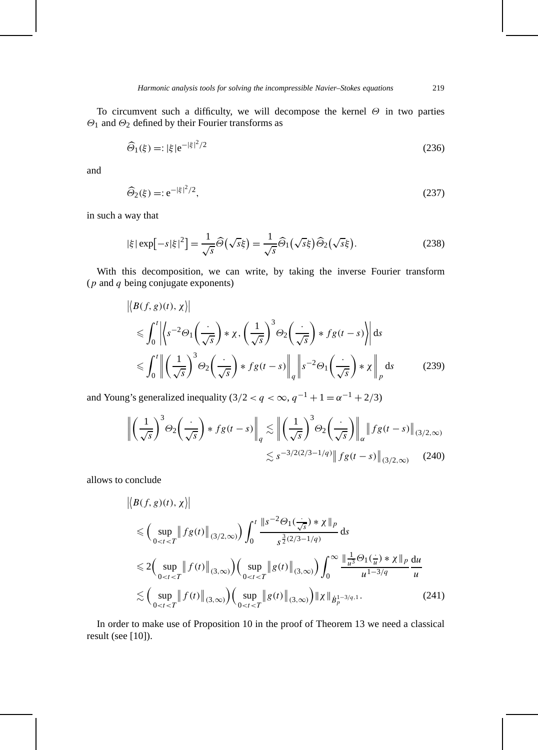To circumvent such a difficulty, we will decompose the kernel *Θ* in two parties *Θ*<sup>1</sup> and *Θ*<sup>2</sup> defined by their Fourier transforms as

$$
\widehat{\Theta}_1(\xi) =: |\xi| e^{-|\xi|^2/2}
$$
\n(236)

and

$$
\widehat{\Theta}_2(\xi) =: e^{-|\xi|^2/2},\tag{237}
$$

in such a way that

$$
|\xi| \exp[-s|\xi|^2] = \frac{1}{\sqrt{s}} \widehat{\Theta}(\sqrt{s}\xi) = \frac{1}{\sqrt{s}} \widehat{\Theta}_1(\sqrt{s}\xi) \widehat{\Theta}_2(\sqrt{s}\xi). \tag{238}
$$

With this decomposition, we can write, by taking the inverse Fourier transform (*p* and *q* being conjugate exponents)

$$
\left| \langle B(f,g)(t), \chi \rangle \right|
$$
  
\n
$$
\leq \int_0^t \left| \left\langle s^{-2} \Theta_1 \left( \frac{\cdot}{\sqrt{s}} \right) * \chi, \left( \frac{1}{\sqrt{s}} \right)^3 \Theta_2 \left( \frac{\cdot}{\sqrt{s}} \right) * fg(t-s) \right| \right| ds
$$
  
\n
$$
\leq \int_0^t \left| \left( \frac{1}{\sqrt{s}} \right)^3 \Theta_2 \left( \frac{\cdot}{\sqrt{s}} \right) * fg(t-s) \right|_q \left| s^{-2} \Theta_1 \left( \frac{\cdot}{\sqrt{s}} \right) * \chi \right|_p ds
$$
(239)

and Young's generalized inequality  $(3/2 < q < \infty, q^{-1} + 1 = \alpha^{-1} + 2/3)$ 

$$
\left\| \left( \frac{1}{\sqrt{s}} \right)^3 \Theta_2 \left( \frac{1}{\sqrt{s}} \right) * fg(t-s) \right\|_q \lesssim \left\| \left( \frac{1}{\sqrt{s}} \right)^3 \Theta_2 \left( \frac{1}{\sqrt{s}} \right) \right\|_\alpha \|fg(t-s)\|_{(3/2,\infty)}
$$
  

$$
\lesssim s^{-3/2(2/3-1/q)} \|fg(t-s)\|_{(3/2,\infty)} \qquad (240)
$$

allows to conclude

$$
\begin{split} \left| \langle B(f,g)(t), \chi \rangle \right| \\ &\leq \Big( \sup_{0 < t < T} \left\| f g(t) \right\|_{(3/2,\infty)} \Big) \int_0^t \frac{\| s^{-2} \Theta_1(\frac{\cdot}{\sqrt{s}}) * \chi \|_p}{s^{\frac{3}{2}(2/3 - 1/q)}} ds \\ &\leq 2 \Big( \sup_{0 < t < T} \left\| f(t) \right\|_{(3,\infty)} \Big) \Big( \sup_{0 < t < T} \left\| g(t) \right\|_{(3,\infty)} \Big) \int_0^\infty \frac{\| \frac{1}{u^3} \Theta_1(\frac{\cdot}{u}) * \chi \|_p}{u^{1 - 3/q}} \frac{du}{u} \\ &\lesssim \Big( \sup_{0 < t < T} \left\| f(t) \right\|_{(3,\infty)} \Big) \Big( \sup_{0 < t < T} \left\| g(t) \right\|_{(3,\infty)} \Big) \left\| \chi \right\|_{\dot{B}_p^{1 - 3/q, 1}} . \end{split} \tag{241}
$$

In order to make use of Proposition 10 in the proof of Theorem 13 we need a classical result (see [10]).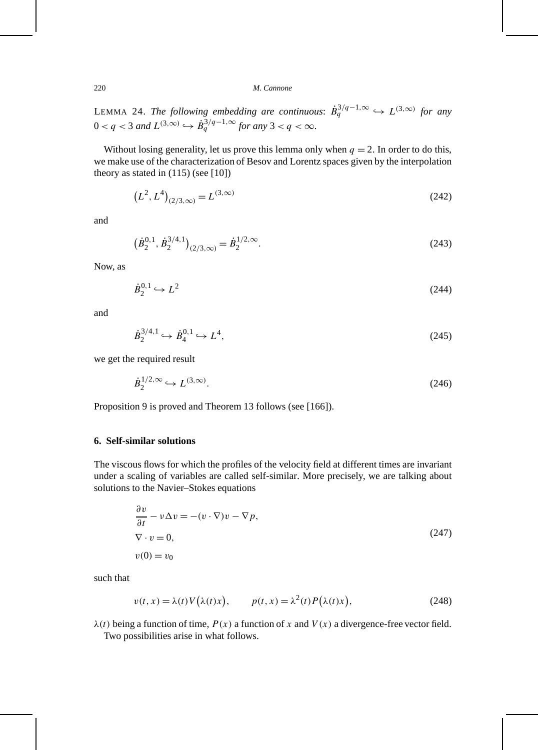$\Delta$  LEMMA 24. *The following embedding are continuous:*  $\dot{B}_q^{3/q-1,\infty}$  →  $L^{(3,\infty)}$  *for any*  $0 < q < 3$  and  $L^{(3,\infty)} \hookrightarrow \dot{B}_q^{3/q-1,\infty}$  for any  $3 < q < \infty$ .

Without losing generality, let us prove this lemma only when  $q = 2$ . In order to do this, we make use of the characterization of Besov and Lorentz spaces given by the interpolation theory as stated in (115) (see [10])

$$
(L^2, L^4)_{(2/3,\infty)} = L^{(3,\infty)} \tag{242}
$$

and

 $\overline{\mathbf{r}}$ 

$$
(\dot{B}_2^{0,1}, \dot{B}_2^{3/4,1})_{(2/3,\infty)} = \dot{B}_2^{1/2,\infty}.
$$
\n(243)

Now, as

$$
\dot{B}_2^{0,1} \hookrightarrow L^2 \tag{244}
$$

and

$$
\dot{B}_2^{3/4,1} \hookrightarrow \dot{B}_4^{0,1} \hookrightarrow L^4,\tag{245}
$$

we get the required result

$$
\dot{B}_2^{1/2,\infty} \hookrightarrow L^{(3,\infty)}.\tag{246}
$$

Proposition 9 is proved and Theorem 13 follows (see [166]).

# **6. Self-similar solutions**

The viscous flows for which the profiles of the velocity field at different times are invariant under a scaling of variables are called self-similar. More precisely, we are talking about solutions to the Navier–Stokes equations

$$
\frac{\partial v}{\partial t} - v \Delta v = -(v \cdot \nabla)v - \nabla p,
$$
  
\n
$$
\nabla \cdot v = 0,
$$
  
\n
$$
v(0) = v_0
$$
\n(247)

such that

$$
v(t, x) = \lambda(t) V(\lambda(t)x), \qquad p(t, x) = \lambda^{2}(t) P(\lambda(t)x), \qquad (248)
$$

 $\lambda(t)$  being a function of time,  $P(x)$  a function of x and  $V(x)$  a divergence-free vector field. Two possibilities arise in what follows.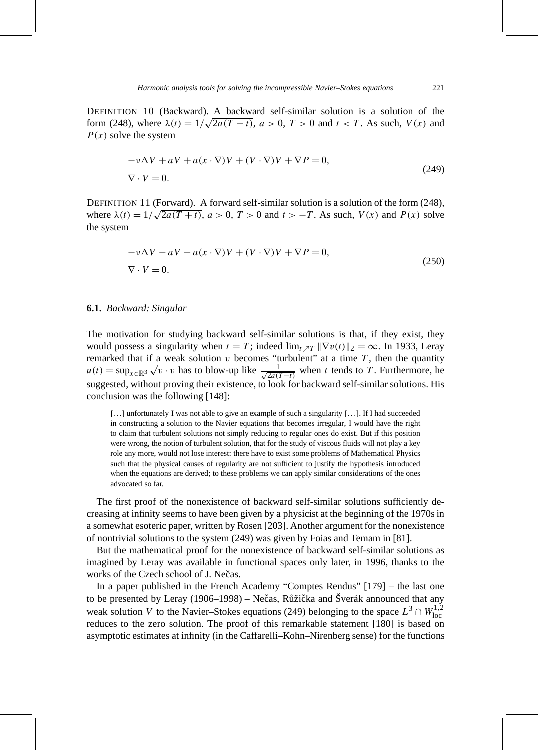DEFINITION 10 (Backward). A backward self-similar solution is a solution of the **FORMALLE 10** FOR THE *f* (BEFINITY ON THE *form (248)*, where  $λ(t) = 1/\sqrt{2a(T-t)}$ ,  $a > 0$ ,  $T > 0$  and  $t < T$ . As such,  $V(x)$  and  $P(x)$  solve the system

$$
-\nu \Delta V + aV + a(x \cdot \nabla)V + (V \cdot \nabla)V + \nabla P = 0,
$$
  
\n
$$
\nabla \cdot V = 0.
$$
\n(249)

DEFINITION 11 (Forward). A forward self-similar solution is a solution of the form (248), DEFINITION 11 (Forward). A forward self-similar solution is a solution of the form (248),<br>where  $\lambda(t) = 1/\sqrt{2a(T+t)}$ ,  $a > 0$ ,  $T > 0$  and  $t > -T$ . As such,  $V(x)$  and  $P(x)$  solve the system

$$
-\nu \Delta V - aV - a(x \cdot \nabla)V + (V \cdot \nabla)V + \nabla P = 0,
$$
  
\n
$$
\nabla \cdot V = 0.
$$
\n(250)

#### **6.1.** *Backward: Singular*

The motivation for studying backward self-similar solutions is that, if they exist, they would possess a singularity when  $t = T$ ; indeed  $\lim_{t \to T} ||\nabla v(t)||_2 = \infty$ . In 1933, Leray remarked that if a weak solution *v* becomes "turbulent" at a time *T* , then the quantity *u*(*t*) = sup<sub>*x*∈ $\mathbb{R}^3$   $\sqrt{v \cdot v}$  has to blow-up like  $\frac{1}{\sqrt{2a(T-t)}}$  when *t* tends to *T*. Furthermore, he</sub> suggested, without proving their existence, to look for backward self-similar solutions. His conclusion was the following [148]:

[...] unfortunately I was not able to give an example of such a singularity [...]. If I had succeeded in constructing a solution to the Navier equations that becomes irregular, I would have the right to claim that turbulent solutions not simply reducing to regular ones do exist. But if this position were wrong, the notion of turbulent solution, that for the study of viscous fluids will not play a key role any more, would not lose interest: there have to exist some problems of Mathematical Physics such that the physical causes of regularity are not sufficient to justify the hypothesis introduced when the equations are derived; to these problems we can apply similar considerations of the ones advocated so far.

The first proof of the nonexistence of backward self-similar solutions sufficiently decreasing at infinity seems to have been given by a physicist at the beginning of the 1970s in a somewhat esoteric paper, written by Rosen [203]. Another argument for the nonexistence of nontrivial solutions to the system (249) was given by Foias and Temam in [81].

But the mathematical proof for the nonexistence of backward self-similar solutions as imagined by Leray was available in functional spaces only later, in 1996, thanks to the works of the Czech school of J. Nečas.

In a paper published in the French Academy "Comptes Rendus" [179] – the last one to be presented by Leray (1906–1998) – Nečas, Růžička and Šverák announced that any weak solution *V* to the Navier–Stokes equations (249) belonging to the space  $L^3 \cap W_{\text{loc}}^{1,2}$ reduces to the zero solution. The proof of this remarkable statement [180] is based on asymptotic estimates at infinity (in the Caffarelli–Kohn–Nirenberg sense) for the functions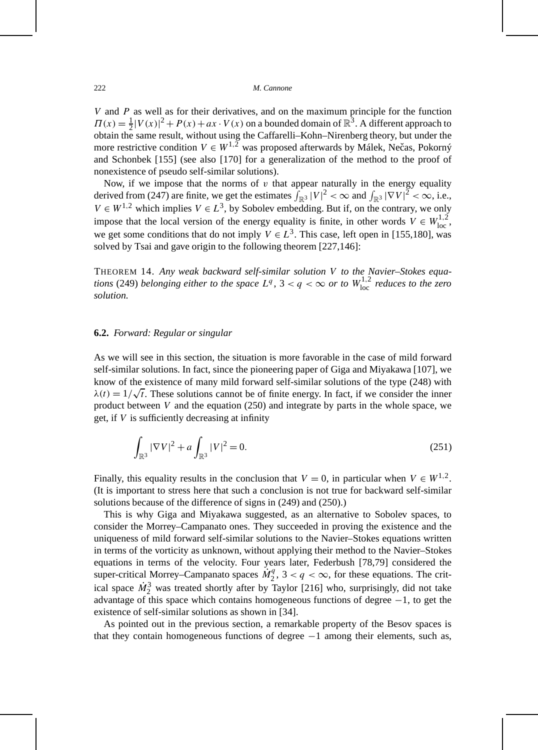*V* and *P* as well as for their derivatives, and on the maximum principle for the function  $\Pi(x) = \frac{1}{2} |V(x)|^2 + P(x) + ax \cdot V(x)$  on a bounded domain of  $\mathbb{R}^3$ . A different approach to obtain the same result, without using the Caffarelli–Kohn–Nirenberg theory, but under the more restrictive condition  $V \in W^{1,2}$  was proposed afterwards by Málek, Nečas, Pokorný and Schonbek [155] (see also [170] for a generalization of the method to the proof of nonexistence of pseudo self-similar solutions).

Now, if we impose that the norms of  $v$  that appear naturally in the energy equality derived from (247) are finite, we get the estimates  $\int_{\mathbb{R}^3} |V|^2 < \infty$  and  $\int_{\mathbb{R}^3} |\nabla V|^2 < \infty$ , i.e.,  $V \in W^{1,2}$  which implies  $V \in L^3$ , by Sobolev embedding. But if, on the contrary, we only impose that the local version of the energy equality is finite, in other words  $V \in W^{1,2}_{loc}$ , we get some conditions that do not imply  $V \in L^3$ . This case, left open in [155,180], was solved by Tsai and gave origin to the following theorem [227,146]:

THEOREM 14. *Any weak backward self-similar solution V to the Navier–Stokes equations* (249) *belonging either to the space*  $L^q$ ,  $3 < q < \infty$  *or to*  $W^{1,2}_{loc}$  *reduces to the zero solution.*

# **6.2.** *Forward: Regular or singular*

As we will see in this section, the situation is more favorable in the case of mild forward self-similar solutions. In fact, since the pioneering paper of Giga and Miyakawa [107], we know of the existence of many mild forward self-similar solutions of the type (248) with *λ*(*t*) = 1/ $\sqrt{t}$ . These solutions cannot be of finite energy. In fact, if we consider the inner product between *V* and the equation (250) and integrate by parts in the whole space, we get, if *V* is sufficiently decreasing at infinity

$$
\int_{\mathbb{R}^3} |\nabla V|^2 + a \int_{\mathbb{R}^3} |V|^2 = 0.
$$
\n(251)

Finally, this equality results in the conclusion that  $V = 0$ , in particular when  $V \in W^{1,2}$ . (It is important to stress here that such a conclusion is not true for backward self-similar solutions because of the difference of signs in (249) and (250).)

This is why Giga and Miyakawa suggested, as an alternative to Sobolev spaces, to consider the Morrey–Campanato ones. They succeeded in proving the existence and the uniqueness of mild forward self-similar solutions to the Navier–Stokes equations written in terms of the vorticity as unknown, without applying their method to the Navier–Stokes equations in terms of the velocity. Four years later, Federbush [78,79] considered the super-critical Morrey–Campanato spaces  $\dot{M}_2^q$ ,  $3 < q < \infty$ , for these equations. The critical space  $\dot{M}_2^3$  was treated shortly after by Taylor [216] who, surprisingly, did not take advantage of this space which contains homogeneous functions of degree −1, to get the existence of self-similar solutions as shown in [34].

As pointed out in the previous section, a remarkable property of the Besov spaces is that they contain homogeneous functions of degree  $-1$  among their elements, such as,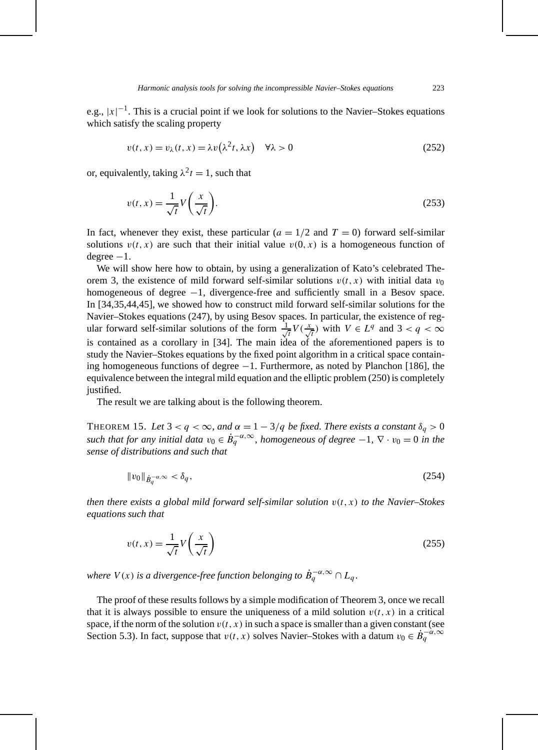e.g.,  $|x|^{-1}$ . This is a crucial point if we look for solutions to the Navier–Stokes equations which satisfy the scaling property

$$
v(t, x) = v_{\lambda}(t, x) = \lambda v(\lambda^{2}t, \lambda x) \quad \forall \lambda > 0
$$
\n(252)

or, equivalently, taking  $\lambda^2 t = 1$ , such that

$$
v(t,x) = \frac{1}{\sqrt{t}} V\left(\frac{x}{\sqrt{t}}\right).
$$
\n(253)

In fact, whenever they exist, these particular ( $a = 1/2$  and  $T = 0$ ) forward self-similar solutions  $v(t, x)$  are such that their initial value  $v(0, x)$  is a homogeneous function of  $degree -1$ .

We will show here how to obtain, by using a generalization of Kato's celebrated Theorem 3, the existence of mild forward self-similar solutions  $v(t, x)$  with initial data  $v_0$ homogeneous of degree −1, divergence-free and sufficiently small in a Besov space. In [34,35,44,45], we showed how to construct mild forward self-similar solutions for the Navier–Stokes equations (247), by using Besov spaces. In particular, the existence of regular forward self-similar solutions of the form  $\frac{1}{4}$  $\frac{1}{t}V(\frac{x}{\sqrt{t}})$  with  $V \in L^q$  and  $3 < q < \infty$ is contained as a corollary in [34]. The main idea of the aforementioned papers is to study the Navier–Stokes equations by the fixed point algorithm in a critical space containing homogeneous functions of degree  $-1$ . Furthermore, as noted by Planchon [186], the equivalence between the integral mild equation and the elliptic problem (250) is completely justified.

The result we are talking about is the following theorem.

THEOREM 15. Let  $3 < q < \infty$ , and  $\alpha = 1 - 3/q$  be fixed. There exists a constant  $\delta_q > 0$ *such that for any initial data*  $v_0 \in \dot{B}_a^{-\alpha, \infty}$ , *homogeneous of degree*  $-1$ ,  $\nabla \cdot v_0 = 0$  *in the sense of distributions and such that*

$$
||v_0||_{\dot{B}_q^{-\alpha,\infty}} < \delta_q,\tag{254}
$$

*then there exists a global mild forward self-similar solution*  $v(t, x)$  *to the Navier–Stokes equations such that*

$$
v(t,x) = \frac{1}{\sqrt{t}} V\left(\frac{x}{\sqrt{t}}\right)
$$
\n(255)

*where*  $V(x)$  *is a divergence-free function belonging to*  $\dot{B}_a^{-\alpha,\infty} \cap L_a$ *.* 

The proof of these results follows by a simple modification of Theorem 3, once we recall that it is always possible to ensure the uniqueness of a mild solution  $v(t, x)$  in a critical space, if the norm of the solution  $v(t, x)$  in such a space is smaller than a given constant (see Section 5.3). In fact, suppose that  $v(t, x)$  solves Navier–Stokes with a datum  $v_0 \in \dot{B}_a^{-\alpha, \infty}$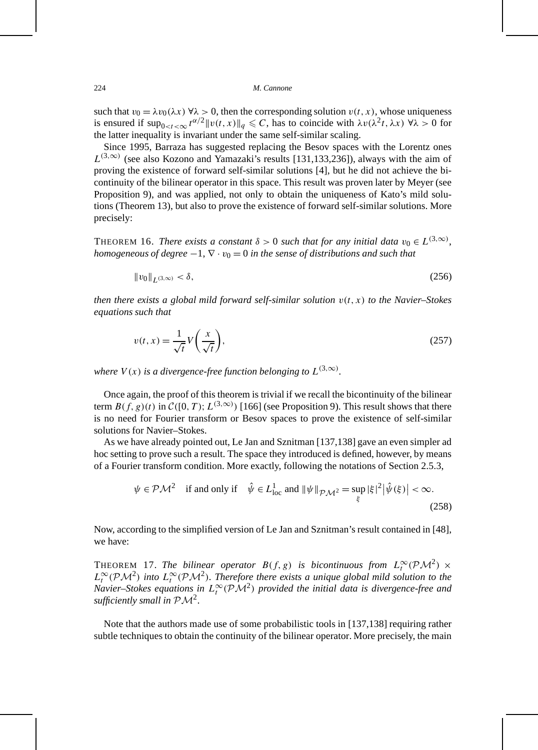such that  $v_0 = \lambda v_0(\lambda x)$   $\forall \lambda > 0$ , then the corresponding solution  $v(t, x)$ , whose uniqueness is ensured if  $\sup_{0 \le t \le \infty} t^{\alpha/2} ||v(t, x)||_q \le C$ , has to coincide with  $\lambda v(\lambda^2 t, \lambda x) \forall \lambda > 0$  for the latter inequality is invariant under the same self-similar scaling.

Since 1995, Barraza has suggested replacing the Besov spaces with the Lorentz ones  $L^{(3,\infty)}$  (see also Kozono and Yamazaki's results [131,133,236]), always with the aim of proving the existence of forward self-similar solutions [4], but he did not achieve the bicontinuity of the bilinear operator in this space. This result was proven later by Meyer (see Proposition 9), and was applied, not only to obtain the uniqueness of Kato's mild solutions (Theorem 13), but also to prove the existence of forward self-similar solutions. More precisely:

**THEOREM 16.** *There exists a constant*  $\delta > 0$  *such that for any initial data*  $v_0 \in L^{(3,\infty)}$ , *homogeneous of degree*  $-1$ ,  $\nabla \cdot v_0 = 0$  *in the sense of distributions and such that* 

$$
||v_0||_{L^{(3,\infty)}} < \delta,\tag{256}
$$

*then there exists a global mild forward self-similar solution v(t , x) to the Navier–Stokes equations such that*

$$
v(t,x) = \frac{1}{\sqrt{t}} V\left(\frac{x}{\sqrt{t}}\right),\tag{257}
$$

*where*  $V(x)$  *is a divergence-free function belonging to*  $L^{(3,\infty)}$ *.* 

Once again, the proof of this theorem is trivial if we recall the bicontinuity of the bilinear term  $B(f, g)(t)$  in  $C([0, T); L^{(3, \infty)})$  [166] (see Proposition 9). This result shows that there is no need for Fourier transform or Besov spaces to prove the existence of self-similar solutions for Navier–Stokes.

As we have already pointed out, Le Jan and Sznitman [137,138] gave an even simpler ad hoc setting to prove such a result. The space they introduced is defined, however, by means of a Fourier transform condition. More exactly, following the notations of Section 2.5.3,

$$
\psi \in \mathcal{PM}^2 \quad \text{if and only if} \quad \hat{\psi} \in L^1_{\text{loc}} \text{ and } \|\psi\|_{\mathcal{PM}^2} = \sup_{\xi} |\xi|^2 |\hat{\psi}(\xi)| < \infty. \tag{258}
$$

Now, according to the simplified version of Le Jan and Sznitman's result contained in [48], we have:

THEOREM 17. *The bilinear operator*  $B(f, g)$  *is bicontinuous from*  $L_t^{\infty}(\mathcal{PM}^2) \times$  $L_t^{\infty}(\mathcal{PM}^2)$  *into*  $L_t^{\infty}(\mathcal{PM}^2)$ *. Therefore there exists a unique global mild solution to the Navier–Stokes equations in*  $L_t^{\infty}(\mathcal{PM}^2)$  *provided the initial data is divergence-free and sufficiently small in* PM2*.*

Note that the authors made use of some probabilistic tools in [137,138] requiring rather subtle techniques to obtain the continuity of the bilinear operator. More precisely, the main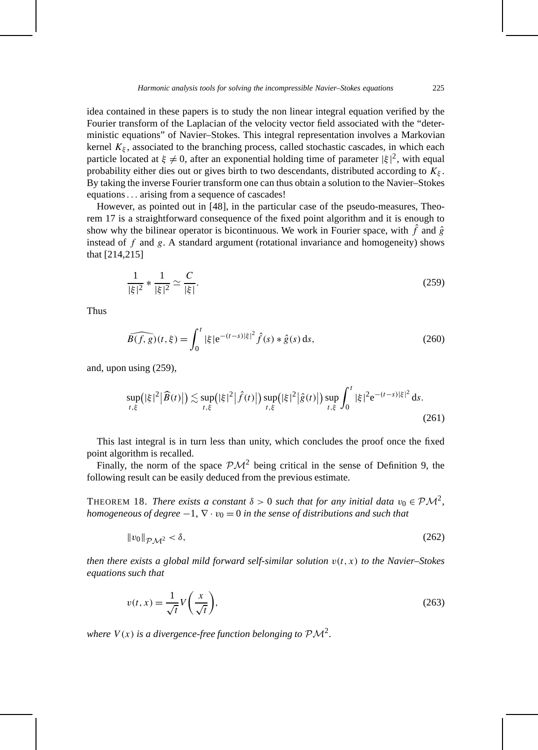idea contained in these papers is to study the non linear integral equation verified by the Fourier transform of the Laplacian of the velocity vector field associated with the "deterministic equations" of Navier–Stokes. This integral representation involves a Markovian kernel  $K_{\xi}$ , associated to the branching process, called stochastic cascades, in which each particle located at  $\xi \neq 0$ , after an exponential holding time of parameter  $|\xi|^2$ , with equal probability either dies out or gives birth to two descendants, distributed according to  $K_{\varepsilon}$ . By taking the inverse Fourier transform one can thus obtain a solution to the Navier–Stokes equations*...* arising from a sequence of cascades!

However, as pointed out in [48], in the particular case of the pseudo-measures, Theorem 17 is a straightforward consequence of the fixed point algorithm and it is enough to show why the bilinear operator is bicontinuous. We work in Fourier space, with  $\hat{f}$  and  $\hat{g}$ instead of *f* and *g*. A standard argument (rotational invariance and homogeneity) shows that [214,215]

$$
\frac{1}{|\xi|^2} * \frac{1}{|\xi|^2} \simeq \frac{C}{|\xi|}.\tag{259}
$$

Thus

$$
\widehat{B(f,g)}(t,\xi) = \int_0^t |\xi| e^{-(t-s)|\xi|^2} \hat{f}(s) * \hat{g}(s) ds,
$$
\n(260)

and, upon using (259),

$$
\sup_{t,\xi} (|\xi|^2 |\widehat{B}(t)|) \lesssim \sup_{t,\xi} (|\xi|^2 |\widehat{f}(t)|) \sup_{t,\xi} (|\xi|^2 |\widehat{g}(t)|) \sup_{t,\xi} \int_0^t |\xi|^2 e^{-(t-s)|\xi|^2} ds.
$$
\n(261)

This last integral is in turn less than unity, which concludes the proof once the fixed point algorithm is recalled.

Finally, the norm of the space  $\mathcal{PM}^2$  being critical in the sense of Definition 9, the following result can be easily deduced from the previous estimate.

**THEOREM 18.** *There exists a constant*  $\delta > 0$  *such that for any initial data*  $v_0 \in \mathcal{PM}^2$ , *homogeneous of degree*  $-1$ ,  $\nabla \cdot v_0 = 0$  *in the sense of distributions and such that* 

$$
||v_0||_{\mathcal{PM}^2} < \delta,\tag{262}
$$

*then there exists a global mild forward self-similar solution*  $v(t, x)$  *to the Navier–Stokes equations such that*

$$
v(t,x) = \frac{1}{\sqrt{t}} V\left(\frac{x}{\sqrt{t}}\right),\tag{263}
$$

*where*  $V(x)$  *is a divergence-free function belonging to*  $PM^2$ .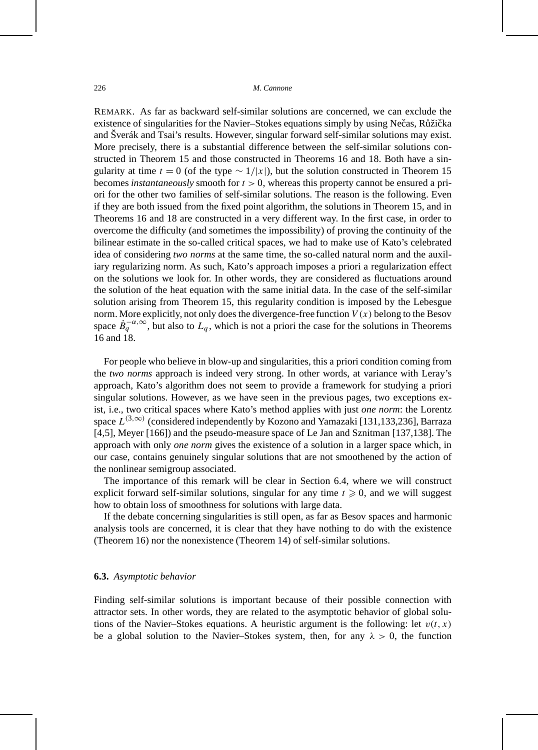REMARK. As far as backward self-similar solutions are concerned, we can exclude the existence of singularities for the Navier–Stokes equations simply by using Nečas, Růžička and Šverák and Tsai's results. However, singular forward self-similar solutions may exist. More precisely, there is a substantial difference between the self-similar solutions constructed in Theorem 15 and those constructed in Theorems 16 and 18. Both have a singularity at time  $t = 0$  (of the type  $\sim 1/|x|$ ), but the solution constructed in Theorem 15 becomes *instantaneously* smooth for *t >* 0, whereas this property cannot be ensured a priori for the other two families of self-similar solutions. The reason is the following. Even if they are both issued from the fixed point algorithm, the solutions in Theorem 15, and in Theorems 16 and 18 are constructed in a very different way. In the first case, in order to overcome the difficulty (and sometimes the impossibility) of proving the continuity of the bilinear estimate in the so-called critical spaces, we had to make use of Kato's celebrated idea of considering *two norms* at the same time, the so-called natural norm and the auxiliary regularizing norm. As such, Kato's approach imposes a priori a regularization effect on the solutions we look for. In other words, they are considered as fluctuations around the solution of the heat equation with the same initial data. In the case of the self-similar solution arising from Theorem 15, this regularity condition is imposed by the Lebesgue norm. More explicitly, not only does the divergence-free function *V (x)* belong to the Besov space  $\dot{B}_a^{-\alpha,\infty}$ , but also to  $L_a$ , which is not a priori the case for the solutions in Theorems 16 and 18.

For people who believe in blow-up and singularities, this a priori condition coming from the *two norms* approach is indeed very strong. In other words, at variance with Leray's approach, Kato's algorithm does not seem to provide a framework for studying a priori singular solutions. However, as we have seen in the previous pages, two exceptions exist, i.e., two critical spaces where Kato's method applies with just *one norm*: the Lorentz space  $L^{(3,\infty)}$  (considered independently by Kozono and Yamazaki [131,133,236], Barraza [4,5], Meyer [166]) and the pseudo-measure space of Le Jan and Sznitman [137,138]. The approach with only *one norm* gives the existence of a solution in a larger space which, in our case, contains genuinely singular solutions that are not smoothened by the action of the nonlinear semigroup associated.

The importance of this remark will be clear in Section 6.4, where we will construct explicit forward self-similar solutions, singular for any time  $t \ge 0$ , and we will suggest how to obtain loss of smoothness for solutions with large data.

If the debate concerning singularities is still open, as far as Besov spaces and harmonic analysis tools are concerned, it is clear that they have nothing to do with the existence (Theorem 16) nor the nonexistence (Theorem 14) of self-similar solutions.

## **6.3.** *Asymptotic behavior*

Finding self-similar solutions is important because of their possible connection with attractor sets. In other words, they are related to the asymptotic behavior of global solutions of the Navier–Stokes equations. A heuristic argument is the following: let  $v(t, x)$ be a global solution to the Navier–Stokes system, then, for any  $\lambda > 0$ , the function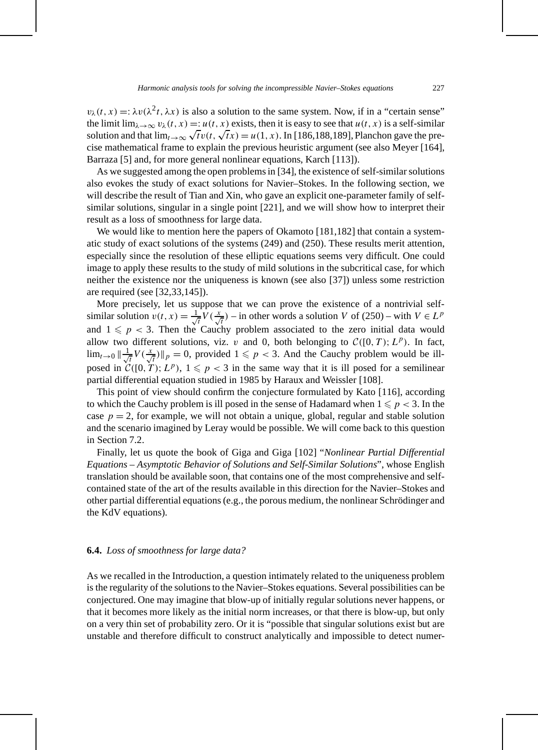$v_{\lambda}(t, x) =: \lambda v(\lambda^2 t, \lambda x)$  is also a solution to the same system. Now, if in a "certain sense" the limit  $\lim_{\lambda \to \infty} v_\lambda(t, x) =: u(t, x)$  exists, then it is easy to see that  $u(t, x)$  is a self-similar solution and that  $\lim_{t\to\infty}\sqrt{t}v(t,\sqrt{t}x)=u(1,x)$ . In [186,188,189], Planchon gave the precise mathematical frame to explain the previous heuristic argument (see also Meyer [164], Barraza [5] and, for more general nonlinear equations, Karch [113]).

As we suggested among the open problems in [34], the existence of self-similar solutions also evokes the study of exact solutions for Navier–Stokes. In the following section, we will describe the result of Tian and Xin, who gave an explicit one-parameter family of selfsimilar solutions, singular in a single point [221], and we will show how to interpret their result as a loss of smoothness for large data.

We would like to mention here the papers of Okamoto [181,182] that contain a systematic study of exact solutions of the systems (249) and (250). These results merit attention, especially since the resolution of these elliptic equations seems very difficult. One could image to apply these results to the study of mild solutions in the subcritical case, for which neither the existence nor the uniqueness is known (see also [37]) unless some restriction are required (see [32,33,145]).

More precisely, let us suppose that we can prove the existence of a nontrivial selfsimilar solution  $v(t, x) = \frac{1}{t}$  $\frac{1}{t}V(\frac{x}{\sqrt{t}})$  – in other words a solution *V* of (250) – with  $V \in L^p$ and  $1 \leqslant p < 3$ . Then the Cauchy problem associated to the zero initial data would allow two different solutions, viz. *v* and 0, both belonging to  $C([0, T); L^p)$ . In fact,  $\lim_{t\to 0}$   $\frac{1}{t}$  $\frac{1}{t}V(\frac{x}{\sqrt{t}})\Vert_p = 0$ , provided  $1 \leq p < 3$ . And the Cauchy problem would be illposed in  $\mathcal{C}([0, T); L^p)$ ,  $1 \leq p < 3$  in the same way that it is ill posed for a semilinear partial differential equation studied in 1985 by Haraux and Weissler [108].

This point of view should confirm the conjecture formulated by Kato [116], according to which the Cauchy problem is ill posed in the sense of Hadamard when  $1 \leqslant p < 3$ . In the case  $p = 2$ , for example, we will not obtain a unique, global, regular and stable solution and the scenario imagined by Leray would be possible. We will come back to this question in Section 7.2.

Finally, let us quote the book of Giga and Giga [102] "*Nonlinear Partial Differential Equations – Asymptotic Behavior of Solutions and Self-Similar Solutions*", whose English translation should be available soon, that contains one of the most comprehensive and selfcontained state of the art of the results available in this direction for the Navier–Stokes and other partial differential equations (e.g., the porous medium, the nonlinear Schrödinger and the KdV equations).

#### **6.4.** *Loss of smoothness for large data?*

As we recalled in the Introduction, a question intimately related to the uniqueness problem is the regularity of the solutions to the Navier–Stokes equations. Several possibilities can be conjectured. One may imagine that blow-up of initially regular solutions never happens, or that it becomes more likely as the initial norm increases, or that there is blow-up, but only on a very thin set of probability zero. Or it is "possible that singular solutions exist but are unstable and therefore difficult to construct analytically and impossible to detect numer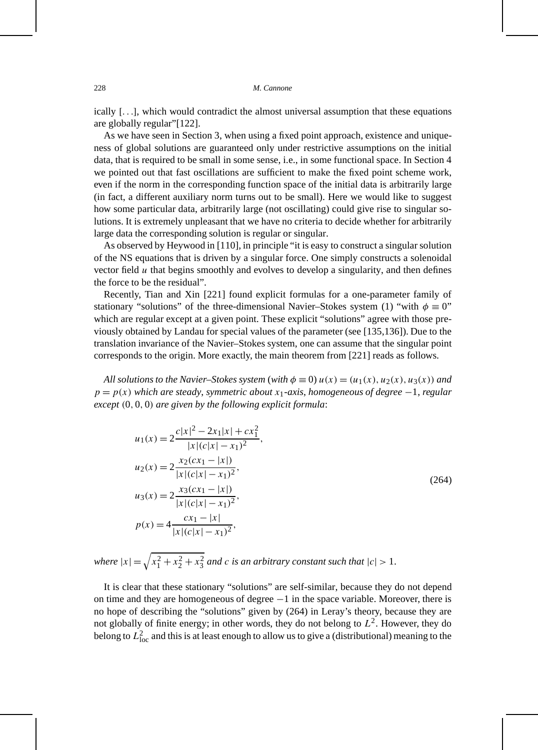ically [*...*], which would contradict the almost universal assumption that these equations are globally regular"[122].

As we have seen in Section 3, when using a fixed point approach, existence and uniqueness of global solutions are guaranteed only under restrictive assumptions on the initial data, that is required to be small in some sense, i.e., in some functional space. In Section 4 we pointed out that fast oscillations are sufficient to make the fixed point scheme work, even if the norm in the corresponding function space of the initial data is arbitrarily large (in fact, a different auxiliary norm turns out to be small). Here we would like to suggest how some particular data, arbitrarily large (not oscillating) could give rise to singular solutions. It is extremely unpleasant that we have no criteria to decide whether for arbitrarily large data the corresponding solution is regular or singular.

As observed by Heywood in [110], in principle "it is easy to construct a singular solution of the NS equations that is driven by a singular force. One simply constructs a solenoidal vector field *u* that begins smoothly and evolves to develop a singularity, and then defines the force to be the residual".

Recently, Tian and Xin [221] found explicit formulas for a one-parameter family of stationary "solutions" of the three-dimensional Navier–Stokes system (1) "with  $\phi \equiv 0$ " which are regular except at a given point. These explicit "solutions" agree with those previously obtained by Landau for special values of the parameter (see [135,136]). Due to the translation invariance of the Navier–Stokes system, one can assume that the singular point corresponds to the origin. More exactly, the main theorem from [221] reads as follows.

*All solutions to the Navier–Stokes system (with*  $\phi \equiv 0$ *)*  $u(x) = (u_1(x), u_2(x), u_3(x))$  *and p* = *p(x) which are steady*, *symmetric about x*1*-axis*, *homogeneous of degree* −1, *regular except (*0*,* 0*,* 0*) are given by the following explicit formula*:

$$
u_1(x) = 2 \frac{c|x|^2 - 2x_1|x| + cx_1^2}{|x|(c|x| - x_1)^2},
$$
  
\n
$$
u_2(x) = 2 \frac{x_2(cx_1 - |x|)}{|x|(c|x| - x_1)^2},
$$
  
\n
$$
u_3(x) = 2 \frac{x_3(cx_1 - |x|)}{|x|(c|x| - x_1)^2},
$$
  
\n
$$
p(x) = 4 \frac{cx_1 - |x|}{|x|(c|x| - x_1)^2},
$$
\n(264)

*where*  $|x| = \sqrt{x_1^2 + x_2^2 + x_3^2}$  *and c is an arbitrary constant such that*  $|c| > 1$ .

It is clear that these stationary "solutions" are self-similar, because they do not depend on time and they are homogeneous of degree −1 in the space variable. Moreover, there is no hope of describing the "solutions" given by (264) in Leray's theory, because they are not globally of finite energy; in other words, they do not belong to  $L^2$ . However, they do belong to  $L^2_{\text{loc}}$  and this is at least enough to allow us to give a (distributional) meaning to the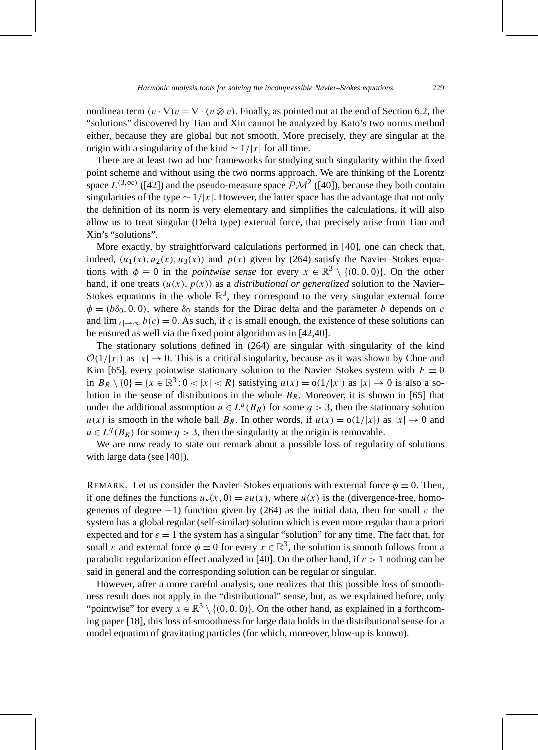nonlinear term  $(v \cdot \nabla)v = \nabla \cdot (v \otimes v)$ . Finally, as pointed out at the end of Section 6.2, the "solutions" discovered by Tian and Xin cannot be analyzed by Kato's two norms method either, because they are global but not smooth. More precisely, they are singular at the origin with a singularity of the kind ∼ 1*/*|*x*| for all time.

There are at least two ad hoc frameworks for studying such singularity within the fixed point scheme and without using the two norms approach. We are thinking of the Lorentz space  $L^{(3,\infty)}$  ([42]) and the pseudo-measure space  $\mathcal{PM}^2$  ([40]), because they both contain singularities of the type ∼ 1*/*|*x*|. However, the latter space has the advantage that not only the definition of its norm is very elementary and simplifies the calculations, it will also allow us to treat singular (Delta type) external force, that precisely arise from Tian and Xin's "solutions".

More exactly, by straightforward calculations performed in [40], one can check that, indeed,  $(u_1(x), u_2(x), u_3(x))$  and  $p(x)$  given by (264) satisfy the Navier–Stokes equations with  $\phi \equiv 0$  in the *pointwise sense* for every  $x \in \mathbb{R}^3 \setminus \{ (0, 0, 0) \}$ . On the other hand, if one treats  $(u(x), p(x))$  as a *distributional or generalized* solution to the Navier– Stokes equations in the whole  $\mathbb{R}^3$ , they correspond to the very singular external force  $\phi = (b\delta_0, 0, 0)$ , where  $\delta_0$  stands for the Dirac delta and the parameter *b* depends on *c* and  $\lim_{|c| \to \infty} b(c) = 0$ . As such, if *c* is small enough, the existence of these solutions can be ensured as well via the fixed point algorithm as in [42,40].

The stationary solutions defined in (264) are singular with singularity of the kind  $\mathcal{O}(1/|x|)$  as  $|x| \to 0$ . This is a critical singularity, because as it was shown by Choe and Kim [65], every pointwise stationary solution to the Navier–Stokes system with  $F \equiv 0$ in *B<sub>R</sub>*  $\setminus$  {0} = {*x* ∈  $\mathbb{R}^3$  : 0 < |*x*| < *R*} satisfying *u*(*x*) = o(1/|*x*|) as |*x*| → 0 is also a solution in the sense of distributions in the whole  $B_R$ . Moreover, it is shown in [65] that under the additional assumption  $u \in L^q(B_R)$  for some  $q > 3$ , then the stationary solution  $u(x)$  is smooth in the whole ball  $B_R$ . In other words, if  $u(x) = o(1/|x|)$  as  $|x| \to 0$  and  $u \in L^q(B_R)$  for some  $q > 3$ , then the singularity at the origin is removable.

We are now ready to state our remark about a possible loss of regularity of solutions with large data (see [40]).

REMARK. Let us consider the Navier–Stokes equations with external force  $\phi \equiv 0$ . Then, if one defines the functions  $u_{\varepsilon}(x, 0) = \varepsilon u(x)$ , where  $u(x)$  is the (divergence-free, homogeneous of degree  $-1$ ) function given by (264) as the initial data, then for small  $\varepsilon$  the system has a global regular (self-similar) solution which is even more regular than a priori expected and for  $\varepsilon = 1$  the system has a singular "solution" for any time. The fact that, for small  $\varepsilon$  and external force  $\phi \equiv 0$  for every  $x \in \mathbb{R}^3$ , the solution is smooth follows from a parabolic regularization effect analyzed in [40]. On the other hand, if *ε >* 1 nothing can be said in general and the corresponding solution can be regular or singular.

However, after a more careful analysis, one realizes that this possible loss of smoothness result does not apply in the "distributional" sense, but, as we explained before, only "pointwise" for every  $x \in \mathbb{R}^3 \setminus \{(0, 0, 0)\}\)$ . On the other hand, as explained in a forthcoming paper [18], this loss of smoothness for large data holds in the distributional sense for a model equation of gravitating particles (for which, moreover, blow-up is known).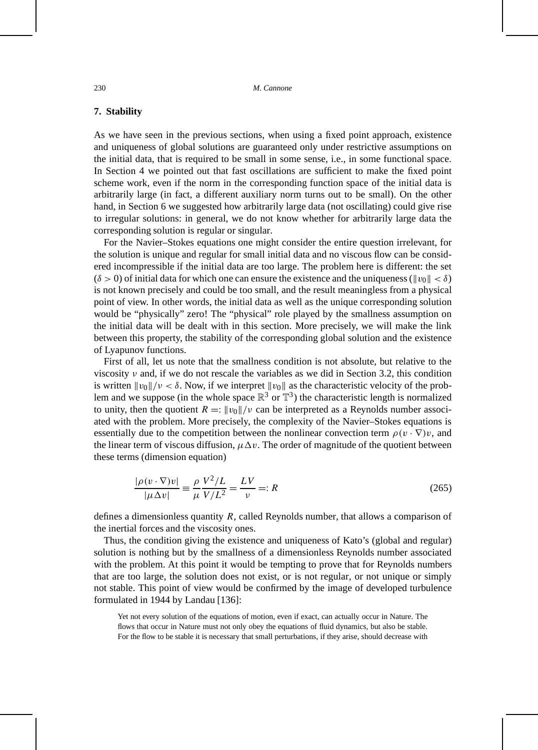# **7. Stability**

As we have seen in the previous sections, when using a fixed point approach, existence and uniqueness of global solutions are guaranteed only under restrictive assumptions on the initial data, that is required to be small in some sense, i.e., in some functional space. In Section 4 we pointed out that fast oscillations are sufficient to make the fixed point scheme work, even if the norm in the corresponding function space of the initial data is arbitrarily large (in fact, a different auxiliary norm turns out to be small). On the other hand, in Section 6 we suggested how arbitrarily large data (not oscillating) could give rise to irregular solutions: in general, we do not know whether for arbitrarily large data the corresponding solution is regular or singular.

For the Navier–Stokes equations one might consider the entire question irrelevant, for the solution is unique and regular for small initial data and no viscous flow can be considered incompressible if the initial data are too large. The problem here is different: the set  $(\delta > 0)$  of initial data for which one can ensure the existence and the uniqueness ( $||v_0|| < \delta$ ) is not known precisely and could be too small, and the result meaningless from a physical point of view. In other words, the initial data as well as the unique corresponding solution would be "physically" zero! The "physical" role played by the smallness assumption on the initial data will be dealt with in this section. More precisely, we will make the link between this property, the stability of the corresponding global solution and the existence of Lyapunov functions.

First of all, let us note that the smallness condition is not absolute, but relative to the viscosity *ν* and, if we do not rescale the variables as we did in Section 3.2, this condition is written  $\|v_0\|/\nu < \delta$ . Now, if we interpret  $\|v_0\|$  as the characteristic velocity of the problem and we suppose (in the whole space  $\mathbb{R}^3$  or  $\mathbb{T}^3$ ) the characteristic length is normalized to unity, then the quotient  $R =: ||v_0|| / v$  can be interpreted as a Reynolds number associated with the problem. More precisely, the complexity of the Navier–Stokes equations is essentially due to the competition between the nonlinear convection term  $\rho(v \cdot \nabla)v$ , and the linear term of viscous diffusion,  $\mu \Delta v$ . The order of magnitude of the quotient between these terms (dimension equation)

$$
\frac{|\rho(v \cdot \nabla)v|}{|\mu \Delta v|} \equiv \frac{\rho}{\mu} \frac{V^2/L}{V/L^2} = \frac{LV}{v} =: R
$$
\n(265)

defines a dimensionless quantity *R*, called Reynolds number, that allows a comparison of the inertial forces and the viscosity ones.

Thus, the condition giving the existence and uniqueness of Kato's (global and regular) solution is nothing but by the smallness of a dimensionless Reynolds number associated with the problem. At this point it would be tempting to prove that for Reynolds numbers that are too large, the solution does not exist, or is not regular, or not unique or simply not stable. This point of view would be confirmed by the image of developed turbulence formulated in 1944 by Landau [136]:

Yet not every solution of the equations of motion, even if exact, can actually occur in Nature. The flows that occur in Nature must not only obey the equations of fluid dynamics, but also be stable. For the flow to be stable it is necessary that small perturbations, if they arise, should decrease with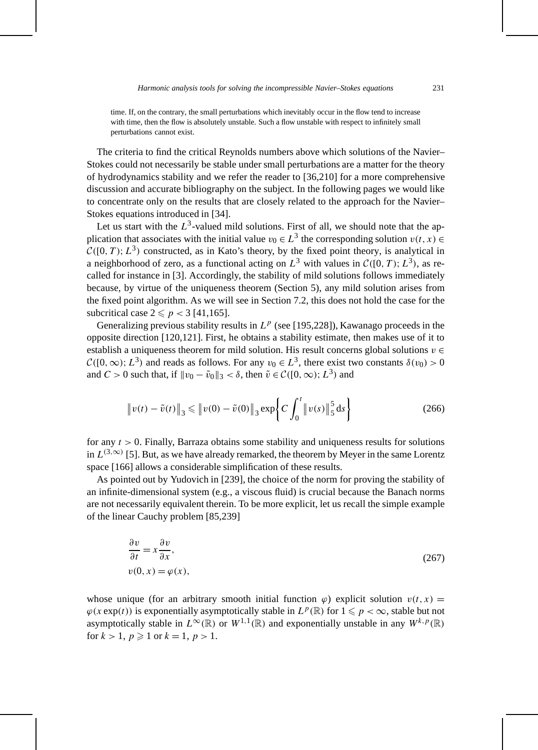time. If, on the contrary, the small perturbations which inevitably occur in the flow tend to increase with time, then the flow is absolutely unstable. Such a flow unstable with respect to infinitely small perturbations cannot exist.

The criteria to find the critical Reynolds numbers above which solutions of the Navier– Stokes could not necessarily be stable under small perturbations are a matter for the theory of hydrodynamics stability and we refer the reader to [36,210] for a more comprehensive discussion and accurate bibliography on the subject. In the following pages we would like to concentrate only on the results that are closely related to the approach for the Navier– Stokes equations introduced in [34].

Let us start with the  $L^3$ -valued mild solutions. First of all, we should note that the application that associates with the initial value  $v_0 \in L^3$  the corresponding solution  $v(t, x) \in$  $C([0, T); L^3)$  constructed, as in Kato's theory, by the fixed point theory, is analytical in a neighborhood of zero, as a functional acting on  $L^3$  with values in  $C([0, T); L^3)$ , as recalled for instance in [3]. Accordingly, the stability of mild solutions follows immediately because, by virtue of the uniqueness theorem (Section 5), any mild solution arises from the fixed point algorithm. As we will see in Section 7.2, this does not hold the case for the subcritical case  $2 \leq p < 3$  [41,165].

Generalizing previous stability results in  $L^p$  (see [195,228]), Kawanago proceeds in the opposite direction [120,121]. First, he obtains a stability estimate, then makes use of it to establish a uniqueness theorem for mild solution. His result concerns global solutions *v* ∈  $\mathcal{C}([0,\infty); L^3)$  and reads as follows. For any  $v_0 \in L^3$ , there exist two constants  $\delta(v_0) > 0$ and *C* > 0 such that, if  $\|v_0 - \tilde{v}_0\|_3 < \delta$ , then  $\tilde{v} \in \mathcal{C}([0,\infty); L^3)$  and

$$
\|v(t) - \tilde{v}(t)\|_{3} \le \|v(0) - \tilde{v}(0)\|_{3} \exp\left\{ C \int_{0}^{t} \|v(s)\|_{5}^{5} \, \mathrm{d}s \right\} \tag{266}
$$

for any *t >* 0. Finally, Barraza obtains some stability and uniqueness results for solutions in  $L^{(3,\infty)}$  [5]. But, as we have already remarked, the theorem by Meyer in the same Lorentz space [166] allows a considerable simplification of these results.

As pointed out by Yudovich in [239], the choice of the norm for proving the stability of an infinite-dimensional system (e.g., a viscous fluid) is crucial because the Banach norms are not necessarily equivalent therein. To be more explicit, let us recall the simple example of the linear Cauchy problem [85,239]

$$
\frac{\partial v}{\partial t} = x \frac{\partial v}{\partial x},
$$
  
\n
$$
v(0, x) = \varphi(x),
$$
\n(267)

whose unique (for an arbitrary smooth initial function  $\varphi$ ) explicit solution  $v(t, x) =$  $\varphi(x \exp(t))$  is exponentially asymptotically stable in  $L^p(\mathbb{R})$  for  $1 \leq p < \infty$ , stable but not asymptotically stable in  $L^{\infty}(\mathbb{R})$  or  $W^{1,1}(\mathbb{R})$  and exponentially unstable in any  $W^{k,p}(\mathbb{R})$ for  $k > 1$ ,  $p \ge 1$  or  $k = 1$ ,  $p > 1$ .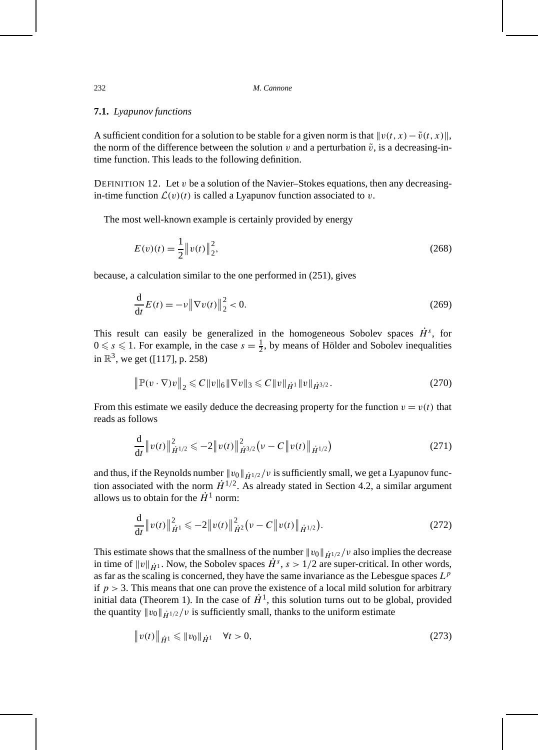## **7.1.** *Lyapunov functions*

A sufficient condition for a solution to be stable for a given norm is that  $\|v(t, x) - \tilde{v}(t, x)\|$ , the norm of the difference between the solution *v* and a perturbation  $\tilde{v}$ , is a decreasing-intime function. This leads to the following definition.

DEFINITION 12. Let *v* be a solution of the Navier–Stokes equations, then any decreasingin-time function  $\mathcal{L}(v)(t)$  is called a Lyapunov function associated to *v*.

The most well-known example is certainly provided by energy

$$
E(v)(t) = \frac{1}{2} ||v(t)||_2^2,
$$
\n(268)

because, a calculation similar to the one performed in (251), gives

$$
\frac{d}{dt}E(t) = -\nu \|\nabla v(t)\|_2^2 < 0.
$$
\n(269)

This result can easily be generalized in the homogeneous Sobolev spaces  $\dot{H}^s$ , for  $0 \le s \le 1$ . For example, in the case  $s = \frac{1}{2}$ , by means of Hölder and Sobolev inequalities in  $\mathbb{R}^3$ , we get ([117], p. 258)

$$
\|\mathbb{P}(v \cdot \nabla)v\|_{2} \leq C\|v\|_{6}\|\nabla v\|_{3} \leq C\|v\|_{\dot{H}^{1}}\|v\|_{\dot{H}^{3/2}}.
$$
\n(270)

From this estimate we easily deduce the decreasing property for the function  $v = v(t)$  that reads as follows

$$
\frac{\mathrm{d}}{\mathrm{d}t} \|v(t)\|_{\dot{H}^{1/2}}^2 \leq -2 \|v(t)\|_{\dot{H}^{3/2}}^2 \left(v - C \|v(t)\|_{\dot{H}^{1/2}}\right) \tag{271}
$$

and thus, if the Reynolds number  $||v_0||_{\dot{H}^{1/2}}/v$  is sufficiently small, we get a Lyapunov function associated with the norm  $\dot{H}^{1/2}$ . As already stated in Section 4.2, a similar argument allows us to obtain for the  $\dot{H}^1$  norm:

$$
\frac{\mathrm{d}}{\mathrm{d}t} \|v(t)\|_{\dot{H}^1}^2 \leq -2 \|v(t)\|_{\dot{H}^2}^2 \left(v - C \|v(t)\|_{\dot{H}^{1/2}}\right).
$$
\n(272)

This estimate shows that the smallness of the number  $\|v_0\|_{\dot{H}^{1/2}}/v$  also implies the decrease in time of  $\|v\|_{\dot{H}^1}$ . Now, the Sobolev spaces  $\dot{H}^s$ ,  $s > 1/2$  are super-critical. In other words, as far as the scaling is concerned, they have the same invariance as the Lebesgue spaces  $L^p$ if  $p > 3$ . This means that one can prove the existence of a local mild solution for arbitrary initial data (Theorem 1). In the case of  $\dot{H}^1$ , this solution turns out to be global, provided the quantity  $||v_0||_{\dot{H}^{1/2}}/v$  is sufficiently small, thanks to the uniform estimate

$$
\|v(t)\|_{\dot{H}^1} \le \|v_0\|_{\dot{H}^1} \quad \forall t > 0,
$$
\n(273)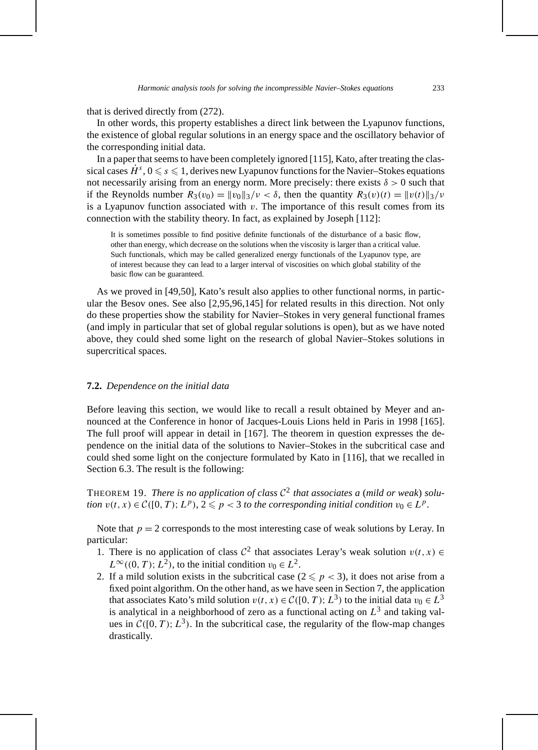that is derived directly from (272).

In other words, this property establishes a direct link between the Lyapunov functions, the existence of global regular solutions in an energy space and the oscillatory behavior of the corresponding initial data.

In a paper that seems to have been completely ignored [115], Kato, after treating the classical cases  $\dot{H}^s$ ,  $0 \le s \le 1$ , derives new Lyapunov functions for the Navier–Stokes equations not necessarily arising from an energy norm. More precisely: there exists  $\delta > 0$  such that if the Reynolds number  $R_3(v_0) = ||v_0||_3/\nu < \delta$ , then the quantity  $R_3(v)(t) = ||v(t)||_3/\nu$ is a Lyapunov function associated with *v*. The importance of this result comes from its connection with the stability theory. In fact, as explained by Joseph [112]:

It is sometimes possible to find positive definite functionals of the disturbance of a basic flow, other than energy, which decrease on the solutions when the viscosity is larger than a critical value. Such functionals, which may be called generalized energy functionals of the Lyapunov type, are of interest because they can lead to a larger interval of viscosities on which global stability of the basic flow can be guaranteed.

As we proved in [49,50], Kato's result also applies to other functional norms, in particular the Besov ones. See also [2,95,96,145] for related results in this direction. Not only do these properties show the stability for Navier–Stokes in very general functional frames (and imply in particular that set of global regular solutions is open), but as we have noted above, they could shed some light on the research of global Navier–Stokes solutions in supercritical spaces.

## **7.2.** *Dependence on the initial data*

Before leaving this section, we would like to recall a result obtained by Meyer and announced at the Conference in honor of Jacques-Louis Lions held in Paris in 1998 [165]. The full proof will appear in detail in [167]. The theorem in question expresses the dependence on the initial data of the solutions to Navier–Stokes in the subcritical case and could shed some light on the conjecture formulated by Kato in [116], that we recalled in Section 6.3. The result is the following:

THEOREM 19. *There is no application of class*  $C^2$  *that associates a (mild or weak) solution*  $v(t, x) \in C([0, T); L^p)$ ,  $2 \leq p < 3$  *to the corresponding initial condition*  $v_0 \in L^p$ .

Note that  $p = 2$  corresponds to the most interesting case of weak solutions by Leray. In particular:

- 1. There is no application of class  $C^2$  that associates Leray's weak solution  $v(t, x) \in$  $L^{\infty}((0, T); L^2)$ , to the initial condition  $v_0 \in L^2$ .
- 2. If a mild solution exists in the subcritical case  $(2 \leq p < 3)$ , it does not arise from a fixed point algorithm. On the other hand, as we have seen in Section 7, the application that associates Kato's mild solution  $v(t, x) \in C([0, T); L^3)$  to the initial data  $v_0 \in L^3$ is analytical in a neighborhood of zero as a functional acting on  $L^3$  and taking values in  $C([0, T); L^3)$ . In the subcritical case, the regularity of the flow-map changes drastically.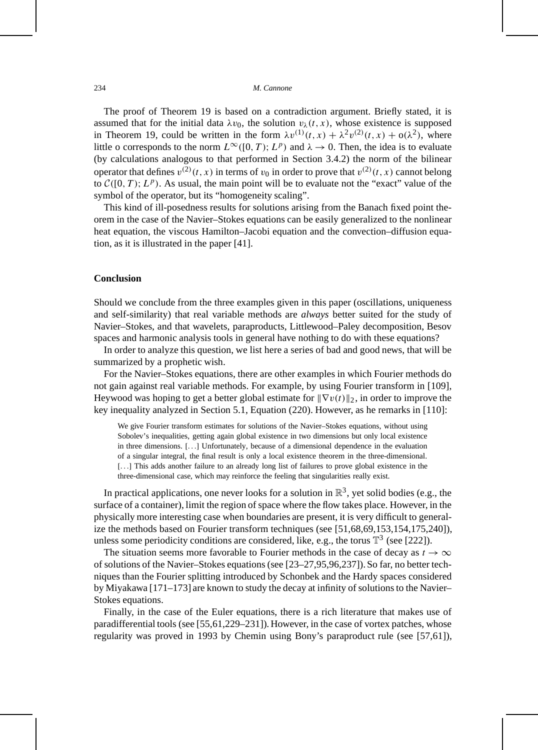The proof of Theorem 19 is based on a contradiction argument. Briefly stated, it is assumed that for the initial data  $\lambda v_0$ , the solution  $v_\lambda(t, x)$ , whose existence is supposed in Theorem 19, could be written in the form  $\lambda v^{(1)}(t, x) + \lambda^2 v^{(2)}(t, x) + o(\lambda^2)$ , where little o corresponds to the norm  $L^{\infty}([0, T); L^p)$  and  $\lambda \to 0$ . Then, the idea is to evaluate (by calculations analogous to that performed in Section 3.4.2) the norm of the bilinear operator that defines  $v^{(2)}(t, x)$  in terms of  $v_0$  in order to prove that  $v^{(2)}(t, x)$  cannot belong to  $C([0, T); L<sup>p</sup>)$ . As usual, the main point will be to evaluate not the "exact" value of the symbol of the operator, but its "homogeneity scaling".

This kind of ill-posedness results for solutions arising from the Banach fixed point theorem in the case of the Navier–Stokes equations can be easily generalized to the nonlinear heat equation, the viscous Hamilton–Jacobi equation and the convection–diffusion equation, as it is illustrated in the paper [41].

# **Conclusion**

Should we conclude from the three examples given in this paper (oscillations, uniqueness and self-similarity) that real variable methods are *always* better suited for the study of Navier–Stokes, and that wavelets, paraproducts, Littlewood–Paley decomposition, Besov spaces and harmonic analysis tools in general have nothing to do with these equations?

In order to analyze this question, we list here a series of bad and good news, that will be summarized by a prophetic wish.

For the Navier–Stokes equations, there are other examples in which Fourier methods do not gain against real variable methods. For example, by using Fourier transform in [109], Heywood was hoping to get a better global estimate for  $\|\nabla v(t)\|_2$ , in order to improve the key inequality analyzed in Section 5.1, Equation (220). However, as he remarks in [110]:

We give Fourier transform estimates for solutions of the Navier–Stokes equations, without using Sobolev's inequalities, getting again global existence in two dimensions but only local existence in three dimensions. [*...*] Unfortunately, because of a dimensional dependence in the evaluation of a singular integral, the final result is only a local existence theorem in the three-dimensional. [...] This adds another failure to an already long list of failures to prove global existence in the three-dimensional case, which may reinforce the feeling that singularities really exist.

In practical applications, one never looks for a solution in  $\mathbb{R}^3$ , yet solid bodies (e.g., the surface of a container), limit the region of space where the flow takes place. However, in the physically more interesting case when boundaries are present, it is very difficult to generalize the methods based on Fourier transform techniques (see [51,68,69,153,154,175,240]), unless some periodicity conditions are considered, like, e.g., the torus  $\mathbb{T}^3$  (see [222]).

The situation seems more favorable to Fourier methods in the case of decay as  $t \to \infty$ of solutions of the Navier–Stokes equations (see [23–27,95,96,237]). So far, no better techniques than the Fourier splitting introduced by Schonbek and the Hardy spaces considered by Miyakawa [171–173] are known to study the decay at infinity of solutions to the Navier– Stokes equations.

Finally, in the case of the Euler equations, there is a rich literature that makes use of paradifferential tools (see [55,61,229–231]). However, in the case of vortex patches, whose regularity was proved in 1993 by Chemin using Bony's paraproduct rule (see [57,61]),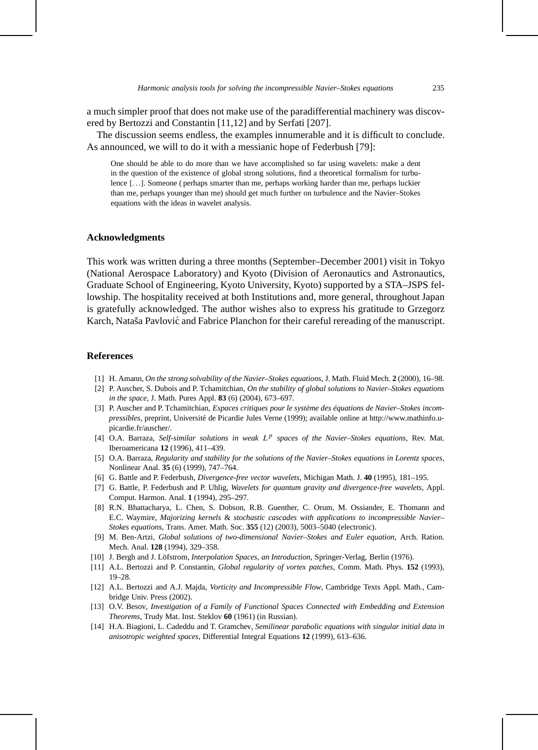a much simpler proof that does not make use of the paradifferential machinery was discovered by Bertozzi and Constantin [11,12] and by Serfati [207].

The discussion seems endless, the examples innumerable and it is difficult to conclude. As announced, we will to do it with a messianic hope of Federbush [79]:

One should be able to do more than we have accomplished so far using wavelets: make a dent in the question of the existence of global strong solutions, find a theoretical formalism for turbulence [*...*]. Someone ( perhaps smarter than me, perhaps working harder than me, perhaps luckier than me, perhaps younger than me) should get much further on turbulence and the Navier–Stokes equations with the ideas in wavelet analysis.

# **Acknowledgments**

This work was written during a three months (September–December 2001) visit in Tokyo (National Aerospace Laboratory) and Kyoto (Division of Aeronautics and Astronautics, Graduate School of Engineering, Kyoto University, Kyoto) supported by a STA–JSPS fellowship. The hospitality received at both Institutions and, more general, throughout Japan is gratefully acknowledged. The author wishes also to express his gratitude to Grzegorz Karch, Nataša Pavlovic and Fabrice Planchon for their careful rereading of the manuscript. ´

#### **References**

- [1] H. Amann, *On the strong solvability of the Navier–Stokes equations*, J. Math. Fluid Mech. **2** (2000), 16–98.
- [2] P. Auscher, S. Dubois and P. Tchamitchian, *On the stability of global solutions to Navier–Stokes equations in the space*, J. Math. Pures Appl. **83** (6) (2004), 673–697.
- [3] P. Auscher and P. Tchamitchian, *Espaces critiques pour le système des équations de Navier–Stokes incompressibles*, preprint, Université de Picardie Jules Verne (1999); available online at http://www.mathinfo.upicardie.fr/auscher/.
- [4] O.A. Barraza, *Self-similar solutions in weak L<sup>p</sup> spaces of the Navier–Stokes equations*, Rev. Mat. Iberoamericana **12** (1996), 411–439.
- [5] O.A. Barraza, *Regularity and stability for the solutions of the Navier–Stokes equations in Lorentz spaces*, Nonlinear Anal. **35** (6) (1999), 747–764.
- [6] G. Battle and P. Federbush, *Divergence-free vector wavelets*, Michigan Math. J. **40** (1995), 181–195.
- [7] G. Battle, P. Federbush and P. Uhlig, *Wavelets for quantum gravity and divergence-free wavelets*, Appl. Comput. Harmon. Anal. **1** (1994), 295–297.
- [8] R.N. Bhattacharya, L. Chen, S. Dobson, R.B. Guenther, C. Orum, M. Ossiander, E. Thomann and E.C. Waymire, *Majorizing kernels* & *stochastic cascades with applications to incompressible Navier– Stokes equations*, Trans. Amer. Math. Soc. **355** (12) (2003), 5003–5040 (electronic).
- [9] M. Ben-Artzi, *Global solutions of two-dimensional Navier–Stokes and Euler equation*, Arch. Ration. Mech. Anal. **128** (1994), 329–358.
- [10] J. Bergh and J. Löfstrom, *Interpolation Spaces*, *an Introduction*, Springer-Verlag, Berlin (1976).
- [11] A.L. Bertozzi and P. Constantin, *Global regularity of vortex patches*, Comm. Math. Phys. **152** (1993), 19–28.
- [12] A.L. Bertozzi and A.J. Majda, *Vorticity and Incompressible Flow*, Cambridge Texts Appl. Math., Cambridge Univ. Press (2002).
- [13] O.V. Besov, *Investigation of a Family of Functional Spaces Connected with Embedding and Extension Theorems*, Trudy Mat. Inst. Steklov **60** (1961) (in Russian).
- [14] H.A. Biagioni, L. Cadeddu and T. Gramchev, *Semilinear parabolic equations with singular initial data in anisotropic weighted spaces*, Differential Integral Equations **12** (1999), 613–636.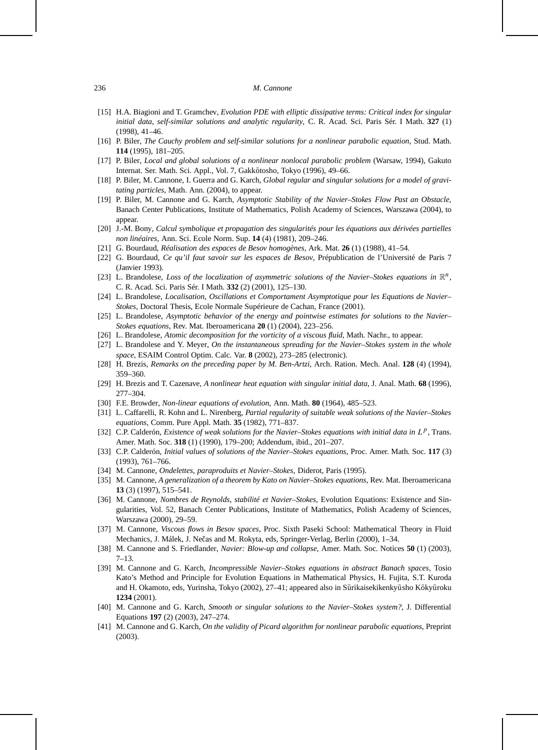- [15] H.A. Biagioni and T. Gramchev, *Evolution PDE with elliptic dissipative terms: Critical index for singular initial data*, *self-similar solutions and analytic regularity*, C. R. Acad. Sci. Paris Sér. I Math. **327** (1) (1998), 41–46.
- [16] P. Biler, *The Cauchy problem and self-similar solutions for a nonlinear parabolic equation*, Stud. Math. **114** (1995), 181–205.
- [17] P. Biler, *Local and global solutions of a nonlinear nonlocal parabolic problem* (Warsaw, 1994), Gakuto Internat. Ser. Math. Sci. Appl., Vol. 7, Gakkōtosho, Tokyo (1996), 49-66.
- [18] P. Biler, M. Cannone, I. Guerra and G. Karch, *Global regular and singular solutions for a model of gravitating particles*, Math. Ann. (2004), to appear.
- [19] P. Biler, M. Cannone and G. Karch, *Asymptotic Stability of the Navier–Stokes Flow Past an Obstacle*, Banach Center Publications, Institute of Mathematics, Polish Academy of Sciences, Warszawa (2004), to appear.
- [20] J.-M. Bony, *Calcul symbolique et propagation des singularités pour les équations aux dérivées partielles non linéaires*, Ann. Sci. Ecole Norm. Sup. **14** (4) (1981), 209–246.
- [21] G. Bourdaud, *Réalisation des espaces de Besov homogènes*, Ark. Mat. **26** (1) (1988), 41–54.
- [22] G. Bourdaud, *Ce qu'il faut savoir sur les espaces de Besov*, Prépublication de l'Université de Paris 7 (Janvier 1993).
- [23] L. Brandolese, *Loss of the localization of asymmetric solutions of the Navier–Stokes equations in*  $\mathbb{R}^n$ , C. R. Acad. Sci. Paris Sér. I Math. **332** (2) (2001), 125–130.
- [24] L. Brandolese, *Localisation*, *Oscillations et Comportament Asymptotique pour les Equations de Navier– Stokes*, Doctoral Thesis, Ecole Normale Supérieure de Cachan, France (2001).
- [25] L. Brandolese, *Asymptotic behavior of the energy and pointwise estimates for solutions to the Navier– Stokes equations*, Rev. Mat. Iberoamericana **20** (1) (2004), 223–256.
- [26] L. Brandolese, *Atomic decomposition for the vorticity of a viscous fluid*, Math. Nachr., to appear.
- [27] L. Brandolese and Y. Meyer, *On the instantaneous spreading for the Navier–Stokes system in the whole space*, ESAIM Control Optim. Calc. Var. **8** (2002), 273–285 (electronic).
- [28] H. Brezis, *Remarks on the preceding paper by M. Ben-Artzi*, Arch. Ration. Mech. Anal. **128** (4) (1994), 359–360.
- [29] H. Brezis and T. Cazenave, *A nonlinear heat equation with singular initial data*, J. Anal. Math. **68** (1996), 277–304.
- [30] F.E. Browder, *Non-linear equations of evolution*, Ann. Math. **80** (1964), 485–523.
- [31] L. Caffarelli, R. Kohn and L. Nirenberg, *Partial regularity of suitable weak solutions of the Navier–Stokes equations*, Comm. Pure Appl. Math. **35** (1982), 771–837.
- [32] C.P. Calderón, *Existence of weak solutions for the Navier–Stokes equations with initial data in*  $L^p$ , Trans. Amer. Math. Soc. **318** (1) (1990), 179–200; Addendum, ibid., 201–207.
- [33] C.P. Calderón, *Initial values of solutions of the Navier–Stokes equations*, Proc. Amer. Math. Soc. **117** (3) (1993), 761–766.
- [34] M. Cannone, *Ondelettes*, *paraproduits et Navier–Stokes*, Diderot, Paris (1995).
- [35] M. Cannone, *A generalization of a theorem by Kato on Navier–Stokes equations*, Rev. Mat. Iberoamericana **13** (3) (1997), 515–541.
- [36] M. Cannone, *Nombres de Reynolds*, *stabilité et Navier–Stokes*, Evolution Equations: Existence and Singularities, Vol. 52, Banach Center Publications, Institute of Mathematics, Polish Academy of Sciences, Warszawa (2000), 29–59.
- [37] M. Cannone, *Viscous flows in Besov spaces*, Proc. Sixth Paseki School: Mathematical Theory in Fluid Mechanics, J. Málek, J. Nečas and M. Rokyta, eds, Springer-Verlag, Berlin (2000), 1–34.
- [38] M. Cannone and S. Friedlander, *Navier: Blow-up and collapse*, Amer. Math. Soc. Notices **50** (1) (2003), 7–13.
- [39] M. Cannone and G. Karch, *Incompressible Navier–Stokes equations in abstract Banach spaces*, Tosio Kato's Method and Principle for Evolution Equations in Mathematical Physics, H. Fujita, S.T. Kuroda and H. Okamoto, eds, Yurinsha, Tokyo (2002), 27-41; appeared also in Sūrikaisekikenkyūsho Kō kyūroku **1234** (2001).
- [40] M. Cannone and G. Karch, *Smooth or singular solutions to the Navier–Stokes system?*, J. Differential Equations **197** (2) (2003), 247–274.
- [41] M. Cannone and G. Karch, *On the validity of Picard algorithm for nonlinear parabolic equations*, Preprint (2003).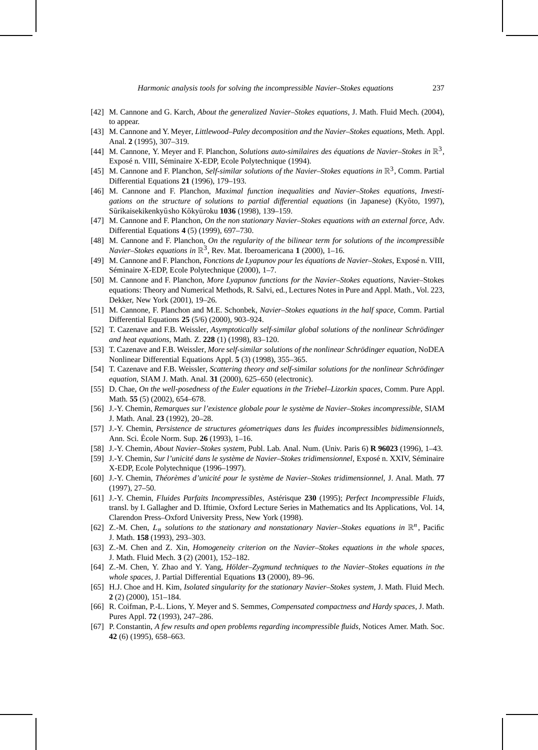*Harmonic analysis tools for solving the incompressible Navier–Stokes equations* 237

- [42] M. Cannone and G. Karch, *About the generalized Navier–Stokes equations*, J. Math. Fluid Mech. (2004), to appear.
- [43] M. Cannone and Y. Meyer, *Littlewood–Paley decomposition and the Navier–Stokes equations*, Meth. Appl. Anal. **2** (1995), 307–319.
- [44] M. Cannone, Y. Meyer and F. Planchon, *Solutions auto-similaires des équations de Navier–Stokes in* R3, Exposé n. VIII, Séminaire X-EDP, Ecole Polytechnique (1994).
- [45] M. Cannone and F. Planchon, *Self-similar solutions of the Navier–Stokes equations in*  $\mathbb{R}^3$ , Comm. Partial Differential Equations **21** (1996), 179–193.
- [46] M. Cannone and F. Planchon, *Maximal function inequalities and Navier–Stokes equations*, *Investi*gations on the structure of solutions to partial differential equations (in Japanese) (Kyōto, 1997), Sürikaisekikenkyū sho Kō kyūroku 1036 (1998), 139-159.
- [47] M. Cannone and F. Planchon, *On the non stationary Navier–Stokes equations with an external force*, Adv. Differential Equations **4** (5) (1999), 697–730.
- [48] M. Cannone and F. Planchon, *On the regularity of the bilinear term for solutions of the incompressible Navier–Stokes equations in*  $\mathbb{R}^3$ , Rev. Mat. Iberoamericana **1** (2000), 1–16.
- [49] M. Cannone and F. Planchon, *Fonctions de Lyapunov pour les équations de Navier–Stokes*, Exposé n. VIII, Séminaire X-EDP, Ecole Polytechnique (2000), 1–7.
- [50] M. Cannone and F. Planchon, *More Lyapunov functions for the Navier–Stokes equations*, Navier–Stokes equations: Theory and Numerical Methods, R. Salvi, ed., Lectures Notes in Pure and Appl. Math., Vol. 223, Dekker, New York (2001), 19–26.
- [51] M. Cannone, F. Planchon and M.E. Schonbek, *Navier–Stokes equations in the half space*, Comm. Partial Differential Equations **25** (5/6) (2000), 903–924.
- [52] T. Cazenave and F.B. Weissler, *Asymptotically self-similar global solutions of the nonlinear Schrödinger and heat equations*, Math. Z. **228** (1) (1998), 83–120.
- [53] T. Cazenave and F.B. Weissler, *More self-similar solutions of the nonlinear Schrödinger equation*, NoDEA Nonlinear Differential Equations Appl. **5** (3) (1998), 355–365.
- [54] T. Cazenave and F.B. Weissler, *Scattering theory and self-similar solutions for the nonlinear Schrödinger equation*, SIAM J. Math. Anal. **31** (2000), 625–650 (electronic).
- [55] D. Chae, *On the well-posedness of the Euler equations in the Triebel–Lizorkin spaces*, Comm. Pure Appl. Math. **55** (5) (2002), 654–678.
- [56] J.-Y. Chemin, *Remarques sur l'existence globale pour le système de Navier–Stokes incompressible*, SIAM J. Math. Anal. **23** (1992), 20–28.
- [57] J.-Y. Chemin, *Persistence de structures géometriques dans les fluides incompressibles bidimensionnels*, Ann. Sci. École Norm. Sup. **26** (1993), 1–16.
- [58] J.-Y. Chemin, *About Navier–Stokes system*, Publ. Lab. Anal. Num. (Univ. Paris 6) **R 96023** (1996), 1–43.
- [59] J.-Y. Chemin, *Sur l'unicité dans le système de Navier–Stokes tridimensionnel*, Exposé n. XXIV, Séminaire X-EDP, Ecole Polytechnique (1996–1997).
- [60] J.-Y. Chemin, *Théorèmes d'unicité pour le système de Navier–Stokes tridimensionnel*, J. Anal. Math. **77** (1997), 27–50.
- [61] J.-Y. Chemin, *Fluides Parfaits Incompressibles*, Astérisque **230** (1995); *Perfect Incompressible Fluids*, transl. by I. Gallagher and D. Iftimie, Oxford Lecture Series in Mathematics and Its Applications, Vol. 14, Clarendon Press–Oxford University Press, New York (1998).
- [62] Z.-M. Chen,  $L_n$  *solutions to the stationary and nonstationary Navier–Stokes equations in*  $\mathbb{R}^n$ , Pacific J. Math. **158** (1993), 293–303.
- [63] Z.-M. Chen and Z. Xin, *Homogeneity criterion on the Navier–Stokes equations in the whole spaces*, J. Math. Fluid Mech. **3** (2) (2001), 152–182.
- [64] Z.-M. Chen, Y. Zhao and Y. Yang, *Hölder–Zygmund techniques to the Navier–Stokes equations in the whole spaces*, J. Partial Differential Equations **13** (2000), 89–96.
- [65] H.J. Choe and H. Kim, *Isolated singularity for the stationary Navier–Stokes system*, J. Math. Fluid Mech. **2** (2) (2000), 151–184.
- [66] R. Coifman, P.-L. Lions, Y. Meyer and S. Semmes, *Compensated compactness and Hardy spaces*, J. Math. Pures Appl. **72** (1993), 247–286.
- [67] P. Constantin, *A few results and open problems regarding incompressible fluids*, Notices Amer. Math. Soc. **42** (6) (1995), 658–663.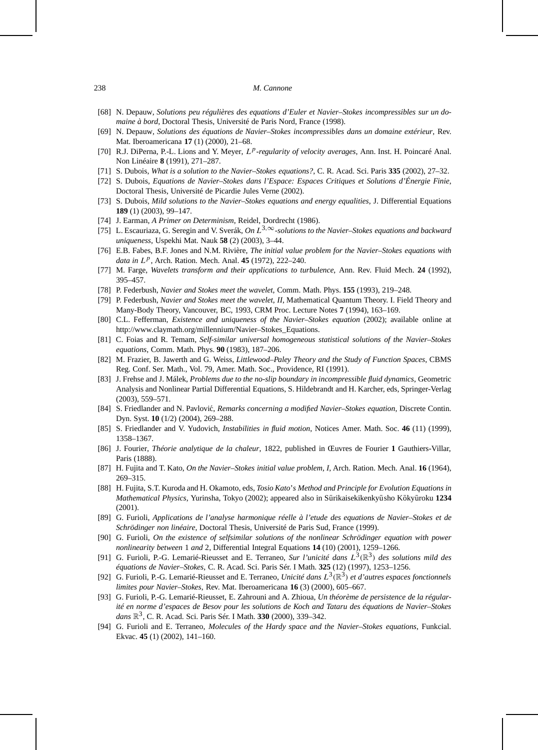- [68] N. Depauw, *Solutions peu régulières des equations d'Euler et Navier–Stokes incompressibles sur un domaine à bord*, Doctoral Thesis, Université de Paris Nord, France (1998).
- [69] N. Depauw, *Solutions des équations de Navier–Stokes incompressibles dans un domaine extérieur*, Rev. Mat. Iberoamericana **17** (1) (2000), 21–68.
- [70] R.J. DiPerna, P.-L. Lions and Y. Meyer, *Lp-regularity of velocity averages*, Ann. Inst. H. Poincaré Anal. Non Linéaire **8** (1991), 271–287.
- [71] S. Dubois, *What is a solution to the Navier–Stokes equations?*, C. R. Acad. Sci. Paris **335** (2002), 27–32.
- [72] S. Dubois, *Equations de Navier–Stokes dans l'Espace: Espaces Critiques et Solutions d'Énergie Finie*, Doctoral Thesis, Université de Picardie Jules Verne (2002).
- [73] S. Dubois, *Mild solutions to the Navier–Stokes equations and energy equalities*, J. Differential Equations **189** (1) (2003), 99–147.
- [74] J. Earman, *A Primer on Determinism*, Reidel, Dordrecht (1986).
- [75] L. Escauriaza, G. Seregin and V. Sverák, *On L*3*,*∞*-solutions to the Navier–Stokes equations and backward uniqueness*, Uspekhi Mat. Nauk **58** (2) (2003), 3–44.
- [76] E.B. Fabes, B.F. Jones and N.M. Rivière, *The initial value problem for the Navier–Stokes equations with data in Lp*, Arch. Ration. Mech. Anal. **45** (1972), 222–240.
- [77] M. Farge, *Wavelets transform and their applications to turbulence*, Ann. Rev. Fluid Mech. **24** (1992), 395–457.
- [78] P. Federbush, *Navier and Stokes meet the wavelet*, Comm. Math. Phys. **155** (1993), 219–248.
- [79] P. Federbush, *Navier and Stokes meet the wavelet*, *II*, Mathematical Quantum Theory. I. Field Theory and Many-Body Theory, Vancouver, BC, 1993, CRM Proc. Lecture Notes **7** (1994), 163–169.
- [80] C.L. Fefferman, *Existence and uniqueness of the Navier–Stokes equation* (2002); available online at http://www.claymath.org/millennium/Navier–Stokes\_Equations.
- [81] C. Foias and R. Temam, *Self-similar universal homogeneous statistical solutions of the Navier–Stokes equations*, Comm. Math. Phys. **90** (1983), 187–206.
- [82] M. Frazier, B. Jawerth and G. Weiss, *Littlewood–Paley Theory and the Study of Function Spaces*, CBMS Reg. Conf. Ser. Math., Vol. 79, Amer. Math. Soc., Providence, RI (1991).
- [83] J. Frehse and J. Málek, *Problems due to the no-slip boundary in incompressible fluid dynamics*, Geometric Analysis and Nonlinear Partial Differential Equations, S. Hildebrandt and H. Karcher, eds, Springer-Verlag (2003), 559–571.
- [84] S. Friedlander and N. Pavlovic,´ *Remarks concerning a modified Navier–Stokes equation*, Discrete Contin. Dyn. Syst. **10** (1/2) (2004), 269–288.
- [85] S. Friedlander and V. Yudovich, *Instabilities in fluid motion*, Notices Amer. Math. Soc. **46** (11) (1999), 1358–1367.
- [86] J. Fourier, *Théorie analytique de la chaleur*, 1822, published in Œuvres de Fourier **1** Gauthiers-Villar, Paris (1888).
- [87] H. Fujita and T. Kato, *On the Navier–Stokes initial value problem, I*, Arch. Ration. Mech. Anal. **16** (1964), 269–315.
- [88] H. Fujita, S.T. Kuroda and H. Okamoto, eds, *Tosio Kato*'*s Method and Principle for Evolution Equations in Mathematical Physics*, Yurinsha, Tokyo (2002); appeared also in Sūrikaisekikenkyūsho Kōkyūroku 1234 (2001).
- [89] G. Furioli, *Applications de l'analyse harmonique réelle à l'etude des equations de Navier–Stokes et de Schrödinger non linéaire*, Doctoral Thesis, Université de Paris Sud, France (1999).
- [90] G. Furioli, *On the existence of selfsimilar solutions of the nonlinear Schrödinger equation with power nonlinearity between* 1 *and* 2, Differential Integral Equations **14** (10) (2001), 1259–1266.
- [91] G. Furioli, P.-G. Lemarié-Rieusset and E. Terraneo, *Sur l'unicité dans*  $L^3(\mathbb{R}^3)$  *des solutions mild des équations de Navier–Stokes*, C. R. Acad. Sci. Paris Sér. I Math. **325** (12) (1997), 1253–1256.
- [92] G. Furioli, P.-G. Lemarié-Rieusset and E. Terraneo, *Unicité dans*  $L^3(\mathbb{R}^3)$  *et d'autres espaces fonctionnels limites pour Navier–Stokes*, Rev. Mat. Iberoamericana **16** (3) (2000), 605–667.
- [93] G. Furioli, P.-G. Lemarié-Rieusset, E. Zahrouni and A. Zhioua, *Un théorème de persistence de la régularité en norme d'espaces de Besov pour les solutions de Koch and Tataru des équations de Navier–Stokes dans* R3, C. R. Acad. Sci. Paris Sér. I Math. **330** (2000), 339–342.
- [94] G. Furioli and E. Terraneo, *Molecules of the Hardy space and the Navier–Stokes equations*, Funkcial. Ekvac. **45** (1) (2002), 141–160.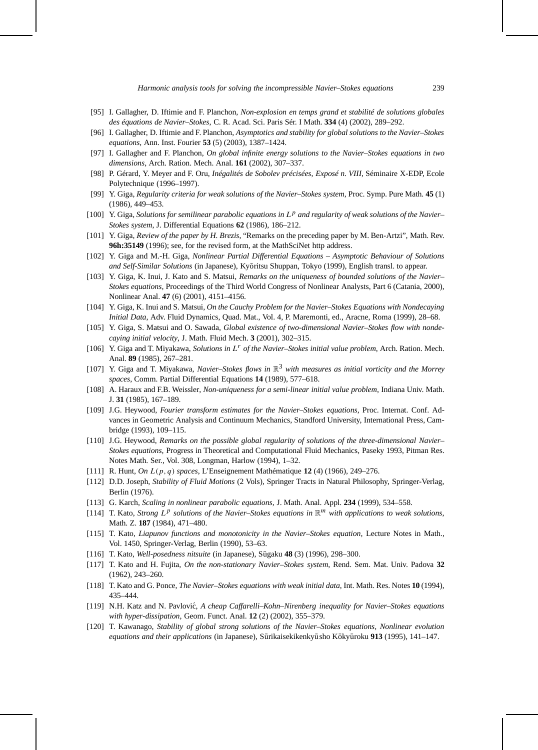- [95] I. Gallagher, D. Iftimie and F. Planchon, *Non-explosion en temps grand et stabilité de solutions globales des équations de Navier–Stokes*, C. R. Acad. Sci. Paris Sér. I Math. **334** (4) (2002), 289–292.
- [96] I. Gallagher, D. Iftimie and F. Planchon, *Asymptotics and stability for global solutions to the Navier–Stokes equations*, Ann. Inst. Fourier **53** (5) (2003), 1387–1424.
- [97] I. Gallagher and F. Planchon, *On global infinite energy solutions to the Navier–Stokes equations in two dimensions*, Arch. Ration. Mech. Anal. **161** (2002), 307–337.
- [98] P. Gérard, Y. Meyer and F. Oru, *Inégalités de Sobolev précisées*, *Exposé n. VIII*, Séminaire X-EDP, Ecole Polytechnique (1996–1997).
- [99] Y. Giga, *Regularity criteria for weak solutions of the Navier–Stokes system*, Proc. Symp. Pure Math. **45** (1) (1986), 449–453.
- [100] Y. Giga, *Solutions for semilinear parabolic equations in L<sup>p</sup> and regularity of weak solutions of the Navier– Stokes system*, J. Differential Equations **62** (1986), 186–212.
- [101] Y. Giga, *Review of the paper by H. Brezis*, "Remarks on the preceding paper by M. Ben-Artzi", Math. Rev. **96h:35149** (1996); see, for the revised form, at the MathSciNet http address.
- [102] Y. Giga and M.-H. Giga, *Nonlinear Partial Differential Equations Asymptotic Behaviour of Solutions and Self-Similar Solutions* (in Japanese), Kyōritsu Shuppan, Tokyo (1999), English transl. to appear.
- [103] Y. Giga, K. Inui, J. Kato and S. Matsui, *Remarks on the uniqueness of bounded solutions of the Navier– Stokes equations*, Proceedings of the Third World Congress of Nonlinear Analysts, Part 6 (Catania, 2000), Nonlinear Anal. **47** (6) (2001), 4151–4156.
- [104] Y. Giga, K. Inui and S. Matsui, *On the Cauchy Problem for the Navier–Stokes Equations with Nondecaying Initial Data*, Adv. Fluid Dynamics, Quad. Mat., Vol. 4, P. Maremonti, ed., Aracne, Roma (1999), 28–68.
- [105] Y. Giga, S. Matsui and O. Sawada, *Global existence of two-dimensional Navier–Stokes flow with nondecaying initial velocity*, J. Math. Fluid Mech. **3** (2001), 302–315.
- [106] Y. Giga and T. Miyakawa, *Solutions in L<sup>r</sup> of the Navier–Stokes initial value problem*, Arch. Ration. Mech. Anal. **89** (1985), 267–281.
- [107] Y. Giga and T. Miyakawa, *Navier–Stokes flows in* R<sup>3</sup> *with measures as initial vorticity and the Morrey spaces*, Comm. Partial Differential Equations **14** (1989), 577–618.
- [108] A. Haraux and F.B. Weissler, *Non-uniqueness for a semi-linear initial value problem*, Indiana Univ. Math. J. **31** (1985), 167–189.
- [109] J.G. Heywood, *Fourier transform estimates for the Navier–Stokes equations*, Proc. Internat. Conf. Advances in Geometric Analysis and Continuum Mechanics, Standford University, International Press, Cambridge (1993), 109–115.
- [110] J.G. Heywood, *Remarks on the possible global regularity of solutions of the three-dimensional Navier– Stokes equations*, Progress in Theoretical and Computational Fluid Mechanics, Paseky 1993, Pitman Res. Notes Math. Ser., Vol. 308, Longman, Harlow (1994), 1–32.
- [111] R. Hunt, *On L(p, q) spaces*, L'Enseignement Mathématique **12** (4) (1966), 249–276.
- [112] D.D. Joseph, *Stability of Fluid Motions* (2 Vols), Springer Tracts in Natural Philosophy, Springer-Verlag, Berlin (1976).
- [113] G. Karch, *Scaling in nonlinear parabolic equations*, J. Math. Anal. Appl. **234** (1999), 534–558.
- [114] T. Kato, *Strong*  $L^p$  *solutions of the Navier–Stokes equations in*  $\mathbb{R}^m$  *with applications to weak solutions*, Math. Z. **187** (1984), 471–480.
- [115] T. Kato, *Liapunov functions and monotonicity in the Navier–Stokes equation*, Lecture Notes in Math., Vol. 1450, Springer-Verlag, Berlin (1990), 53–63.
- [116] T. Kato, *Well-posedness nitsuite* (in Japanese), Sūgaku 48 (3) (1996), 298-300.
- [117] T. Kato and H. Fujita, *On the non-stationary Navier–Stokes system*, Rend. Sem. Mat. Univ. Padova **32** (1962), 243–260.
- [118] T. Kato and G. Ponce, *The Navier–Stokes equations with weak initial data*, Int. Math. Res. Notes **10** (1994), 435–444.
- [119] N.H. Katz and N. Pavlovic,´ *A cheap Caffarelli–Kohn–Nirenberg inequality for Navier–Stokes equations with hyper-dissipation*, Geom. Funct. Anal. **12** (2) (2002), 355–379.
- [120] T. Kawanago, *Stability of global strong solutions of the Navier–Stokes equations*, *Nonlinear evolution equations and their applications* (in Japanese), Sūrikaisekikenkyū sho Kō kyūroku **913** (1995), 141–147.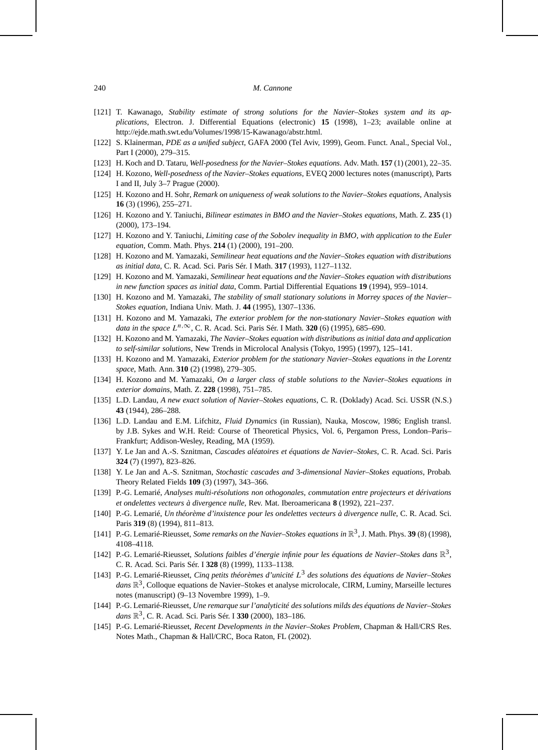- [121] T. Kawanago, *Stability estimate of strong solutions for the Navier–Stokes system and its applications*, Electron. J. Differential Equations (electronic) **15** (1998), 1–23; available online at http://ejde.math.swt.edu/Volumes/1998/15-Kawanago/abstr.html.
- [122] S. Klainerman, *PDE as a unified subject*, GAFA 2000 (Tel Aviv, 1999), Geom. Funct. Anal., Special Vol., Part I (2000), 279–315.
- [123] H. Koch and D. Tataru, *Well-posedness for the Navier–Stokes equations*. Adv. Math. **157** (1) (2001), 22–35.
- [124] H. Kozono, *Well-posedness of the Navier–Stokes equations*, EVEQ 2000 lectures notes (manuscript), Parts I and II, July 3–7 Prague (2000).
- [125] H. Kozono and H. Sohr, *Remark on uniqueness of weak solutions to the Navier–Stokes equations*, Analysis **16** (3) (1996), 255–271.
- [126] H. Kozono and Y. Taniuchi, *Bilinear estimates in BMO and the Navier–Stokes equations*, Math. Z. **235** (1) (2000), 173–194.
- [127] H. Kozono and Y. Taniuchi, *Limiting case of the Sobolev inequality in BMO*, *with application to the Euler equation*, Comm. Math. Phys. **214** (1) (2000), 191–200.
- [128] H. Kozono and M. Yamazaki, *Semilinear heat equations and the Navier–Stokes equation with distributions as initial data*, C. R. Acad. Sci. Paris Sér. I Math. **317** (1993), 1127–1132.
- [129] H. Kozono and M. Yamazaki, *Semilinear heat equations and the Navier–Stokes equation with distributions in new function spaces as initial data*, Comm. Partial Differential Equations **19** (1994), 959–1014.
- [130] H. Kozono and M. Yamazaki, *The stability of small stationary solutions in Morrey spaces of the Navier– Stokes equation*, Indiana Univ. Math. J. **44** (1995), 1307–1336.
- [131] H. Kozono and M. Yamazaki, *The exterior problem for the non-stationary Navier–Stokes equation with data in the space Ln,*∞, C. R. Acad. Sci. Paris Sér. I Math. **320** (6) (1995), 685–690.
- [132] H. Kozono and M. Yamazaki, *The Navier–Stokes equation with distributions as initial data and application to self-similar solutions*, New Trends in Microlocal Analysis (Tokyo, 1995) (1997), 125–141.
- [133] H. Kozono and M. Yamazaki, *Exterior problem for the stationary Navier–Stokes equations in the Lorentz space*, Math. Ann. **310** (2) (1998), 279–305.
- [134] H. Kozono and M. Yamazaki, *On a larger class of stable solutions to the Navier–Stokes equations in exterior domains*, Math. Z. **228** (1998), 751–785.
- [135] L.D. Landau, *A new exact solution of Navier–Stokes equations*, C. R. (Doklady) Acad. Sci. USSR (N.S.) **43** (1944), 286–288.
- [136] L.D. Landau and E.M. Lifchitz, *Fluid Dynamics* (in Russian), Nauka, Moscow, 1986; English transl. by J.B. Sykes and W.H. Reid: Course of Theoretical Physics, Vol. 6, Pergamon Press, London–Paris– Frankfurt; Addison-Wesley, Reading, MA (1959).
- [137] Y. Le Jan and A.-S. Sznitman, *Cascades aléatoires et équations de Navier–Stokes*, C. R. Acad. Sci. Paris **324** (7) (1997), 823–826.
- [138] Y. Le Jan and A.-S. Sznitman, *Stochastic cascades and* 3*-dimensional Navier–Stokes equations*, Probab. Theory Related Fields **109** (3) (1997), 343–366.
- [139] P.-G. Lemarié, *Analyses multi-résolutions non othogonales*, *commutation entre projecteurs et dérivations et ondelettes vecteurs à divergence nulle*, Rev. Mat. Iberoamericana **8** (1992), 221–237.
- [140] P.-G. Lemarié, *Un théorème d'inxistence pour les ondelettes vecteurs à divergence nulle*, C. R. Acad. Sci. Paris **319** (8) (1994), 811–813.
- [141] P.-G. Lemarié-Rieusset, *Some remarks on the Navier–Stokes equations in* R3, J. Math. Phys. **39** (8) (1998), 4108–4118.
- [142] P.-G. Lemarié-Rieusset, *Solutions faibles d'énergie infinie pour les équations de Navier–Stokes dans* R3, C. R. Acad. Sci. Paris Sér. I **328** (8) (1999), 1133–1138.
- [143] P.-G. Lemarié-Rieusset, *Cinq petits théorèmes d'unicité L*<sup>3</sup> *des solutions des équations de Navier–Stokes dans* R3, Colloque equations de Navier–Stokes et analyse microlocale, CIRM, Luminy, Marseille lectures notes (manuscript) (9–13 Novembre 1999), 1–9.
- [144] P.-G. Lemarié-Rieusset, *Une remarque sur l'analyticité des solutions milds des équations de Navier–Stokes dans* R3, C. R. Acad. Sci. Paris Sér. I **330** (2000), 183–186.
- [145] P.-G. Lemarié-Rieusset, *Recent Developments in the Navier–Stokes Problem*, Chapman & Hall/CRS Res. Notes Math., Chapman & Hall/CRC, Boca Raton, FL (2002).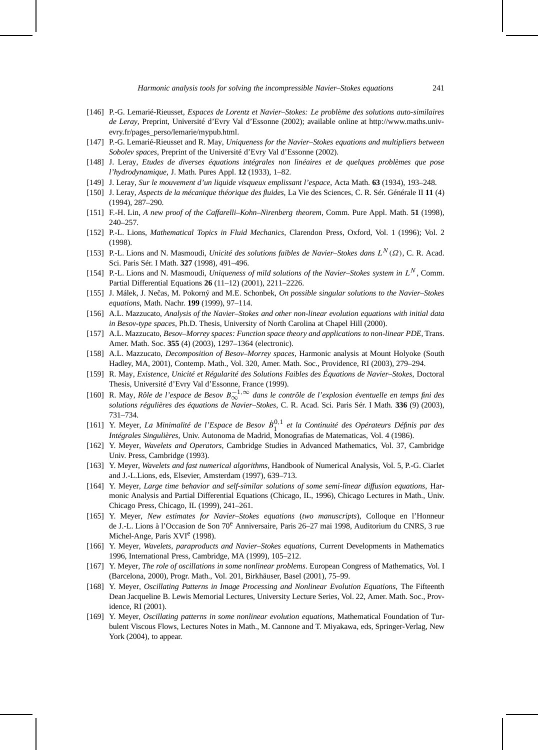- [146] P.-G. Lemarié-Rieusset, *Espaces de Lorentz et Navier–Stokes: Le problème des solutions auto-similaires de Leray*, Preprint, Université d'Evry Val d'Essonne (2002); available online at http://www.maths.univevry.fr/pages\_perso/lemarie/mypub.html.
- [147] P.-G. Lemarié-Rieusset and R. May, *Uniqueness for the Navier–Stokes equations and multipliers between Sobolev spaces*, Preprint of the Université d'Evry Val d'Essonne (2002).
- [148] J. Leray, *Etudes de diverses équations intégrales non linéaires et de quelques problèmes que pose l'hydrodynamique*, J. Math. Pures Appl. **12** (1933), 1–82.
- [149] J. Leray, *Sur le mouvement d'un liquide visqueux emplissant l'espace*, Acta Math. **63** (1934), 193–248.
- [150] J. Leray, *Aspects de la mécanique théorique des fluides*, La Vie des Sciences, C. R. Sér. Générale II **11** (4) (1994), 287–290.
- [151] F.-H. Lin, *A new proof of the Caffarelli–Kohn–Nirenberg theorem*, Comm. Pure Appl. Math. **51** (1998), 240–257.
- [152] P.-L. Lions, *Mathematical Topics in Fluid Mechanics*, Clarendon Press, Oxford, Vol. 1 (1996); Vol. 2 (1998).
- [153] P.-L. Lions and N. Masmoudi, *Unicité des solutions faibles de Navier–Stokes dans L<sup>N</sup> (Ω)*, C. R. Acad. Sci. Paris Sér. I Math. **327** (1998), 491–496.
- [154] P.-L. Lions and N. Masmoudi, *Uniqueness of mild solutions of the Navier–Stokes system in L<sup>N</sup>* , Comm. Partial Differential Equations **26** (11–12) (2001), 2211–2226.
- [155] J. Málek, J. Nečas, M. Pokorný and M.E. Schonbek, On possible singular solutions to the Navier-Stokes *equations*, Math. Nachr. **199** (1999), 97–114.
- [156] A.L. Mazzucato, *Analysis of the Navier–Stokes and other non-linear evolution equations with initial data in Besov-type spaces*, Ph.D. Thesis, University of North Carolina at Chapel Hill (2000).
- [157] A.L. Mazzucato, *Besov–Morrey spaces: Function space theory and applications to non-linear PDE*, Trans. Amer. Math. Soc. **355** (4) (2003), 1297–1364 (electronic).
- [158] A.L. Mazzucato, *Decomposition of Besov–Morrey spaces*, Harmonic analysis at Mount Holyoke (South Hadley, MA, 2001), Contemp. Math., Vol. 320, Amer. Math. Soc., Providence, RI (2003), 279–294.
- [159] R. May, *Existence*, *Unicité et Régularité des Solutions Faibles des Équations de Navier–Stokes*, Doctoral Thesis, Université d'Evry Val d'Essonne, France (1999).
- [160] R. May, *Rôle de l'espace de Besov <sup>B</sup>*−1*,*<sup>∞</sup> <sup>∞</sup> *dans le contrôle de l'explosion éventuelle en temps fini des solutions régulières des équations de Navier–Stokes*, C. R. Acad. Sci. Paris Sér. I Math. **336** (9) (2003), 731–734.
- [161] Y. Meyer, *La Minimalité de l'Espace de Besov*  $\dot{B}_{1}^{0,1}$  *et la Continuité des Opérateurs Définis par des Intégrales Singulières*, Univ. Autonoma de Madrid, Monografias de Matematicas, Vol. 4 (1986).
- [162] Y. Meyer, *Wavelets and Operators*, Cambridge Studies in Advanced Mathematics, Vol. 37, Cambridge Univ. Press, Cambridge (1993).
- [163] Y. Meyer, *Wavelets and fast numerical algorithms*, Handbook of Numerical Analysis, Vol. 5, P.-G. Ciarlet and J.-L.Lions, eds, Elsevier, Amsterdam (1997), 639–713.
- [164] Y. Meyer, *Large time behavior and self-similar solutions of some semi-linear diffusion equations*, Harmonic Analysis and Partial Differential Equations (Chicago, IL, 1996), Chicago Lectures in Math., Univ. Chicago Press, Chicago, IL (1999), 241–261.
- [165] Y. Meyer, *New estimates for Navier–Stokes equations* (*two manuscripts*), Colloque en l'Honneur de J.-L. Lions à l'Occasion de Son 70<sup>e</sup> Anniversaire, Paris 26–27 mai 1998, Auditorium du CNRS, 3 rue Michel-Ange, Paris XVI<sup>e</sup> (1998).
- [166] Y. Meyer, *Wavelets*, *paraproducts and Navier–Stokes equations*, Current Developments in Mathematics 1996, International Press, Cambridge, MA (1999), 105–212.
- [167] Y. Meyer, *The role of oscillations in some nonlinear problems*. European Congress of Mathematics, Vol. I (Barcelona, 2000), Progr. Math., Vol. 201, Birkhäuser, Basel (2001), 75–99.
- [168] Y. Meyer, *Oscillating Patterns in Image Processing and Nonlinear Evolution Equations*, The Fifteenth Dean Jacqueline B. Lewis Memorial Lectures, University Lecture Series, Vol. 22, Amer. Math. Soc., Providence, RI (2001).
- [169] Y. Meyer, *Oscillating patterns in some nonlinear evolution equations*, Mathematical Foundation of Turbulent Viscous Flows, Lectures Notes in Math., M. Cannone and T. Miyakawa, eds, Springer-Verlag, New York (2004), to appear.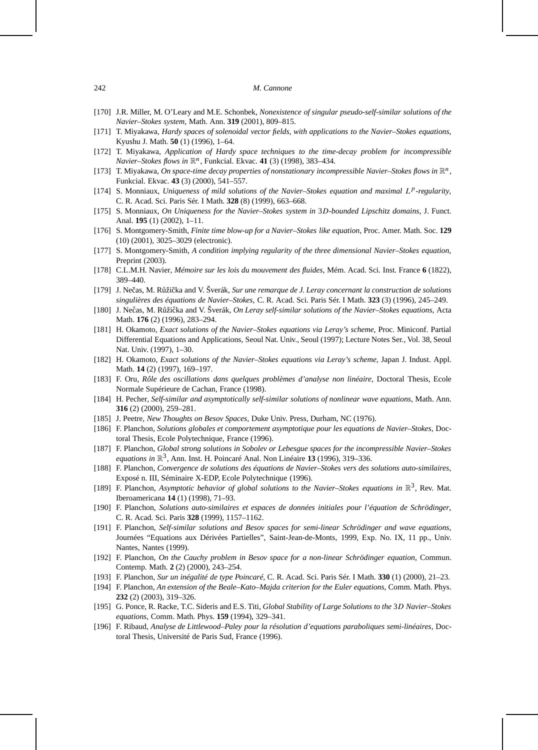- [170] J.R. Miller, M. O'Leary and M.E. Schonbek, *Nonexistence of singular pseudo-self-similar solutions of the Navier–Stokes system*, Math. Ann. **319** (2001), 809–815.
- [171] T. Miyakawa, *Hardy spaces of solenoidal vector fields*, *with applications to the Navier–Stokes equations*, Kyushu J. Math. **50** (1) (1996), 1–64.
- [172] T. Miyakawa, *Application of Hardy space techniques to the time-decay problem for incompressible Navier–Stokes flows in*  $\mathbb{R}^n$ , Funkcial. Ekvac. 41 (3) (1998), 383–434.
- [173] T. Miyakawa, *On space-time decay properties of nonstationary incompressible Navier–Stokes flows in*  $\mathbb{R}^n$ , Funkcial. Ekvac. **43** (3) (2000), 541–557.
- [174] S. Monniaux, *Uniqueness of mild solutions of the Navier–Stokes equation and maximal Lp-regularity*, C. R. Acad. Sci. Paris Sér. I Math. **328** (8) (1999), 663–668.
- [175] S. Monniaux, *On Uniqueness for the Navier–Stokes system in* 3*D-bounded Lipschitz domains*, J. Funct. Anal. **195** (1) (2002), 1–11.
- [176] S. Montgomery-Smith, *Finite time blow-up for a Navier–Stokes like equation*, Proc. Amer. Math. Soc. **129** (10) (2001), 3025–3029 (electronic).
- [177] S. Montgomery-Smith, *A condition implying regularity of the three dimensional Navier–Stokes equation*, Preprint (2003).
- [178] C.L.M.H. Navier, *Mémoire sur les lois du mouvement des fluides*, Mém. Acad. Sci. Inst. France **6** (1822), 389–440.
- [179] J. Nečas, M. Růžička and V. Šverák, Sur une remarque de J. Leray concernant la construction de solutions *singulières des équations de Navier–Stokes*, C. R. Acad. Sci. Paris Sér. I Math. **323** (3) (1996), 245–249.
- [180] J. Nečas, M. Růžička and V. Šverák, *On Leray self-similar solutions of the Navier–Stokes equations*, Acta Math. **176** (2) (1996), 283–294.
- [181] H. Okamoto, *Exact solutions of the Navier–Stokes equations via Leray's scheme*, Proc. Miniconf. Partial Differential Equations and Applications, Seoul Nat. Univ., Seoul (1997); Lecture Notes Ser., Vol. 38, Seoul Nat. Univ. (1997), 1–30.
- [182] H. Okamoto, *Exact solutions of the Navier–Stokes equations via Leray's scheme*, Japan J. Indust. Appl. Math. **14** (2) (1997), 169–197.
- [183] F. Oru, *Rôle des oscillations dans quelques problèmes d'analyse non linéaire*, Doctoral Thesis, Ecole Normale Supérieure de Cachan, France (1998).
- [184] H. Pecher, *Self-similar and asymptotically self-similar solutions of nonlinear wave equations*, Math. Ann. **316** (2) (2000), 259–281.
- [185] J. Peetre, *New Thoughts on Besov Spaces*, Duke Univ. Press, Durham, NC (1976).
- [186] F. Planchon, *Solutions globales et comportement asymptotique pour les equations de Navier–Stokes*, Doctoral Thesis, Ecole Polytechnique, France (1996).
- [187] F. Planchon, *Global strong solutions in Sobolev or Lebesgue spaces for the incompressible Navier–Stokes equations in* R3, Ann. Inst. H. Poincaré Anal. Non Linéaire **13** (1996), 319–336.
- [188] F. Planchon, *Convergence de solutions des équations de Navier–Stokes vers des solutions auto-similaires*, Exposé n. III, Séminaire X-EDP, Ecole Polytechnique (1996).
- [189] F. Planchon, *Asymptotic behavior of global solutions to the Navier–Stokes equations in* R3, Rev. Mat. Iberoamericana **14** (1) (1998), 71–93.
- [190] F. Planchon, *Solutions auto-similaires et espaces de données initiales pour l'équation de Schrödinger*, C. R. Acad. Sci. Paris **328** (1999), 1157–1162.
- [191] F. Planchon, *Self-similar solutions and Besov spaces for semi-linear Schrödinger and wave equations*, Journées "Equations aux Dérivées Partielles", Saint-Jean-de-Monts, 1999, Exp. No. IX, 11 pp., Univ. Nantes, Nantes (1999).
- [192] F. Planchon, *On the Cauchy problem in Besov space for a non-linear Schrödinger equation*, Commun. Contemp. Math. **2** (2) (2000), 243–254.
- [193] F. Planchon, *Sur un inégalité de type Poincaré*, C. R. Acad. Sci. Paris Sér. I Math. **330** (1) (2000), 21–23.
- [194] F. Planchon, *An extension of the Beale–Kato–Majda criterion for the Euler equations*, Comm. Math. Phys. **232** (2) (2003), 319–326.
- [195] G. Ponce, R. Racke, T.C. Sideris and E.S. Titi, *Global Stability of Large Solutions to the* 3*D Navier–Stokes equations*, Comm. Math. Phys. **159** (1994), 329–341.
- [196] F. Ribaud, *Analyse de Littlewood–Paley pour la résolution d'equations paraboliques semi-linéaires*, Doctoral Thesis, Université de Paris Sud, France (1996).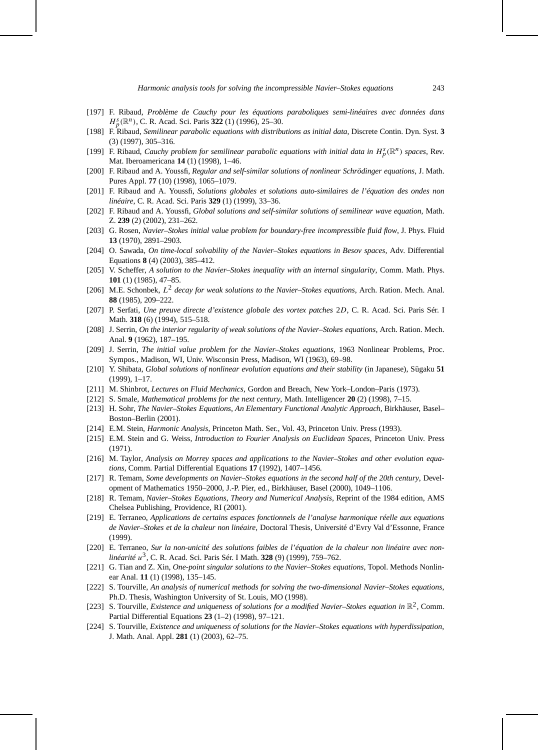- [197] F. Ribaud, *Problème de Cauchy pour les équations paraboliques semi-linéaires avec données dans H<sup>s</sup> p(*R*n)*, C. R. Acad. Sci. Paris **<sup>322</sup>** (1) (1996), 25–30.
- [198] F. Ribaud, *Semilinear parabolic equations with distributions as initial data*, Discrete Contin. Dyn. Syst. **3** (3) (1997), 305–316.
- [199] F. Ribaud, *Cauchy problem for semilinear parabolic equations with initial data in*  $H_p^s(\mathbb{R}^n)$  *spaces*, Rev. Mat. Iberoamericana **14** (1) (1998), 1–46.
- [200] F. Ribaud and A. Youssfi, *Regular and self-similar solutions of nonlinear Schrödinger equations*, J. Math. Pures Appl. **77** (10) (1998), 1065–1079.
- [201] F. Ribaud and A. Youssfi, *Solutions globales et solutions auto-similaires de l'équation des ondes non linéaire*, C. R. Acad. Sci. Paris **329** (1) (1999), 33–36.
- [202] F. Ribaud and A. Youssfi, *Global solutions and self-similar solutions of semilinear wave equation*, Math. Z. **239** (2) (2002), 231–262.
- [203] G. Rosen, *Navier–Stokes initial value problem for boundary-free incompressible fluid flow*, J. Phys. Fluid **13** (1970), 2891–2903.
- [204] O. Sawada, *On time-local solvability of the Navier–Stokes equations in Besov spaces*, Adv. Differential Equations **8** (4) (2003), 385–412.
- [205] V. Scheffer, *A solution to the Navier–Stokes inequality with an internal singularity*, Comm. Math. Phys. **101** (1) (1985), 47–85.
- [206] M.E. Schonbek, *L*<sup>2</sup> *decay for weak solutions to the Navier–Stokes equations*, Arch. Ration. Mech. Anal. **88** (1985), 209–222.
- [207] P. Serfati, *Une preuve directe d'existence globale des vortex patches* 2*D*, C. R. Acad. Sci. Paris Sér. I Math. **318** (6) (1994), 515–518.
- [208] J. Serrin, *On the interior regularity of weak solutions of the Navier–Stokes equations*, Arch. Ration. Mech. Anal. **9** (1962), 187–195.
- [209] J. Serrin, *The initial value problem for the Navier–Stokes equations*, 1963 Nonlinear Problems, Proc. Sympos., Madison, WI, Univ. Wisconsin Press, Madison, WI (1963), 69–98.
- [210] Y. Shibata, *Global solutions of nonlinear evolution equations and their stability* (in Japanese), Sugaku ¯ **51** (1999), 1–17.
- [211] M. Shinbrot, *Lectures on Fluid Mechanics*, Gordon and Breach, New York–London–Paris (1973).
- [212] S. Smale, *Mathematical problems for the next century*, Math. Intelligencer **20** (2) (1998), 7–15.
- [213] H. Sohr, *The Navier–Stokes Equations*, *An Elementary Functional Analytic Approach*, Birkhäuser, Basel– Boston–Berlin (2001).
- [214] E.M. Stein, *Harmonic Analysis*, Princeton Math. Ser., Vol. 43, Princeton Univ. Press (1993).
- [215] E.M. Stein and G. Weiss, *Introduction to Fourier Analysis on Euclidean Spaces*, Princeton Univ. Press (1971).
- [216] M. Taylor, *Analysis on Morrey spaces and applications to the Navier–Stokes and other evolution equations*, Comm. Partial Differential Equations **17** (1992), 1407–1456.
- [217] R. Temam, *Some developments on Navier–Stokes equations in the second half of the 20th century*, Development of Mathematics 1950–2000, J.-P. Pier, ed., Birkhäuser, Basel (2000), 1049–1106.
- [218] R. Temam, *Navier–Stokes Equations*, *Theory and Numerical Analysis*, Reprint of the 1984 edition, AMS Chelsea Publishing, Providence, RI (2001).
- [219] E. Terraneo, *Applications de certains espaces fonctionnels de l'analyse harmonique réelle aux equations de Navier–Stokes et de la chaleur non linéaire*, Doctoral Thesis, Université d'Evry Val d'Essonne, France (1999).
- [220] E. Terraneo, *Sur la non-unicité des solutions faibles de l'équation de la chaleur non linéaire avec nonlinéarité u*<sup>3</sup>, C. R. Acad. Sci. Paris Sér. I Math. **328** (9) (1999), 759–762.
- [221] G. Tian and Z. Xin, *One-point singular solutions to the Navier–Stokes equations*, Topol. Methods Nonlinear Anal. **11** (1) (1998), 135–145.
- [222] S. Tourville, *An analysis of numerical methods for solving the two-dimensional Navier–Stokes equations*, Ph.D. Thesis, Washington University of St. Louis, MO (1998).
- [223] S. Tourville, *Existence and uniqueness of solutions for a modified Navier–Stokes equation in*  $\mathbb{R}^2$ , Comm. Partial Differential Equations **23** (1–2) (1998), 97–121.
- [224] S. Tourville, *Existence and uniqueness of solutions for the Navier–Stokes equations with hyperdissipation*, J. Math. Anal. Appl. **281** (1) (2003), 62–75.